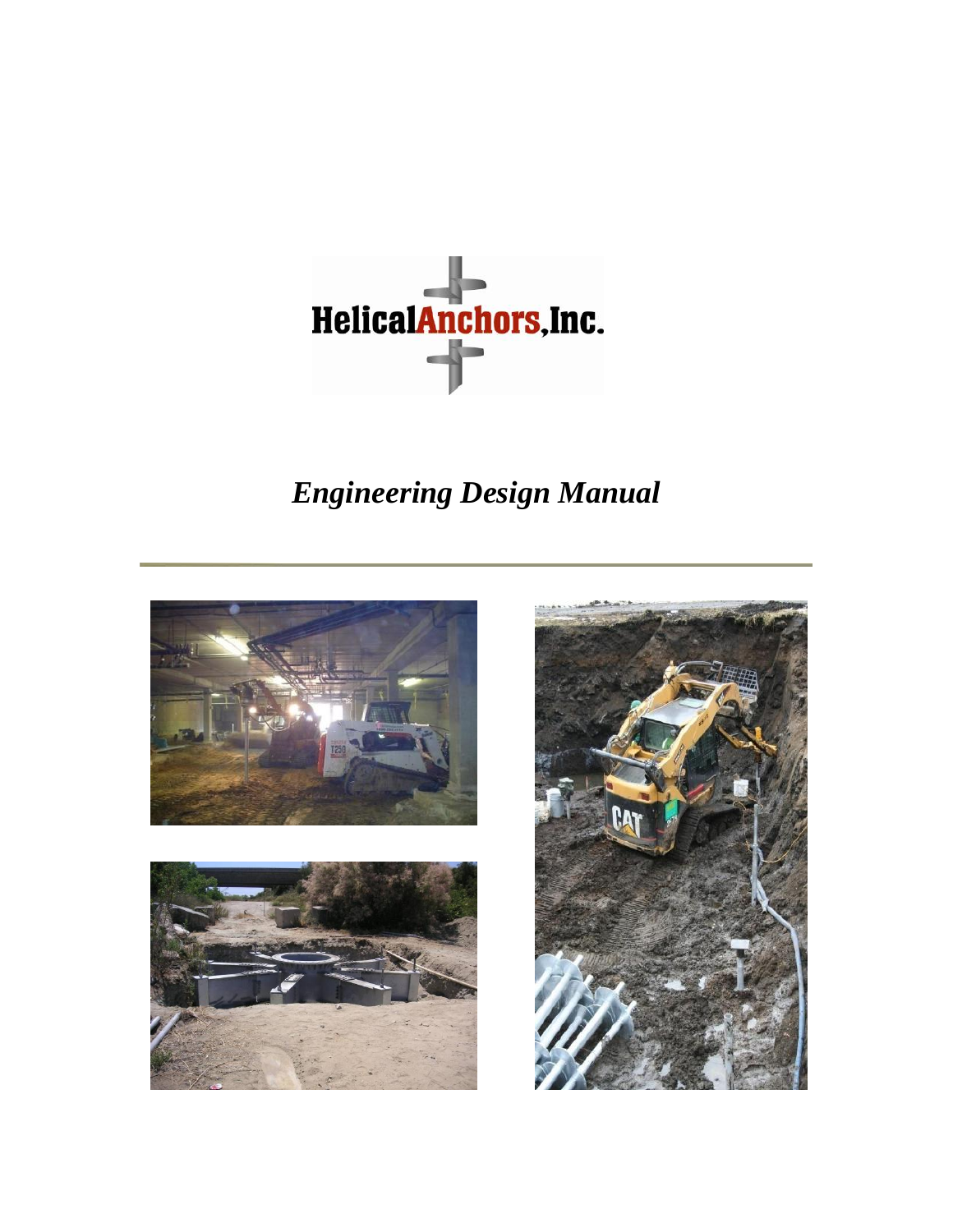

# *Engineering Design Manual*





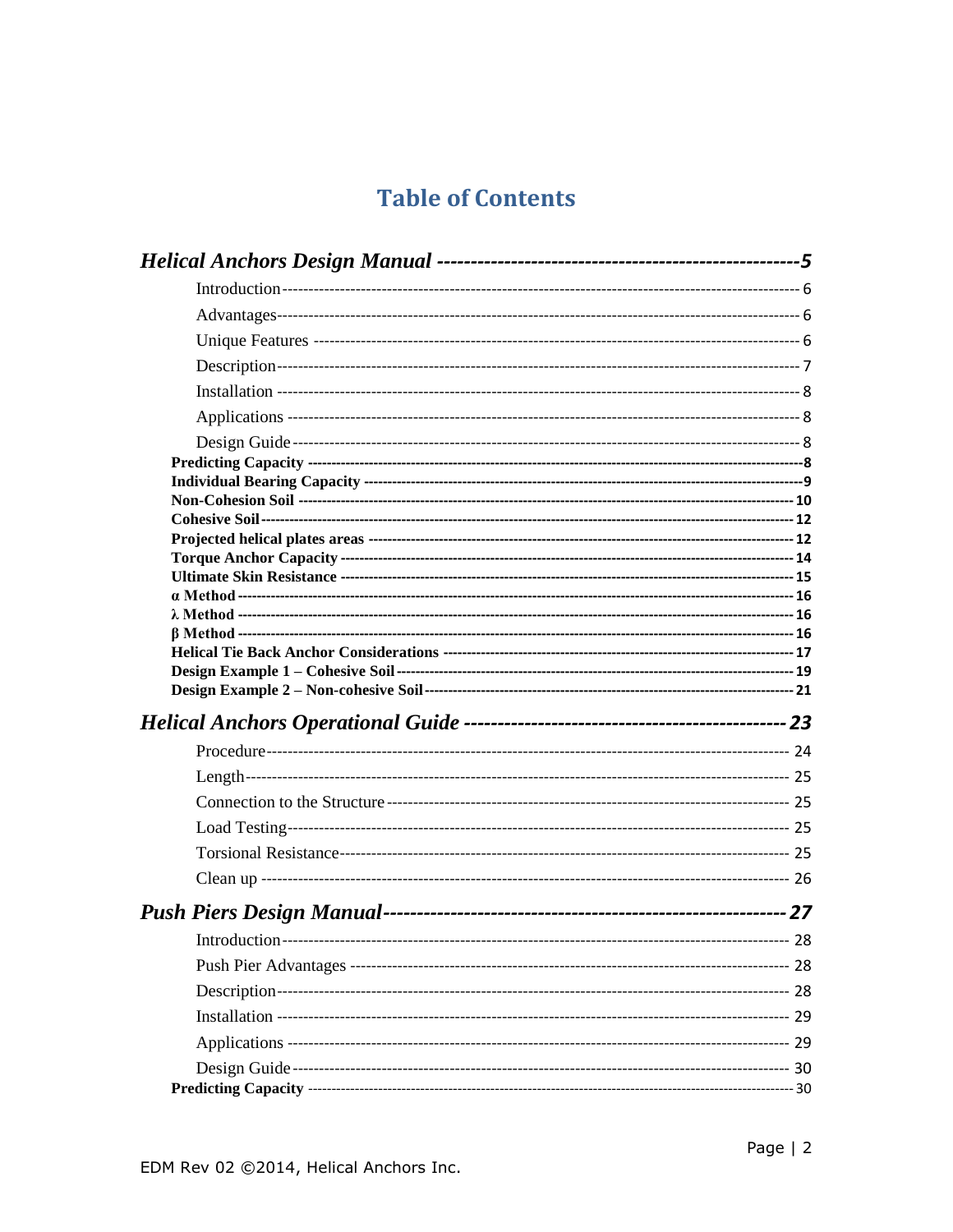### **Table of Contents**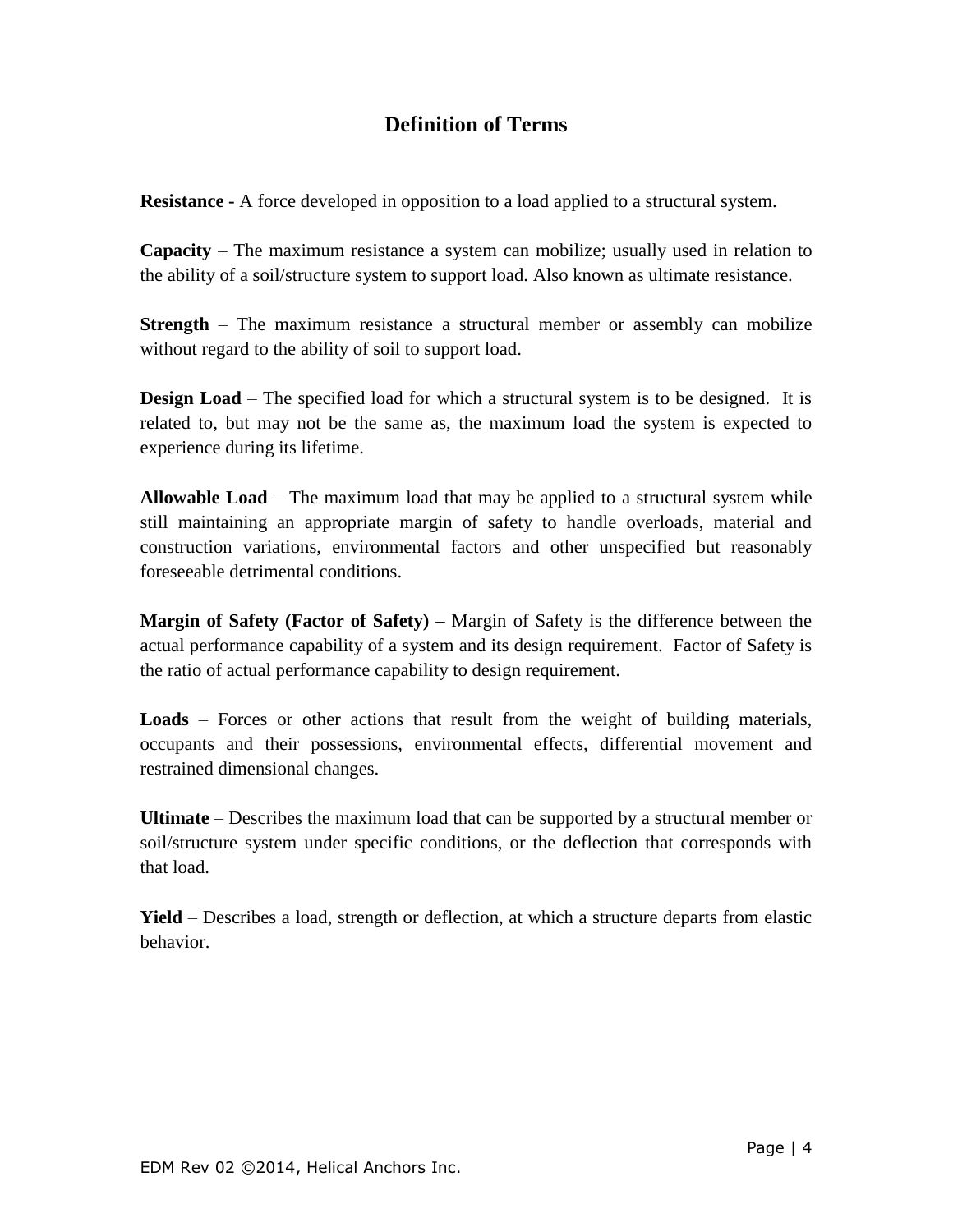#### **Definition of Terms**

**Resistance -** A force developed in opposition to a load applied to a structural system.

**Capacity** – The maximum resistance a system can mobilize; usually used in relation to the ability of a soil/structure system to support load. Also known as ultimate resistance.

**Strength** – The maximum resistance a structural member or assembly can mobilize without regard to the ability of soil to support load.

**Design Load** – The specified load for which a structural system is to be designed. It is related to, but may not be the same as, the maximum load the system is expected to experience during its lifetime.

**Allowable Load** – The maximum load that may be applied to a structural system while still maintaining an appropriate margin of safety to handle overloads, material and construction variations, environmental factors and other unspecified but reasonably foreseeable detrimental conditions.

**Margin of Safety (Factor of Safety) – Margin of Safety is the difference between the** actual performance capability of a system and its design requirement. Factor of Safety is the ratio of actual performance capability to design requirement.

**Loads** – Forces or other actions that result from the weight of building materials, occupants and their possessions, environmental effects, differential movement and restrained dimensional changes.

**Ultimate** – Describes the maximum load that can be supported by a structural member or soil/structure system under specific conditions, or the deflection that corresponds with that load.

**Yield** – Describes a load, strength or deflection, at which a structure departs from elastic behavior.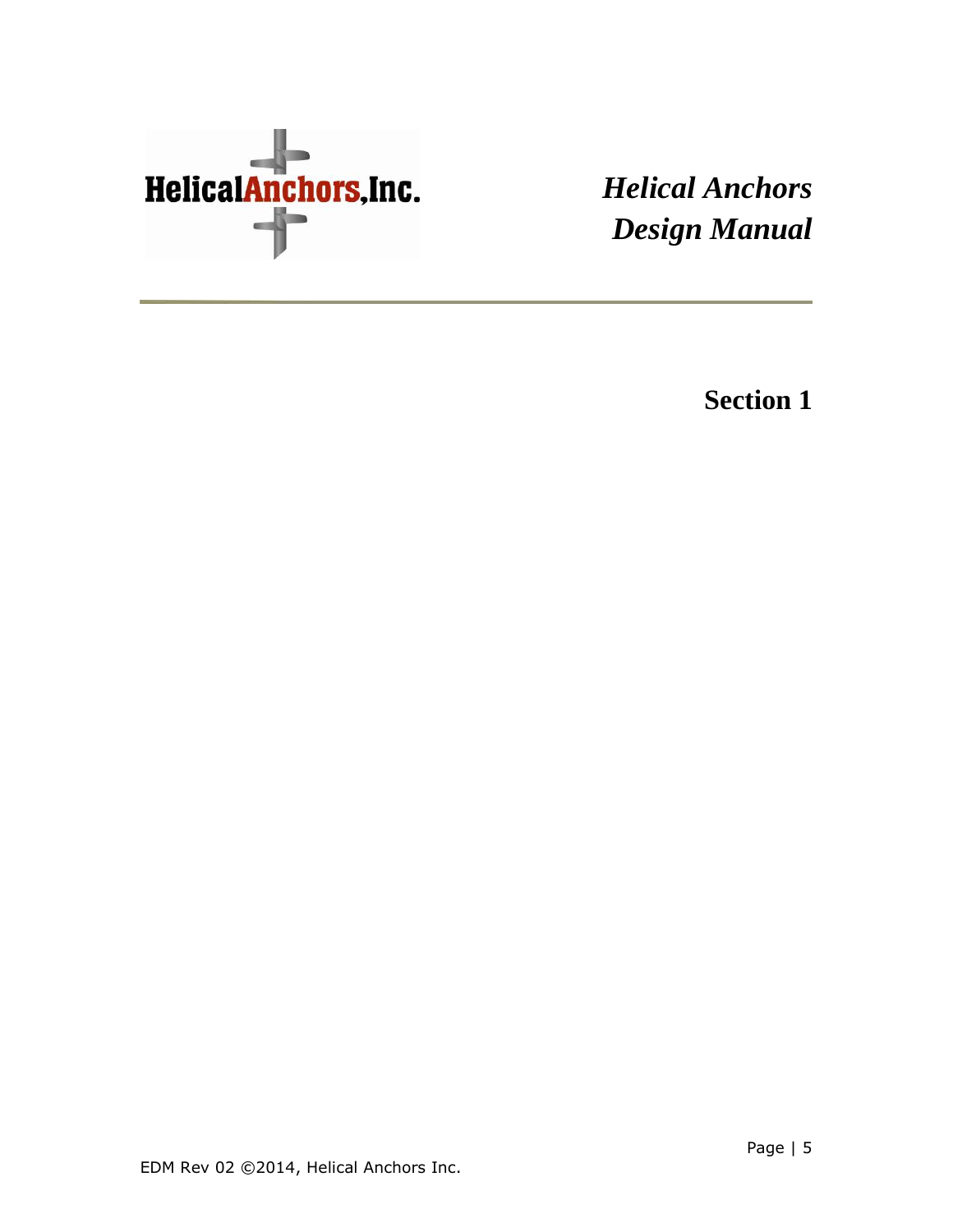# HelicalAnchors, Inc.

<span id="page-4-0"></span>*Helical Anchors Design Manual*

**Section 1**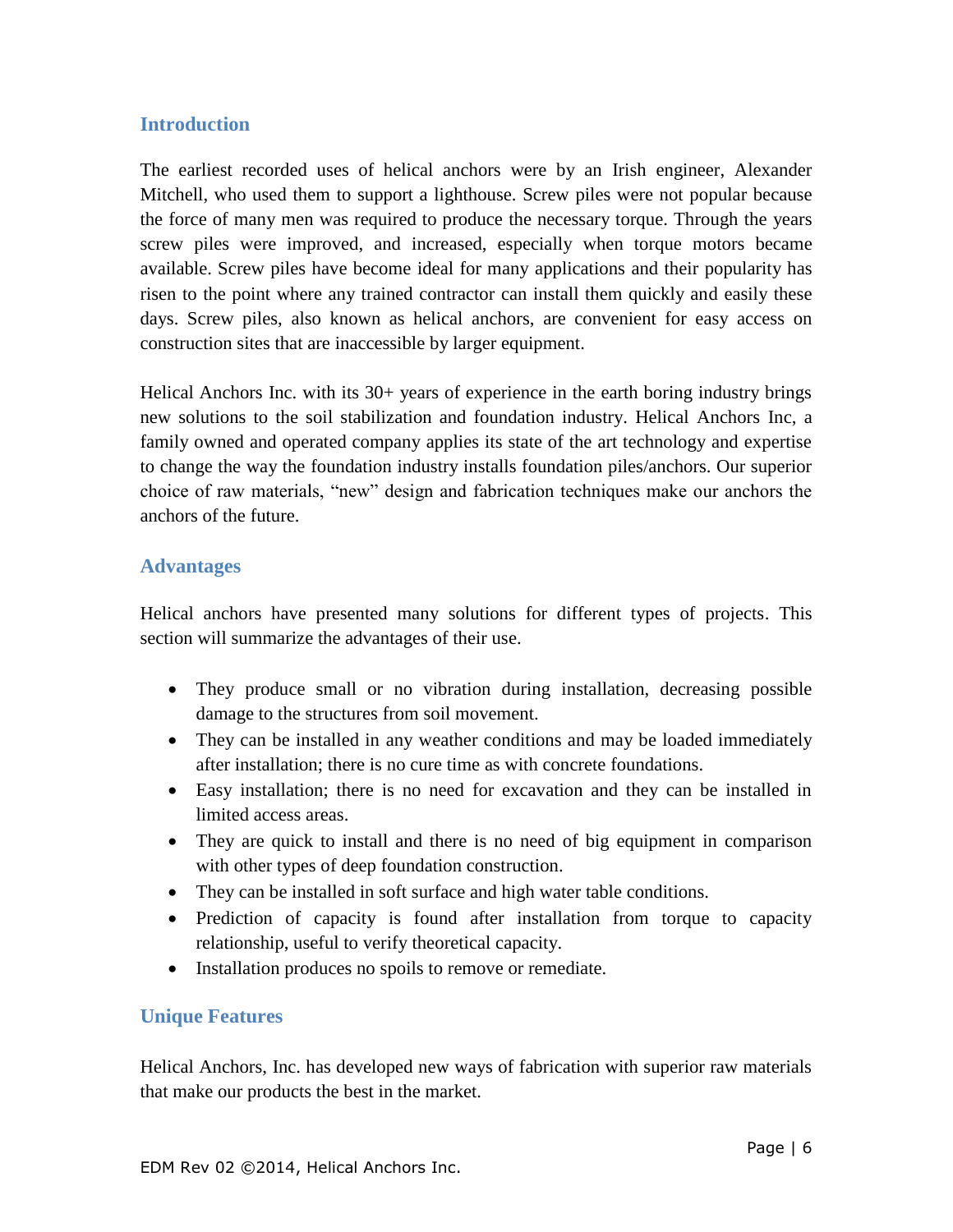#### <span id="page-5-0"></span>**Introduction**

The earliest recorded uses of helical anchors were by an Irish engineer, Alexander Mitchell, who used them to support a lighthouse. Screw piles were not popular because the force of many men was required to produce the necessary torque. Through the years screw piles were improved, and increased, especially when torque motors became available. Screw piles have become ideal for many applications and their popularity has risen to the point where any trained contractor can install them quickly and easily these days. Screw piles, also known as helical anchors, are convenient for easy access on construction sites that are inaccessible by larger equipment.

Helical Anchors Inc. with its 30+ years of experience in the earth boring industry brings new solutions to the soil stabilization and foundation industry. Helical Anchors Inc, a family owned and operated company applies its state of the art technology and expertise to change the way the foundation industry installs foundation piles/anchors. Our superior choice of raw materials, "new" design and fabrication techniques make our anchors the anchors of the future.

#### <span id="page-5-1"></span>**Advantages**

Helical anchors have presented many solutions for different types of projects. This section will summarize the advantages of their use.

- They produce small or no vibration during installation, decreasing possible damage to the structures from soil movement.
- They can be installed in any weather conditions and may be loaded immediately after installation; there is no cure time as with concrete foundations.
- Easy installation; there is no need for excavation and they can be installed in limited access areas.
- They are quick to install and there is no need of big equipment in comparison with other types of deep foundation construction.
- They can be installed in soft surface and high water table conditions.
- Prediction of capacity is found after installation from torque to capacity relationship, useful to verify theoretical capacity.
- Installation produces no spoils to remove or remediate.

#### <span id="page-5-2"></span>**Unique Features**

Helical Anchors, Inc. has developed new ways of fabrication with superior raw materials that make our products the best in the market.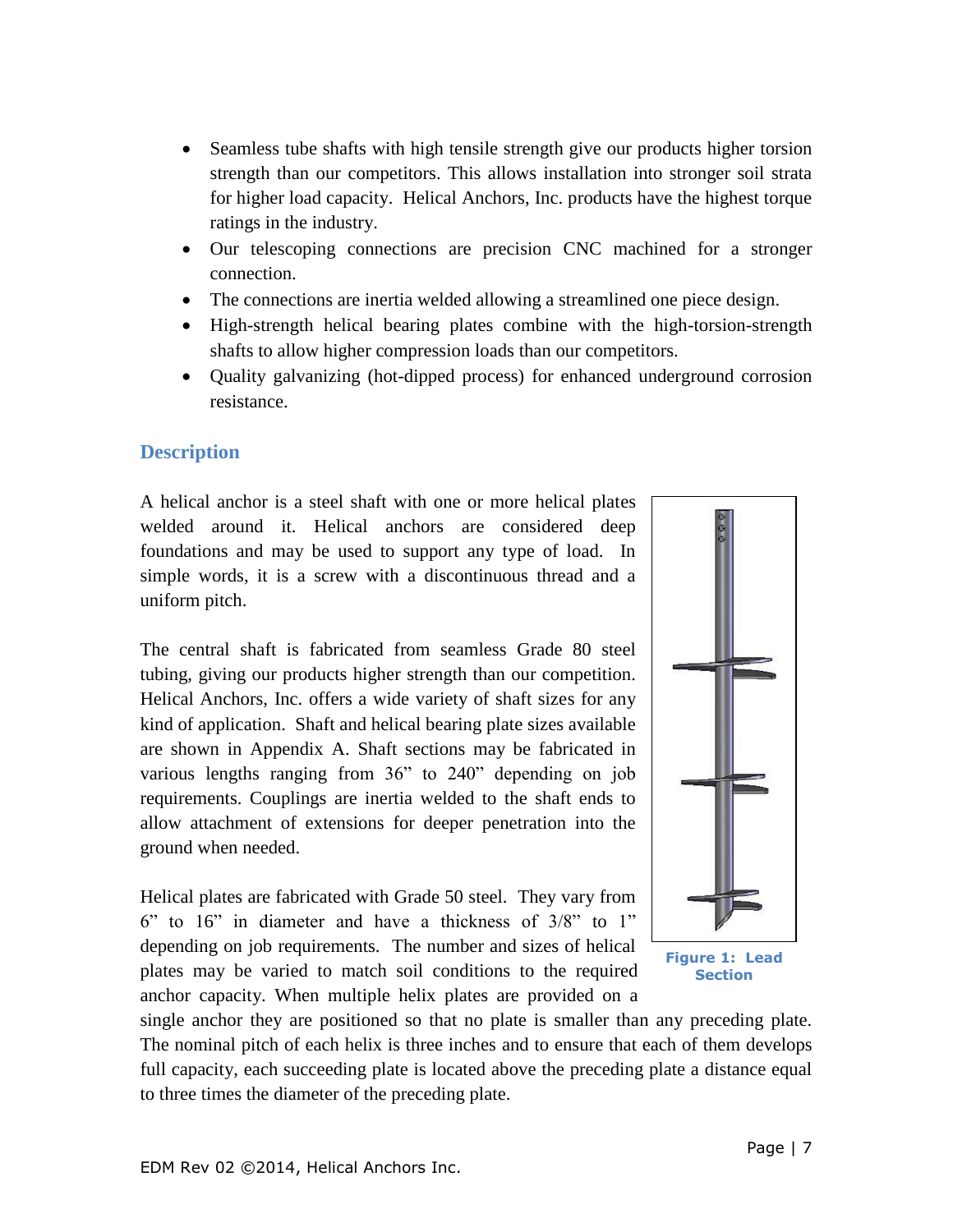- Seamless tube shafts with high tensile strength give our products higher torsion strength than our competitors. This allows installation into stronger soil strata for higher load capacity. Helical Anchors, Inc. products have the highest torque ratings in the industry.
- Our telescoping connections are precision CNC machined for a stronger connection.
- The connections are inertia welded allowing a streamlined one piece design.
- High-strength helical bearing plates combine with the high-torsion-strength shafts to allow higher compression loads than our competitors.
- Quality galvanizing (hot-dipped process) for enhanced underground corrosion resistance.

#### <span id="page-6-0"></span>**Description**

A helical anchor is a steel shaft with one or more helical plates welded around it. Helical anchors are considered deep foundations and may be used to support any type of load. In simple words, it is a screw with a discontinuous thread and a uniform pitch.

The central shaft is fabricated from seamless Grade 80 steel tubing, giving our products higher strength than our competition. Helical Anchors, Inc. offers a wide variety of shaft sizes for any kind of application. Shaft and helical bearing plate sizes available are shown in Appendix A. Shaft sections may be fabricated in various lengths ranging from 36" to 240" depending on job requirements. Couplings are inertia welded to the shaft ends to allow attachment of extensions for deeper penetration into the ground when needed.

Helical plates are fabricated with Grade 50 steel. They vary from 6" to 16" in diameter and have a thickness of 3/8" to 1" depending on job requirements. The number and sizes of helical plates may be varied to match soil conditions to the required anchor capacity. When multiple helix plates are provided on a





single anchor they are positioned so that no plate is smaller than any preceding plate. The nominal pitch of each helix is three inches and to ensure that each of them develops full capacity, each succeeding plate is located above the preceding plate a distance equal to three times the diameter of the preceding plate.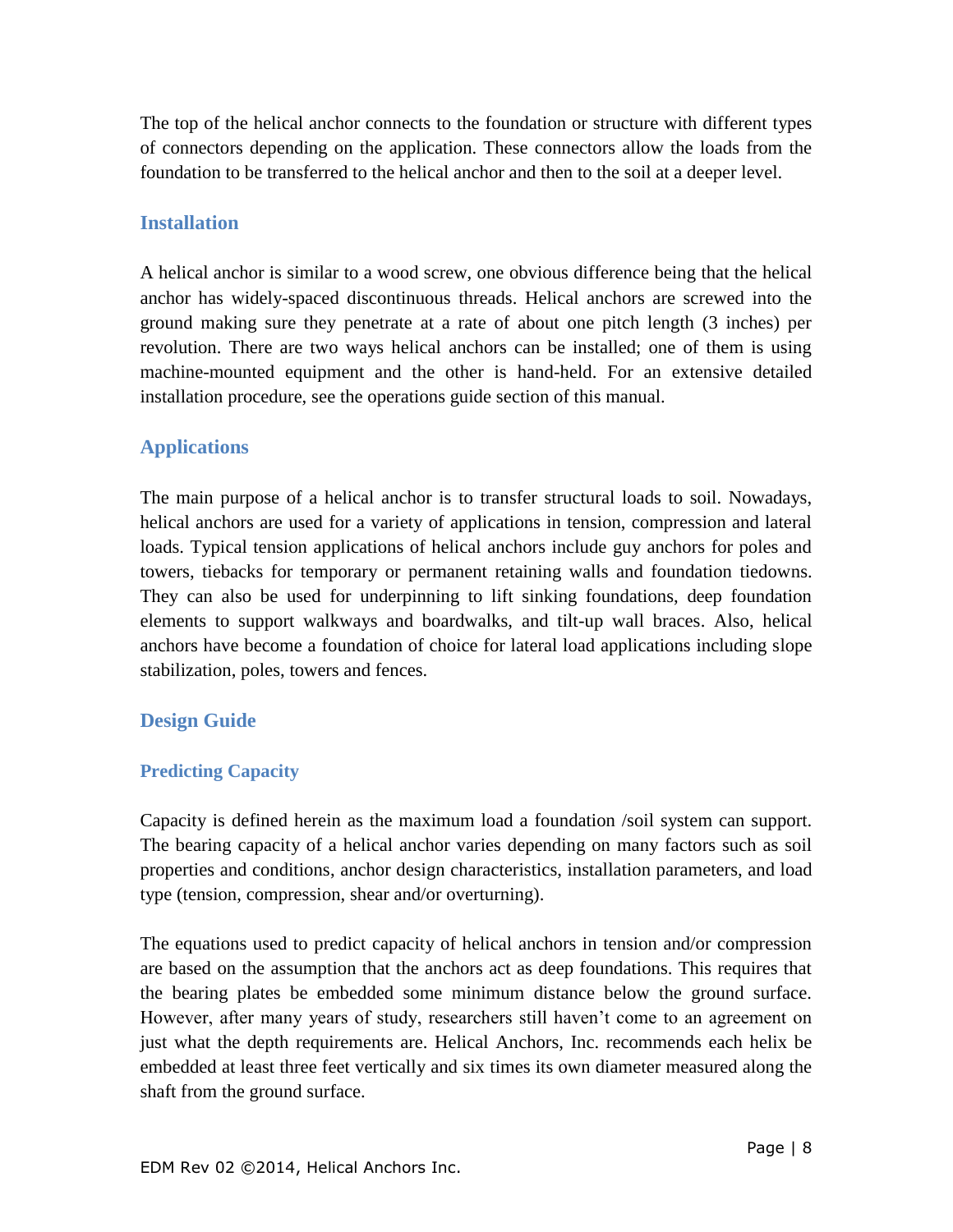The top of the helical anchor connects to the foundation or structure with different types of connectors depending on the application. These connectors allow the loads from the foundation to be transferred to the helical anchor and then to the soil at a deeper level.

#### <span id="page-7-0"></span>**Installation**

A helical anchor is similar to a wood screw, one obvious difference being that the helical anchor has widely-spaced discontinuous threads. Helical anchors are screwed into the ground making sure they penetrate at a rate of about one pitch length (3 inches) per revolution. There are two ways helical anchors can be installed; one of them is using machine-mounted equipment and the other is hand-held. For an extensive detailed installation procedure, see the operations guide section of this manual.

#### <span id="page-7-1"></span>**Applications**

The main purpose of a helical anchor is to transfer structural loads to soil. Nowadays, helical anchors are used for a variety of applications in tension, compression and lateral loads. Typical tension applications of helical anchors include guy anchors for poles and towers, tiebacks for temporary or permanent retaining walls and foundation tiedowns. They can also be used for underpinning to lift sinking foundations, deep foundation elements to support walkways and boardwalks, and tilt-up wall braces. Also, helical anchors have become a foundation of choice for lateral load applications including slope stabilization, poles, towers and fences.

#### <span id="page-7-2"></span>**Design Guide**

#### <span id="page-7-3"></span>**Predicting Capacity**

Capacity is defined herein as the maximum load a foundation /soil system can support. The bearing capacity of a helical anchor varies depending on many factors such as soil properties and conditions, anchor design characteristics, installation parameters, and load type (tension, compression, shear and/or overturning).

The equations used to predict capacity of helical anchors in tension and/or compression are based on the assumption that the anchors act as deep foundations. This requires that the bearing plates be embedded some minimum distance below the ground surface. However, after many years of study, researchers still haven't come to an agreement on just what the depth requirements are. Helical Anchors, Inc. recommends each helix be embedded at least three feet vertically and six times its own diameter measured along the shaft from the ground surface.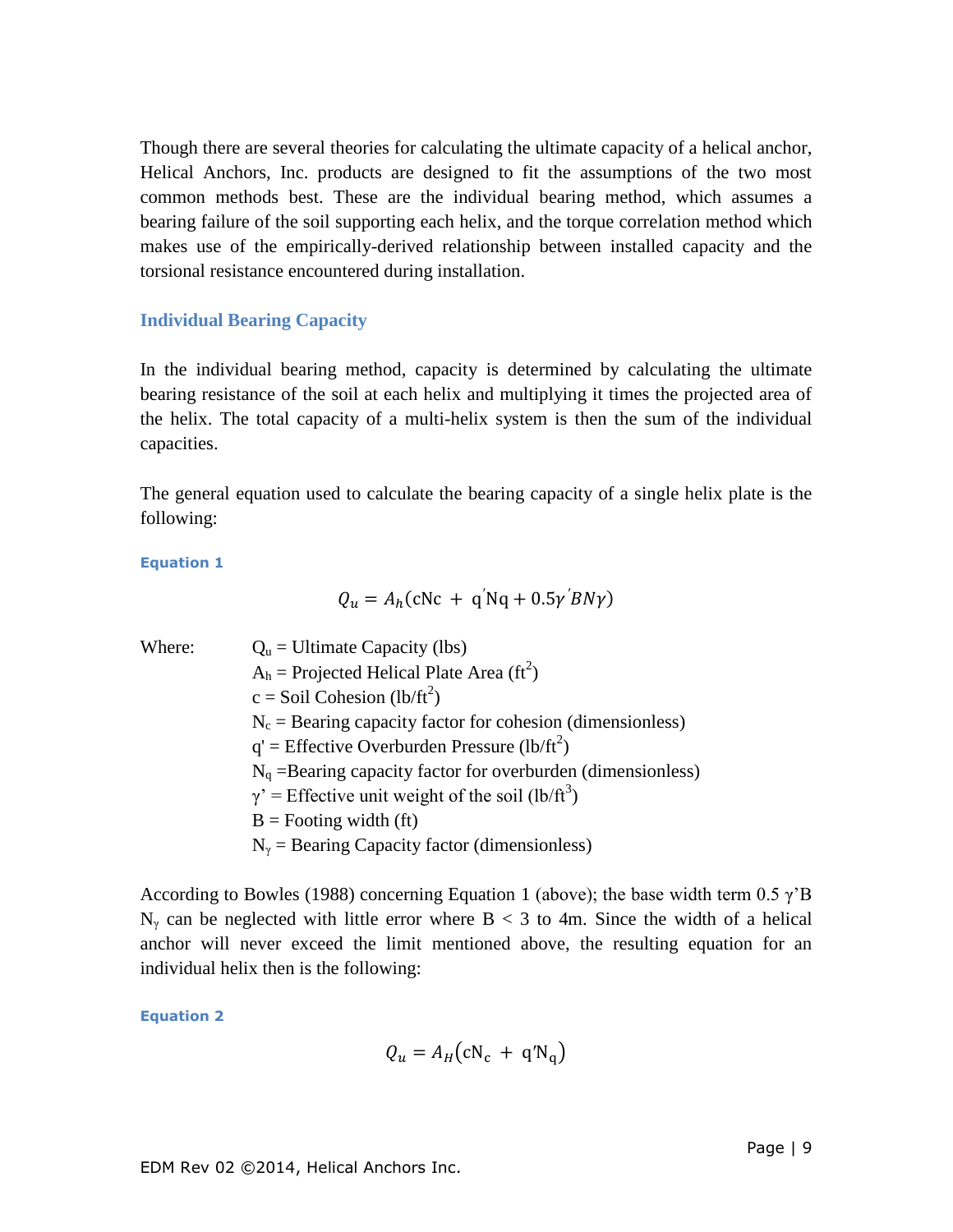Though there are several theories for calculating the ultimate capacity of a helical anchor, Helical Anchors, Inc. products are designed to fit the assumptions of the two most common methods best. These are the individual bearing method, which assumes a bearing failure of the soil supporting each helix, and the torque correlation method which makes use of the empirically-derived relationship between installed capacity and the torsional resistance encountered during installation.

#### <span id="page-8-0"></span>**Individual Bearing Capacity**

In the individual bearing method, capacity is determined by calculating the ultimate bearing resistance of the soil at each helix and multiplying it times the projected area of the helix. The total capacity of a multi-helix system is then the sum of the individual capacities.

The general equation used to calculate the bearing capacity of a single helix plate is the following:

**Equation 1**

$$
Q_u = A_h(\text{cNc} + \text{q}'\text{Nq} + 0.5\gamma'BN\gamma)
$$

Where:  $Q_u = \text{Ultimate Capacity (lbs)}$  $A_h$  = Projected Helical Plate Area (ft<sup>2</sup>)  $c =$  Soil Cohesion (lb/ft<sup>2</sup>)  $N_c$  = Bearing capacity factor for cohesion (dimensionless)  $q'$  = Effective Overburden Pressure (lb/ft<sup>2</sup>)  $N_q$  =Bearing capacity factor for overburden (dimensionless)  $\gamma'$  = Effective unit weight of the soil (lb/ft<sup>3</sup>)  $B =$  Footing width (ft)  $N_{\gamma}$  = Bearing Capacity factor (dimensionless)

According to Bowles (1988) concerning Equation 1 (above); the base width term  $0.5 \gamma' B$  $N_{\gamma}$  can be neglected with little error where B < 3 to 4m. Since the width of a helical anchor will never exceed the limit mentioned above, the resulting equation for an individual helix then is the following:

**Equation 2**

$$
Q_u = A_H (c N_c + q' N_q)
$$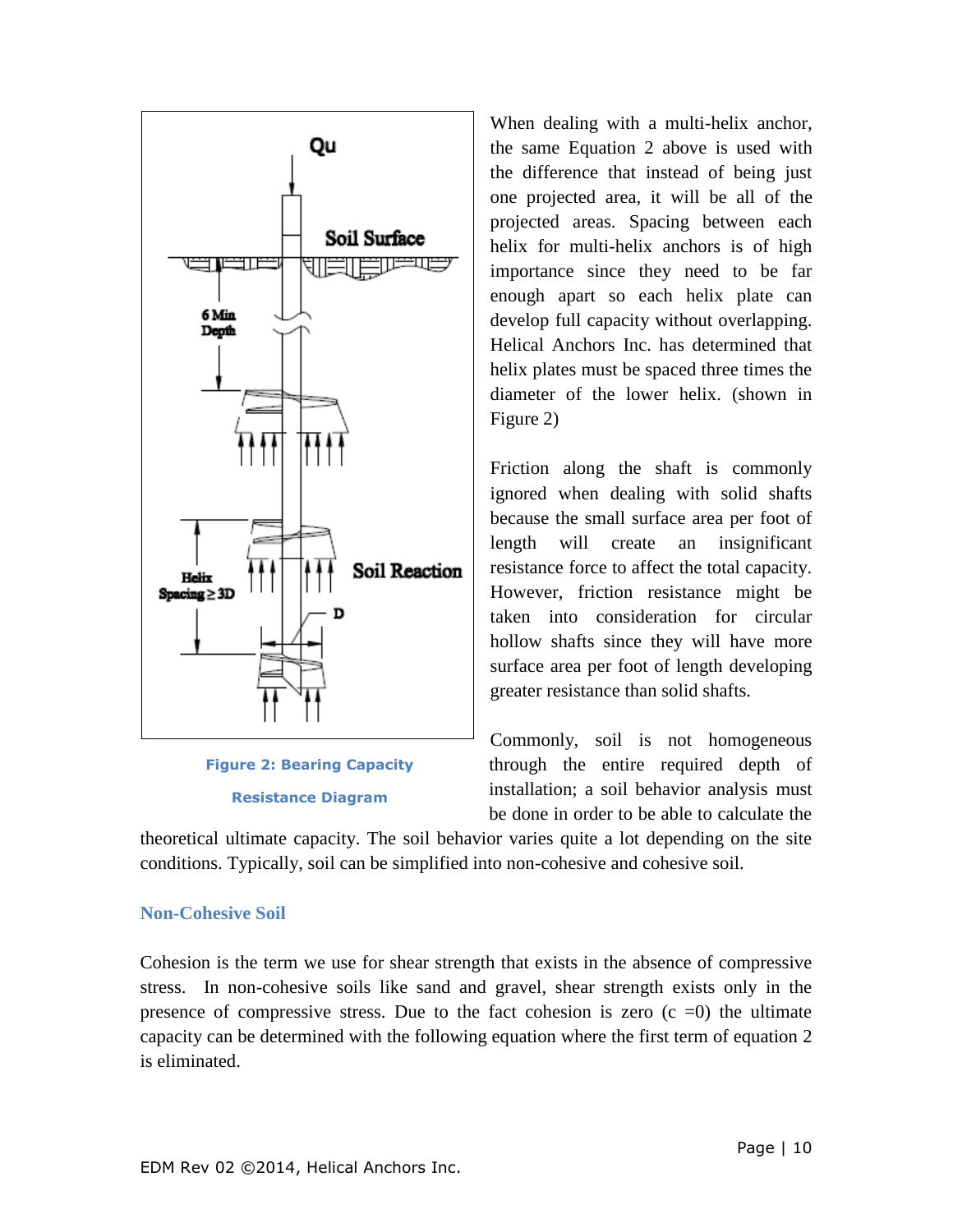

**Figure 2: Bearing Capacity Resistance Diagram**

When dealing with a multi-helix anchor, the same Equation 2 above is used with the difference that instead of being just one projected area, it will be all of the projected areas. Spacing between each helix for multi-helix anchors is of high importance since they need to be far enough apart so each helix plate can develop full capacity without overlapping. Helical Anchors Inc. has determined that helix plates must be spaced three times the diameter of the lower helix. (shown in Figure 2)

Friction along the shaft is commonly ignored when dealing with solid shafts because the small surface area per foot of length will create an insignificant resistance force to affect the total capacity. However, friction resistance might be taken into consideration for circular hollow shafts since they will have more surface area per foot of length developing greater resistance than solid shafts.

Commonly, soil is not homogeneous through the entire required depth of installation; a soil behavior analysis must be done in order to be able to calculate the

theoretical ultimate capacity. The soil behavior varies quite a lot depending on the site conditions. Typically, soil can be simplified into non-cohesive and cohesive soil.

#### <span id="page-9-0"></span>**Non-Cohesive Soil**

Cohesion is the term we use for shear strength that exists in the absence of compressive stress. In non-cohesive soils like sand and gravel, shear strength exists only in the presence of compressive stress. Due to the fact cohesion is zero  $(c = 0)$  the ultimate capacity can be determined with the following equation where the first term of equation 2 is eliminated.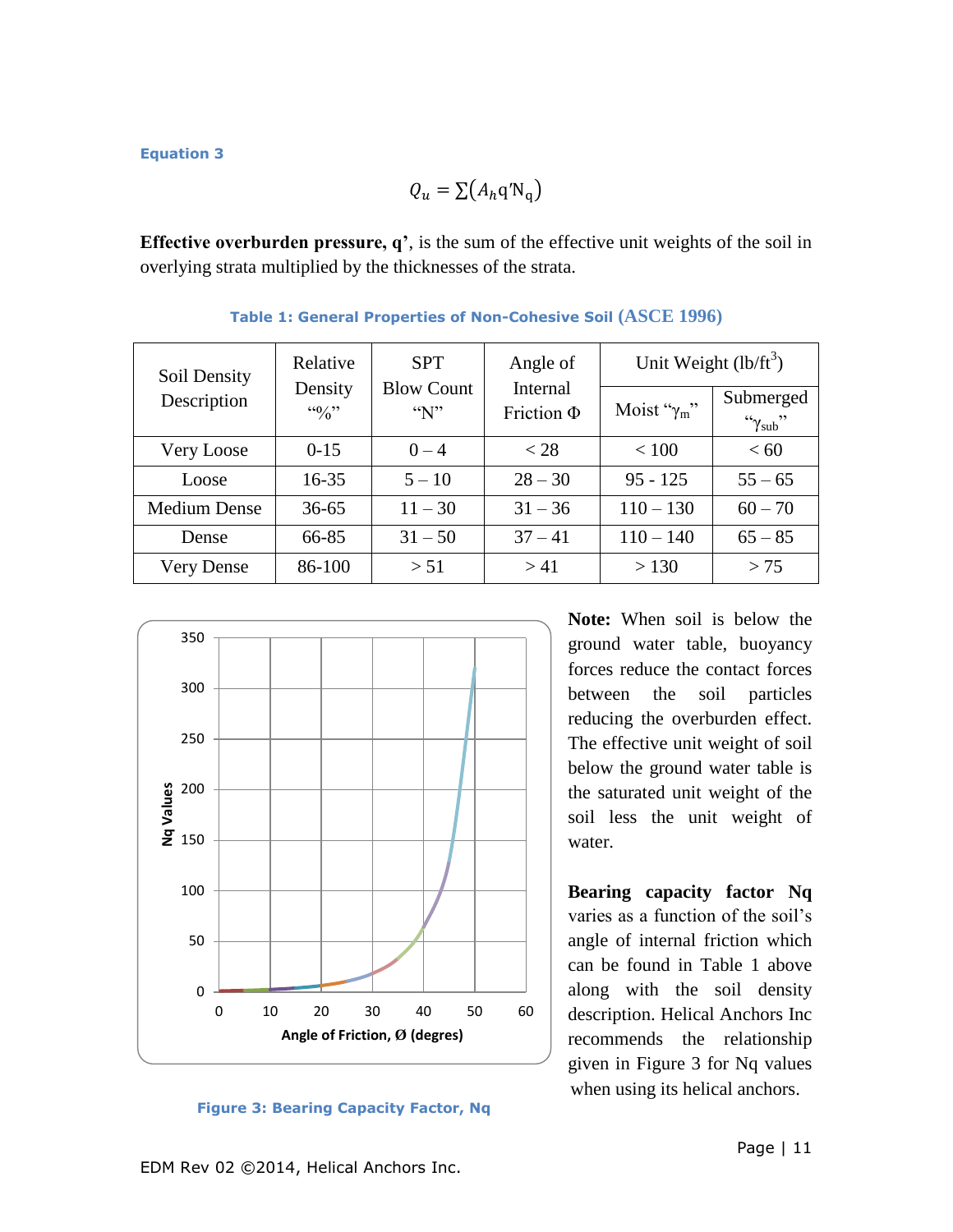$$
Q_u = \sum (A_h \mathbf{q}' \mathbf{N}_\mathbf{q})
$$

**Effective overburden pressure, q'**, is the sum of the effective unit weights of the soil in overlying strata multiplied by the thicknesses of the strata.

| Soil Density        | Relative                      | <b>SPT</b>                   | Angle of                    | Unit Weight $(lb/ft^3)$ |                               |  |
|---------------------|-------------------------------|------------------------------|-----------------------------|-------------------------|-------------------------------|--|
| Description         | Density<br>$\mathfrak{g}_{0}$ | <b>Blow Count</b><br>" $N$ " | Internal<br>Friction $\Phi$ | Moist " $\gamma_m$ "    | Submerged<br>$\gamma_{sub}$ " |  |
|                     |                               |                              |                             |                         |                               |  |
| Very Loose          | $0 - 15$                      | $0 - 4$                      | $<$ 28                      | < 100                   | < 60                          |  |
| Loose               | $16 - 35$                     | $5 - 10$                     | $28 - 30$                   | $95 - 125$              | $55 - 65$                     |  |
| <b>Medium Dense</b> | $36 - 65$                     | $11 - 30$                    | $31 - 36$                   | $110 - 130$             | $60 - 70$                     |  |
| Dense               | 66-85                         | $31 - 50$                    | $37 - 41$                   | $110 - 140$             | $65 - 85$                     |  |
| Very Dense          | 86-100                        | > 51                         | >41                         | > 130                   | > 75                          |  |

**Table 1: General Properties of Non-Cohesive Soil (ASCE 1996)**



#### **Figure 3: Bearing Capacity Factor, Nq**

**Note:** When soil is below the ground water table, buoyancy forces reduce the contact forces between the soil particles reducing the overburden effect. The effective unit weight of soil below the ground water table is the saturated unit weight of the soil less the unit weight of water.

**Bearing capacity factor Nq**  varies as a function of the soil's angle of internal friction which can be found in Table 1 above along with the soil density description. Helical Anchors Inc recommends the relationship given in Figure 3 for Nq values when using its helical anchors.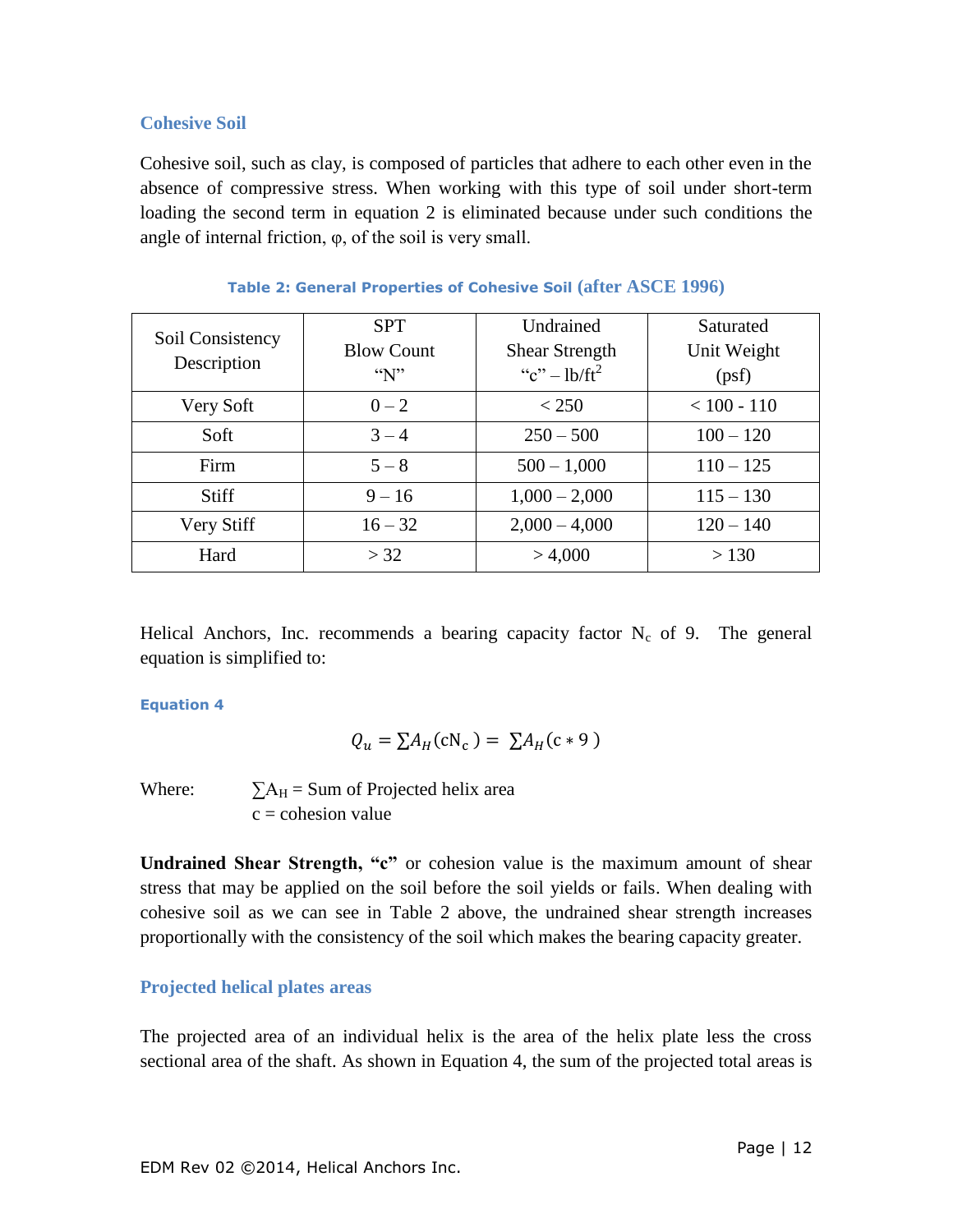#### <span id="page-11-0"></span>**Cohesive Soil**

Cohesive soil, such as clay, is composed of particles that adhere to each other even in the absence of compressive stress. When working with this type of soil under short-term loading the second term in equation 2 is eliminated because under such conditions the angle of internal friction,  $\varphi$ , of the soil is very small.

| Soil Consistency<br>Description | <b>SPT</b><br><b>Blow Count</b><br>$\sqrt{\mathrm{N}}$ | Undrained<br><b>Shear Strength</b><br>"c" – $lb/ft^2$ | Saturated<br>Unit Weight<br>(psf) |
|---------------------------------|--------------------------------------------------------|-------------------------------------------------------|-----------------------------------|
| Very Soft                       | $0 - 2$                                                | < 250                                                 | $< 100 - 110$                     |
| Soft                            | $3 - 4$                                                | $250 - 500$                                           | $100 - 120$                       |
| Firm                            | $5 - 8$                                                | $500 - 1,000$                                         | $110 - 125$                       |
| <b>Stiff</b>                    | $9 - 16$                                               | $1,000 - 2,000$                                       | $115 - 130$                       |
| Very Stiff                      | $16 - 32$                                              | $2,000 - 4,000$                                       | $120 - 140$                       |
| Hard                            | >32                                                    | > 4,000                                               | > 130                             |

#### **Table 2: General Properties of Cohesive Soil (after ASCE 1996)**

Helical Anchors, Inc. recommends a bearing capacity factor  $N_c$  of 9. The general equation is simplified to:

#### **Equation 4**

$$
Q_u = \sum A_H(\text{cN}_c) = \sum A_H(c * 9)
$$

Where:  $\sum A_H =$  Sum of Projected helix area  $c =$ cohesion value

**Undrained Shear Strength, "c"** or cohesion value is the maximum amount of shear stress that may be applied on the soil before the soil yields or fails. When dealing with cohesive soil as we can see in Table 2 above, the undrained shear strength increases proportionally with the consistency of the soil which makes the bearing capacity greater.

#### <span id="page-11-1"></span>**Projected helical plates areas**

The projected area of an individual helix is the area of the helix plate less the cross sectional area of the shaft. As shown in Equation 4, the sum of the projected total areas is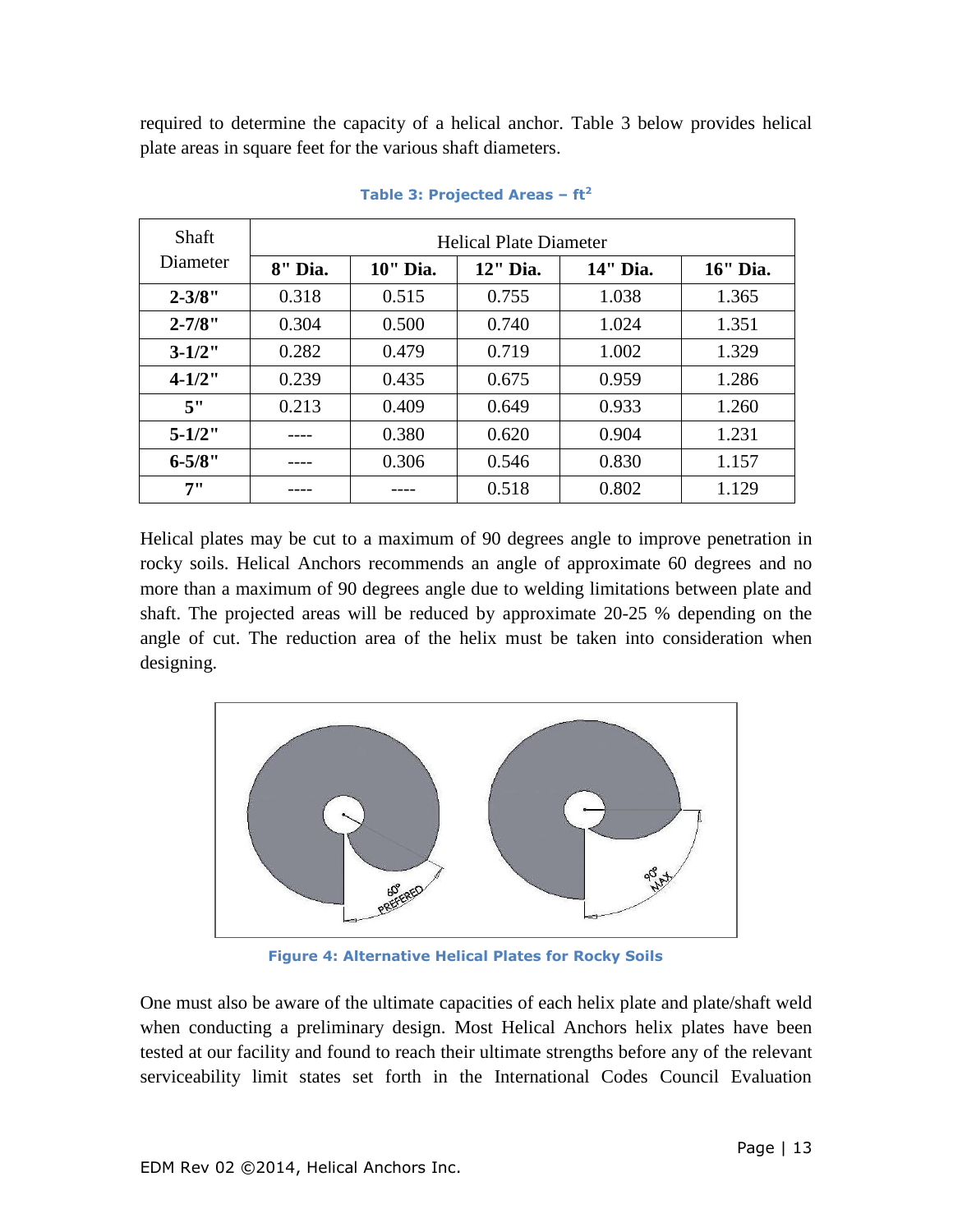required to determine the capacity of a helical anchor. Table 3 below provides helical plate areas in square feet for the various shaft diameters.

| Shaft       | Helical Plate Diameter |          |          |          |          |  |  |  |
|-------------|------------------------|----------|----------|----------|----------|--|--|--|
| Diameter    | 8" Dia.                | 10" Dia. | 12" Dia. | 14" Dia. | 16" Dia. |  |  |  |
| $2 - 3/8"$  | 0.318                  | 0.515    | 0.755    | 1.038    | 1.365    |  |  |  |
| $2 - 7/8"$  | 0.304                  | 0.500    | 0.740    | 1.024    | 1.351    |  |  |  |
| $3 - 1/2$ " | 0.282                  | 0.479    | 0.719    | 1.002    | 1.329    |  |  |  |
| $4 - 1/2$ " | 0.239                  | 0.435    | 0.675    | 0.959    | 1.286    |  |  |  |
| 5"          | 0.213                  | 0.409    | 0.649    | 0.933    | 1.260    |  |  |  |
| $5 - 1/2$ " |                        | 0.380    | 0.620    | 0.904    | 1.231    |  |  |  |
| $6 - 5/8"$  |                        | 0.306    | 0.546    | 0.830    | 1.157    |  |  |  |
| 7"          |                        |          | 0.518    | 0.802    | 1.129    |  |  |  |

**Table 3: Projected Areas – ft<sup>2</sup>**

Helical plates may be cut to a maximum of 90 degrees angle to improve penetration in rocky soils. Helical Anchors recommends an angle of approximate 60 degrees and no more than a maximum of 90 degrees angle due to welding limitations between plate and shaft. The projected areas will be reduced by approximate 20-25 % depending on the angle of cut. The reduction area of the helix must be taken into consideration when designing.



**Figure 4: Alternative Helical Plates for Rocky Soils**

One must also be aware of the ultimate capacities of each helix plate and plate/shaft weld when conducting a preliminary design. Most Helical Anchors helix plates have been tested at our facility and found to reach their ultimate strengths before any of the relevant serviceability limit states set forth in the International Codes Council Evaluation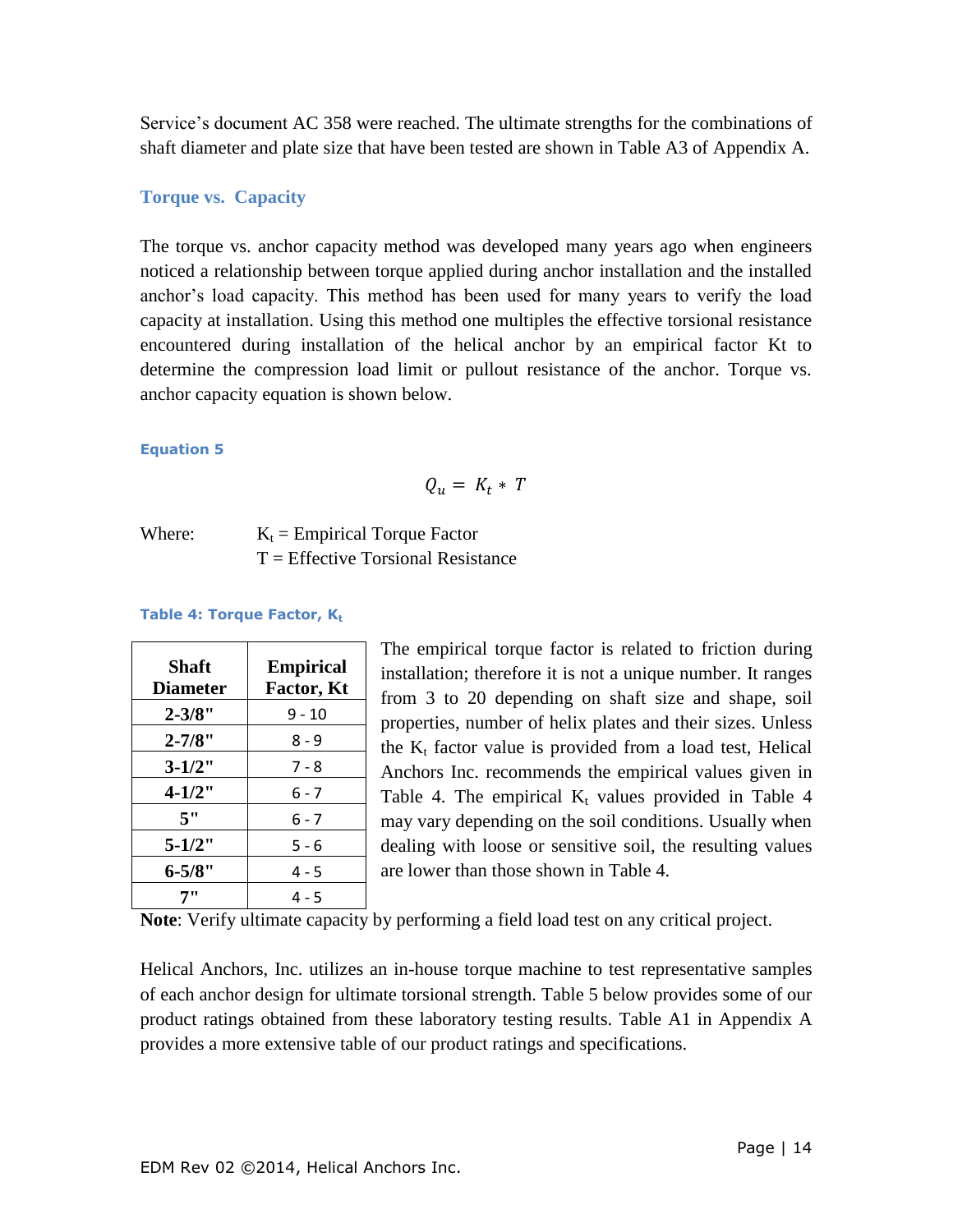Service's document AC 358 were reached. The ultimate strengths for the combinations of shaft diameter and plate size that have been tested are shown in Table A3 of Appendix A.

#### <span id="page-13-0"></span>**Torque vs. Capacity**

The torque vs. anchor capacity method was developed many years ago when engineers noticed a relationship between torque applied during anchor installation and the installed anchor's load capacity. This method has been used for many years to verify the load capacity at installation. Using this method one multiples the effective torsional resistance encountered during installation of the helical anchor by an empirical factor Kt to determine the compression load limit or pullout resistance of the anchor. Torque vs. anchor capacity equation is shown below.

#### **Equation 5**

$$
Q_u = K_t * T
$$

Where:  $K_t = Empirical Torque Factor$  $T =$  Effective Torsional Resistance

#### **Table 4: Torque Factor, K<sup>t</sup>**

| Shaft<br><b>Diameter</b> | <b>Empirical</b><br><b>Factor, Kt</b> |
|--------------------------|---------------------------------------|
| $2 - 3/8"$               | 9 - 10                                |
| $2 - 7/8"$               | 8 - 9                                 |
| $3 - 1/2"$               | 7 - 8                                 |
| $4 - 1/2"$               | $6 - 7$                               |
| 5"                       | ճ - 7                                 |
| $5 - 1/2"$               | $5 - 6$                               |
| $6 - 5/8"$               | 4 - 5                                 |
|                          | 4 - 5                                 |

The empirical torque factor is related to friction during installation; therefore it is not a unique number. It ranges from 3 to 20 depending on shaft size and shape, soil properties, number of helix plates and their sizes. Unless the  $K_t$  factor value is provided from a load test, Helical Anchors Inc. recommends the empirical values given in Table 4. The empirical  $K_t$  values provided in Table 4 may vary depending on the soil conditions. Usually when dealing with loose or sensitive soil, the resulting values are lower than those shown in Table 4.

**Note**: Verify ultimate capacity by performing a field load test on any critical project.

Helical Anchors, Inc. utilizes an in-house torque machine to test representative samples of each anchor design for ultimate torsional strength. Table 5 below provides some of our product ratings obtained from these laboratory testing results. Table A1 in Appendix A provides a more extensive table of our product ratings and specifications.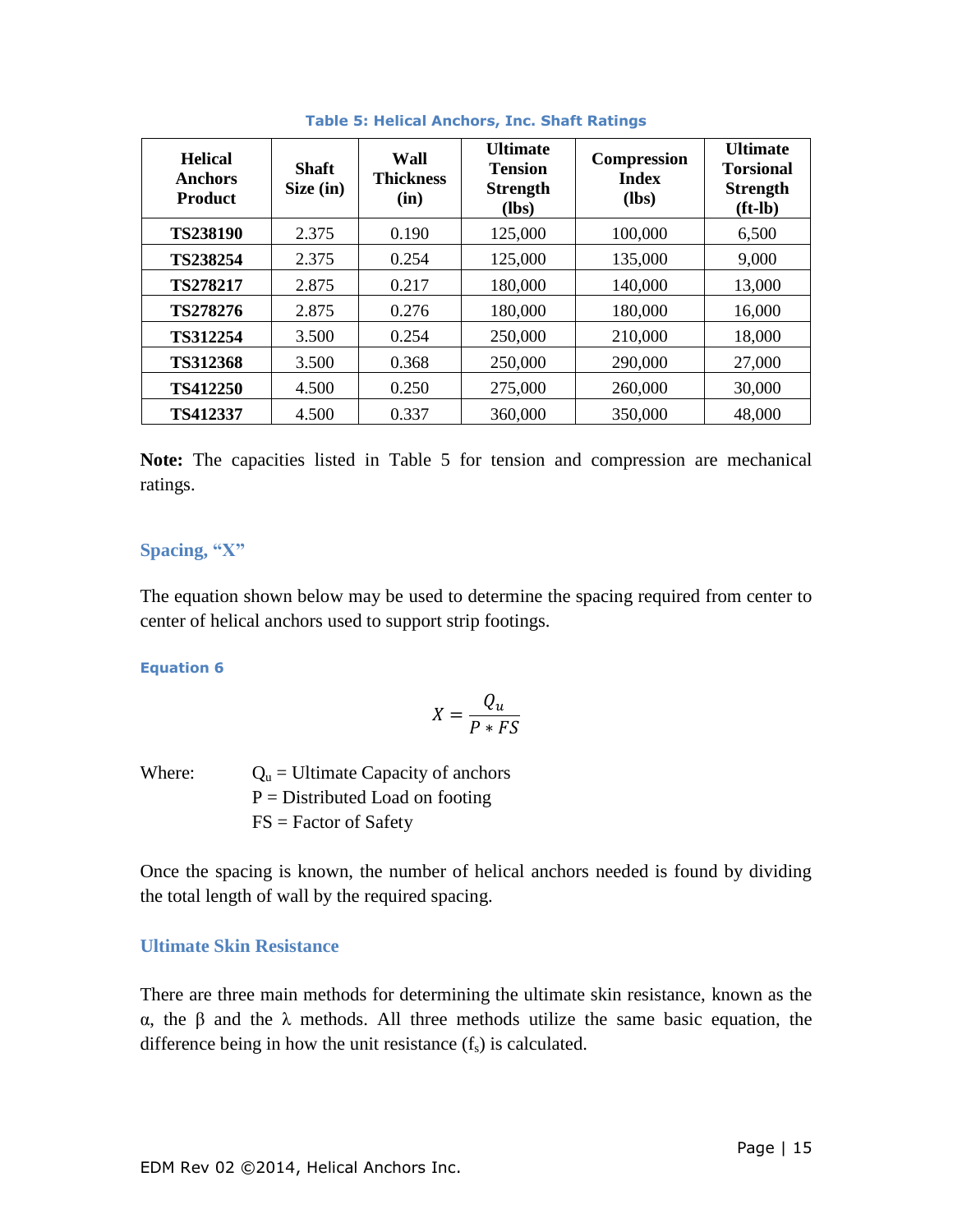| <b>Helical</b><br>Anchors<br><b>Product</b> | <b>Shaft</b><br>Size (in) | Wall<br><b>Thickness</b><br>(in) | <b>Ultimate</b><br><b>Tension</b><br><b>Strength</b><br>$(lbs)$ | Compression<br><b>Index</b><br>$(lbs)$ | <b>Ultimate</b><br><b>Torsional</b><br><b>Strength</b><br>$(ft-lb)$ |
|---------------------------------------------|---------------------------|----------------------------------|-----------------------------------------------------------------|----------------------------------------|---------------------------------------------------------------------|
| <b>TS238190</b>                             | 2.375                     | 0.190                            | 125,000                                                         | 100,000                                | 6,500                                                               |
| TS238254                                    | 2.375                     | 0.254                            | 125,000                                                         | 135,000                                | 9,000                                                               |
| TS278217                                    | 2.875                     | 0.217                            | 180,000                                                         | 140,000                                | 13,000                                                              |
| TS278276                                    | 2.875                     | 0.276                            | 180,000                                                         | 180,000                                | 16,000                                                              |
| TS312254                                    | 3.500                     | 0.254                            | 250,000                                                         | 210,000                                | 18,000                                                              |
| <b>TS312368</b>                             | 3.500                     | 0.368                            | 250,000                                                         | 290,000                                | 27,000                                                              |
| TS412250                                    | 4.500                     | 0.250                            | 275,000                                                         | 260,000                                | 30,000                                                              |
| TS412337                                    | 4.500                     | 0.337                            | 360,000                                                         | 350,000                                | 48,000                                                              |

#### **Table 5: Helical Anchors, Inc. Shaft Ratings**

**Note:** The capacities listed in Table 5 for tension and compression are mechanical ratings.

#### **Spacing, "X"**

The equation shown below may be used to determine the spacing required from center to center of helical anchors used to support strip footings.

#### **Equation 6**

$$
X = \frac{Q_u}{P * FS}
$$

Where:  $Q_u =$  Ultimate Capacity of anchors  $P =$  Distributed Load on footing FS = Factor of Safety

Once the spacing is known, the number of helical anchors needed is found by dividing the total length of wall by the required spacing.

#### <span id="page-14-0"></span>**Ultimate Skin Resistance**

There are three main methods for determining the ultimate skin resistance, known as the α, the β and the λ methods. All three methods utilize the same basic equation, the difference being in how the unit resistance  $(f_s)$  is calculated.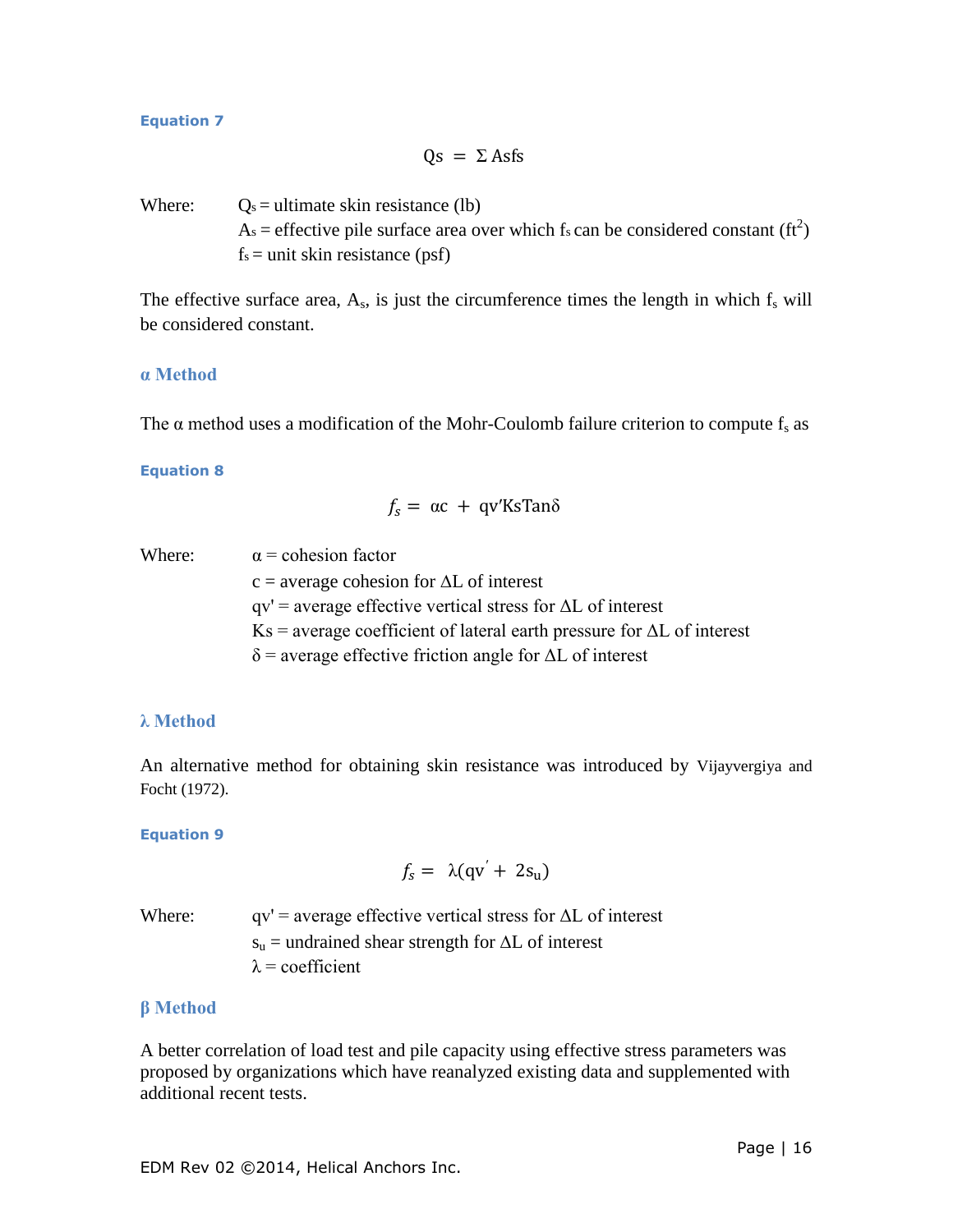#### **Equation 7**

$$
Qs = \Sigma \text{ Asfs}
$$

Where:  $Q_s =$  ultimate skin resistance (lb) As = effective pile surface area over which fs can be considered constant  $(ft^2)$  $f_s =$ unit skin resistance (psf)

The effective surface area,  $A_s$ , is just the circumference times the length in which  $f_s$  will be considered constant.

#### <span id="page-15-0"></span>**α Method**

The  $\alpha$  method uses a modification of the Mohr-Coulomb failure criterion to compute  $f_s$  as

#### **Equation 8**

$$
f_s = \alpha c + qv' Ks Tan\delta
$$

Where:  $\alpha$  = cohesion factor

 $c = average cohesion for  $\Delta L$  of interest$  $qv'$  = average effective vertical stress for  $\Delta L$  of interest  $Ks$  = average coefficient of lateral earth pressure for  $\Delta L$  of interest  $\delta$  = average effective friction angle for  $\Delta L$  of interest

#### <span id="page-15-1"></span>**λ Method**

An alternative method for obtaining skin resistance was introduced by Vijayvergiya and Focht (1972).

#### **Equation 9**

 $f_s = \lambda (qv' + 2s_u)$ 

| Where: | $qv'$ = average effective vertical stress for $\Delta L$ of interest |
|--------|----------------------------------------------------------------------|
|        | $s_u$ = undrained shear strength for $\Delta L$ of interest          |
|        | $\lambda$ = coefficient                                              |

#### <span id="page-15-2"></span>**β Method**

A better correlation of load test and pile capacity using effective stress parameters was proposed by organizations which have reanalyzed existing data and supplemented with additional recent tests.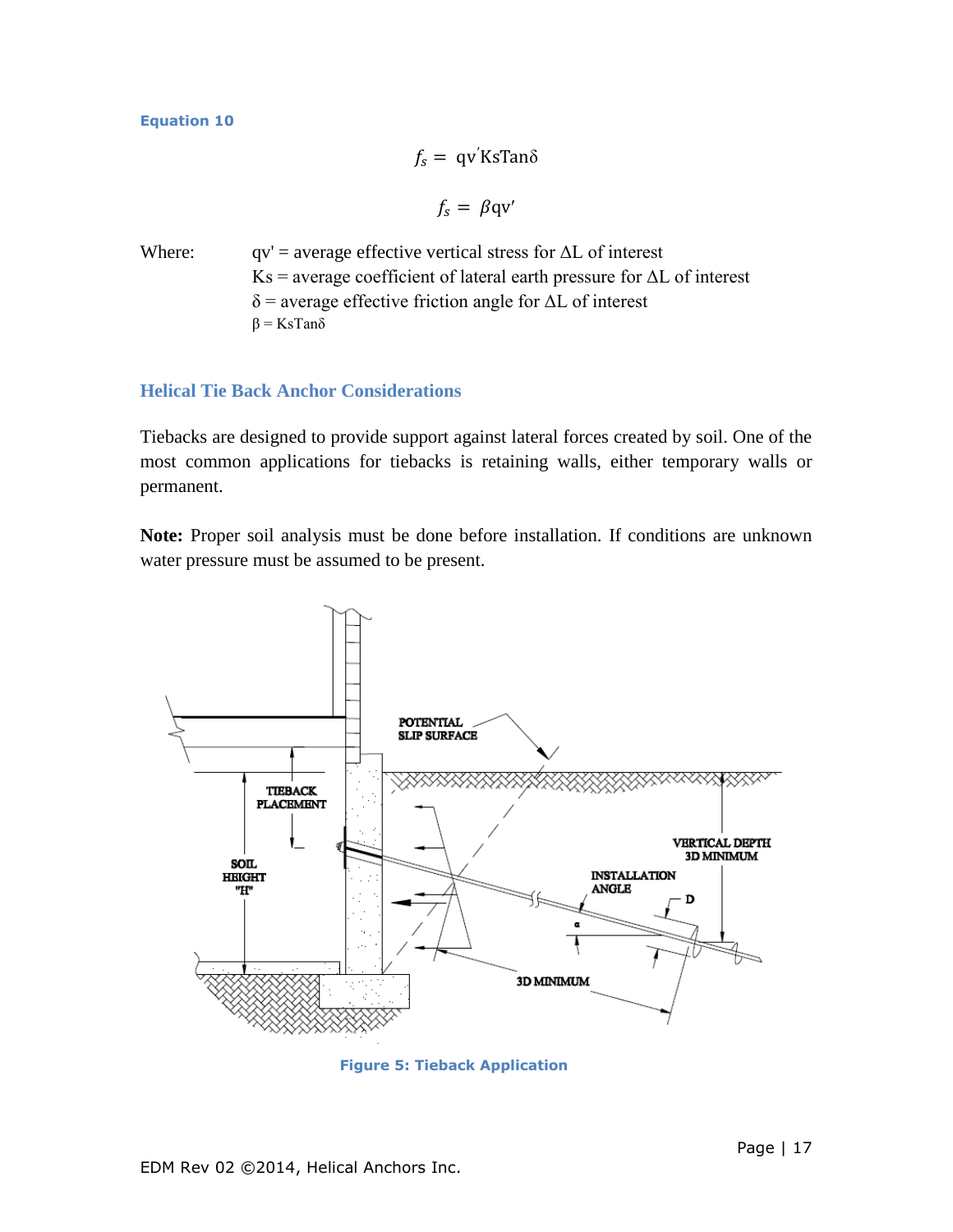#### **Equation 10**

$$
f_s = \text{qv}' \text{KsTan}\delta
$$

$$
f_s = \beta \text{qv}'
$$

Where:  $qv' = average effective vertical stress for  $\Delta L$  of interest$  $Ks$  = average coefficient of lateral earth pressure for  $\Delta L$  of interest  $\delta$  = average effective friction angle for  $\Delta L$  of interest  $β = KsTanδ$ 

#### <span id="page-16-0"></span>**Helical Tie Back Anchor Considerations**

Tiebacks are designed to provide support against lateral forces created by soil. One of the most common applications for tiebacks is retaining walls, either temporary walls or permanent.

**Note:** Proper soil analysis must be done before installation. If conditions are unknown water pressure must be assumed to be present.



**Figure 5: Tieback Application**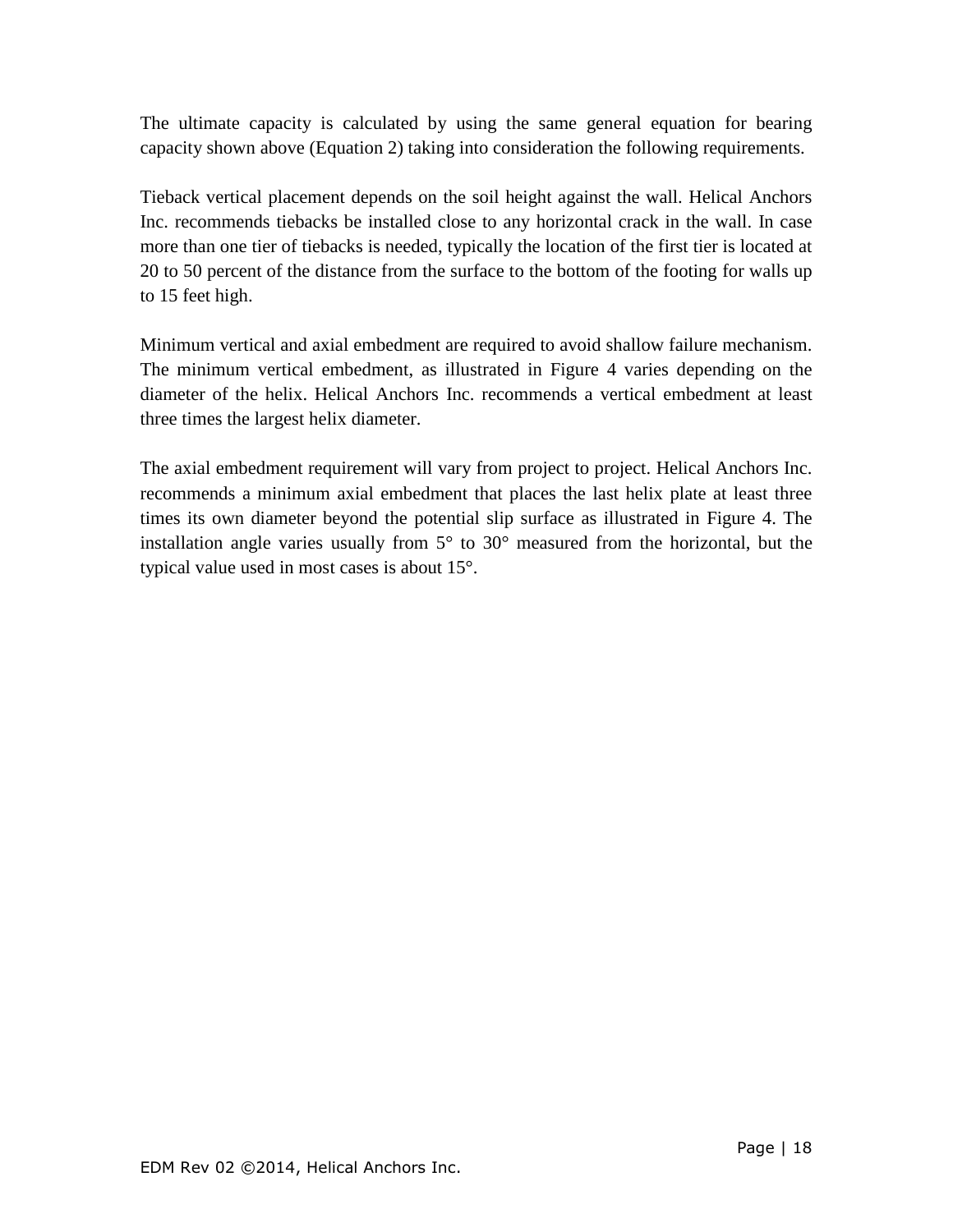The ultimate capacity is calculated by using the same general equation for bearing capacity shown above (Equation 2) taking into consideration the following requirements.

Tieback vertical placement depends on the soil height against the wall. Helical Anchors Inc. recommends tiebacks be installed close to any horizontal crack in the wall. In case more than one tier of tiebacks is needed, typically the location of the first tier is located at 20 to 50 percent of the distance from the surface to the bottom of the footing for walls up to 15 feet high.

Minimum vertical and axial embedment are required to avoid shallow failure mechanism. The minimum vertical embedment, as illustrated in Figure 4 varies depending on the diameter of the helix. Helical Anchors Inc. recommends a vertical embedment at least three times the largest helix diameter.

The axial embedment requirement will vary from project to project. Helical Anchors Inc. recommends a minimum axial embedment that places the last helix plate at least three times its own diameter beyond the potential slip surface as illustrated in Figure 4. The installation angle varies usually from 5° to 30° measured from the horizontal, but the typical value used in most cases is about 15°.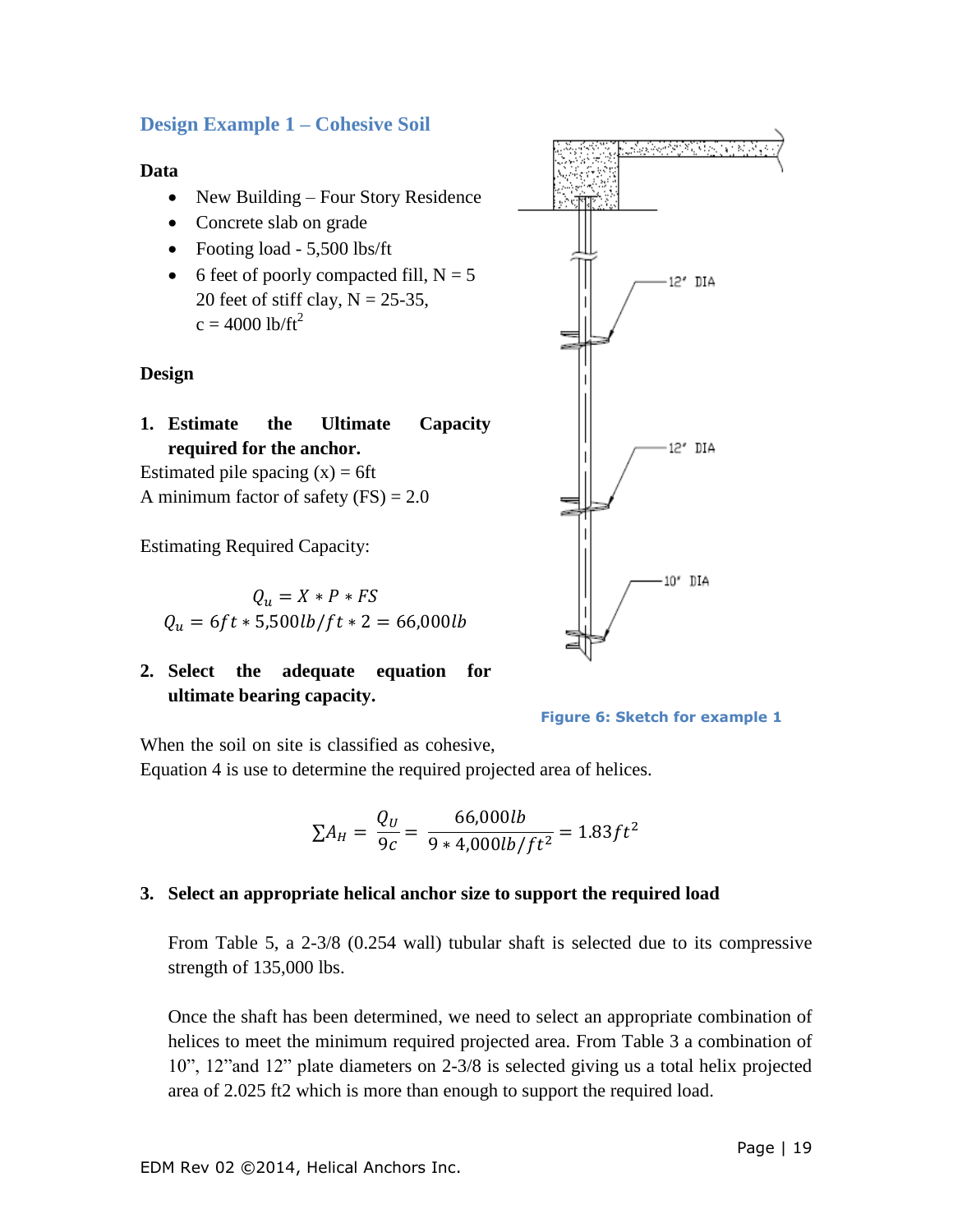#### <span id="page-18-0"></span>**Design Example 1 – Cohesive Soil**

#### **Data**

- New Building Four Story Residence
- Concrete slab on grade
- Footing load 5,500 lbs/ft
- 6 feet of poorly compacted fill,  $N = 5$ 20 feet of stiff clay,  $N = 25-35$ ,  $c = 4000$  lb/ft<sup>2</sup>

#### **Design**

**1. Estimate the Ultimate Capacity required for the anchor.**

Estimated pile spacing  $(x) = 6$ ft A minimum factor of safety  $(FS) = 2.0$ 

Estimating Required Capacity:

$$
Q_u = X * P * FS
$$
  

$$
Q_u = 6ft * 5,500lb/ft * 2 = 66,000lb
$$

**2. Select the adequate equation for ultimate bearing capacity.**



#### **Figure 6: Sketch for example 1**

When the soil on site is classified as cohesive,

Equation 4 is use to determine the required projected area of helices.

$$
\Sigma A_H = \frac{Q_U}{9c} = \frac{66,000lb}{9 * 4,000lb/ft^2} = 1.83 ft^2
$$

#### **3. Select an appropriate helical anchor size to support the required load**

From Table 5, a 2-3/8 (0.254 wall) tubular shaft is selected due to its compressive strength of 135,000 lbs.

Once the shaft has been determined, we need to select an appropriate combination of helices to meet the minimum required projected area. From Table 3 a combination of 10", 12"and 12" plate diameters on 2-3/8 is selected giving us a total helix projected area of 2.025 ft2 which is more than enough to support the required load.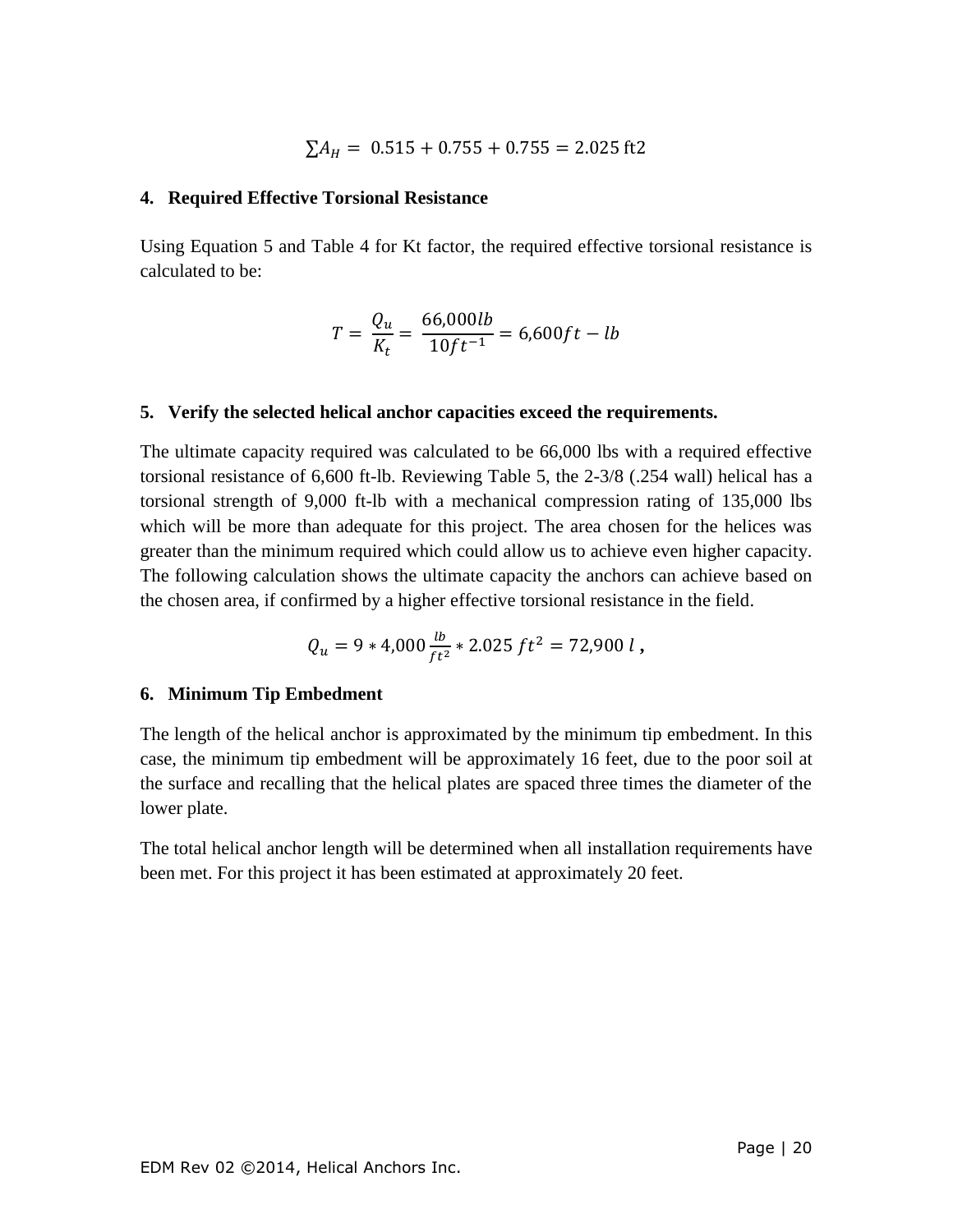$$
\Sigma A_H = 0.515 + 0.755 + 0.755 = 2.025
$$
 ft2

#### **4. Required Effective Torsional Resistance**

Using Equation 5 and Table 4 for Kt factor, the required effective torsional resistance is calculated to be:

$$
T = \frac{Q_u}{K_t} = \frac{66,000lb}{10ft^{-1}} = 6,600ft - lb
$$

#### **5. Verify the selected helical anchor capacities exceed the requirements.**

The ultimate capacity required was calculated to be 66,000 lbs with a required effective torsional resistance of 6,600 ft-lb. Reviewing Table 5, the 2-3/8 (.254 wall) helical has a torsional strength of 9,000 ft-lb with a mechanical compression rating of 135,000 lbs which will be more than adequate for this project. The area chosen for the helices was greater than the minimum required which could allow us to achieve even higher capacity. The following calculation shows the ultimate capacity the anchors can achieve based on the chosen area, if confirmed by a higher effective torsional resistance in the field.

$$
Q_u = 9 * 4,000 \frac{lb}{ft^2} * 2.025 ft^2 = 72,900 l,
$$

#### **6. Minimum Tip Embedment**

The length of the helical anchor is approximated by the minimum tip embedment. In this case, the minimum tip embedment will be approximately 16 feet, due to the poor soil at the surface and recalling that the helical plates are spaced three times the diameter of the lower plate.

The total helical anchor length will be determined when all installation requirements have been met. For this project it has been estimated at approximately 20 feet.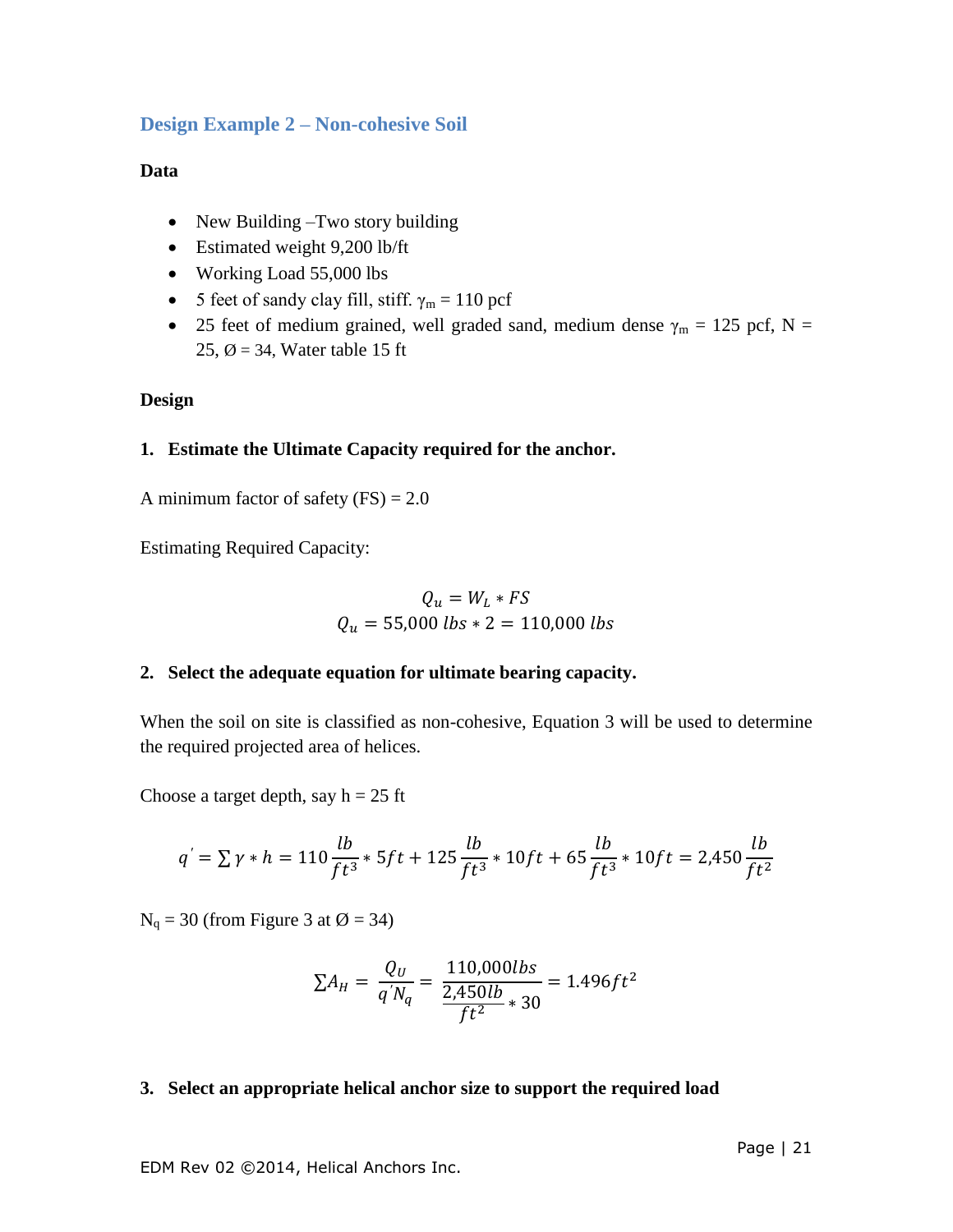#### <span id="page-20-0"></span>**Design Example 2 – Non-cohesive Soil**

#### **Data**

- New Building –Two story building
- Estimated weight 9,200 lb/ft
- Working Load 55,000 lbs
- 5 feet of sandy clay fill, stiff.  $\gamma_m = 110$  pcf
- 25 feet of medium grained, well graded sand, medium dense  $\gamma_m = 125$  pcf, N = 25,  $\varnothing$  = 34, Water table 15 ft

#### **Design**

#### **1. Estimate the Ultimate Capacity required for the anchor.**

A minimum factor of safety  $(FS) = 2.0$ 

Estimating Required Capacity:

$$
Q_u = W_L * FS
$$
  

$$
Q_u = 55,000 \text{ lbs} * 2 = 110,000 \text{ lbs}
$$

#### **2. Select the adequate equation for ultimate bearing capacity.**

When the soil on site is classified as non-cohesive, Equation 3 will be used to determine the required projected area of helices.

Choose a target depth, say  $h = 25$  ft

$$
q' = \sum \gamma * h = 110 \frac{lb}{ft^3} * 5ft + 125 \frac{lb}{ft^3} * 10ft + 65 \frac{lb}{ft^3} * 10ft = 2,450 \frac{lb}{ft^2}
$$

 $N_q = 30$  (from Figure 3 at  $\varnothing = 34$ )

$$
\Sigma A_H = \frac{Q_U}{q'N_q} = \frac{110,000 lbs}{\frac{2,450 lb}{ft^2} \times 30} = 1.496 ft^2
$$

#### **3. Select an appropriate helical anchor size to support the required load**

EDM Rev 02 ©2014, Helical Anchors Inc.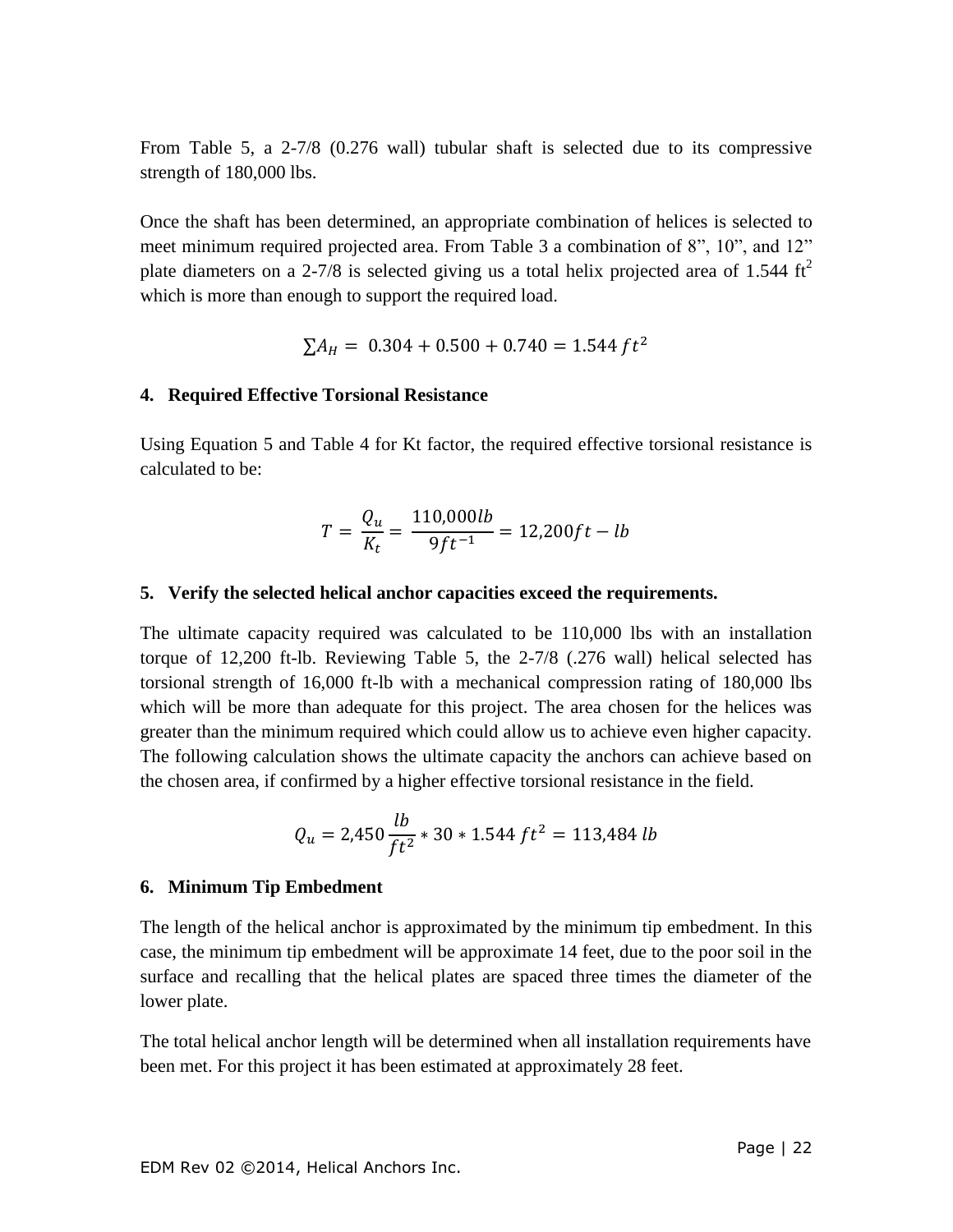From Table 5, a 2-7/8 (0.276 wall) tubular shaft is selected due to its compressive strength of 180,000 lbs.

Once the shaft has been determined, an appropriate combination of helices is selected to meet minimum required projected area. From Table 3 a combination of 8", 10", and 12" plate diameters on a 2-7/8 is selected giving us a total helix projected area of 1.544  $\text{ft}^2$ which is more than enough to support the required load.

$$
\Sigma A_H = 0.304 + 0.500 + 0.740 = 1.544 ft^2
$$

#### **4. Required Effective Torsional Resistance**

Using Equation 5 and Table 4 for Kt factor, the required effective torsional resistance is calculated to be:

$$
T = \frac{Q_u}{K_t} = \frac{110,000lb}{9ft^{-1}} = 12,200ft - lb
$$

#### **5. Verify the selected helical anchor capacities exceed the requirements.**

The ultimate capacity required was calculated to be 110,000 lbs with an installation torque of 12,200 ft-lb. Reviewing Table 5, the 2-7/8 (.276 wall) helical selected has torsional strength of 16,000 ft-lb with a mechanical compression rating of 180,000 lbs which will be more than adequate for this project. The area chosen for the helices was greater than the minimum required which could allow us to achieve even higher capacity. The following calculation shows the ultimate capacity the anchors can achieve based on the chosen area, if confirmed by a higher effective torsional resistance in the field.

$$
Q_u = 2,450 \frac{lb}{ft^2} * 30 * 1.544 ft^2 = 113,484 lb
$$

#### **6. Minimum Tip Embedment**

The length of the helical anchor is approximated by the minimum tip embedment. In this case, the minimum tip embedment will be approximate 14 feet, due to the poor soil in the surface and recalling that the helical plates are spaced three times the diameter of the lower plate.

The total helical anchor length will be determined when all installation requirements have been met. For this project it has been estimated at approximately 28 feet.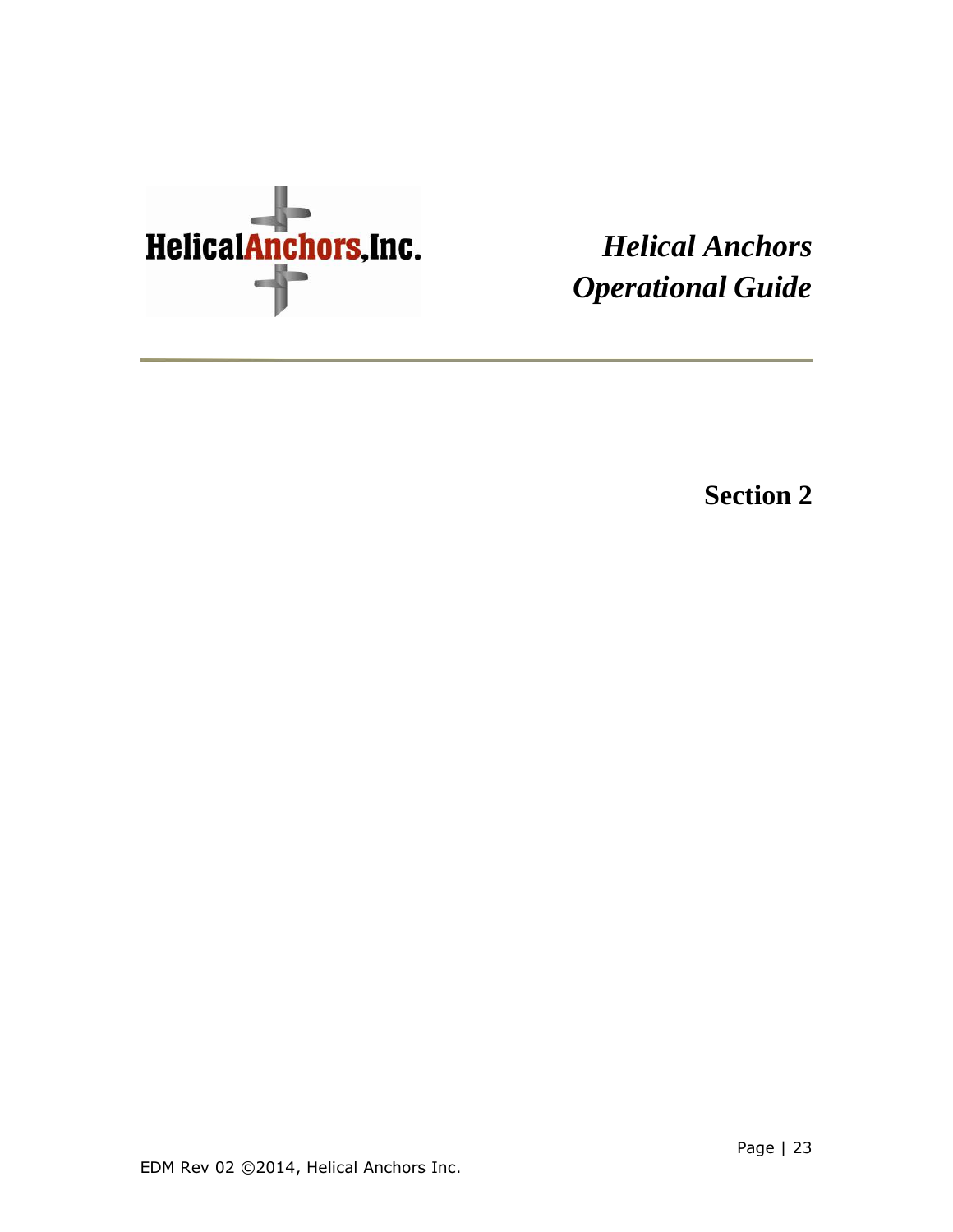

<span id="page-22-0"></span>*Helical Anchors Operational Guide* 

**Section 2**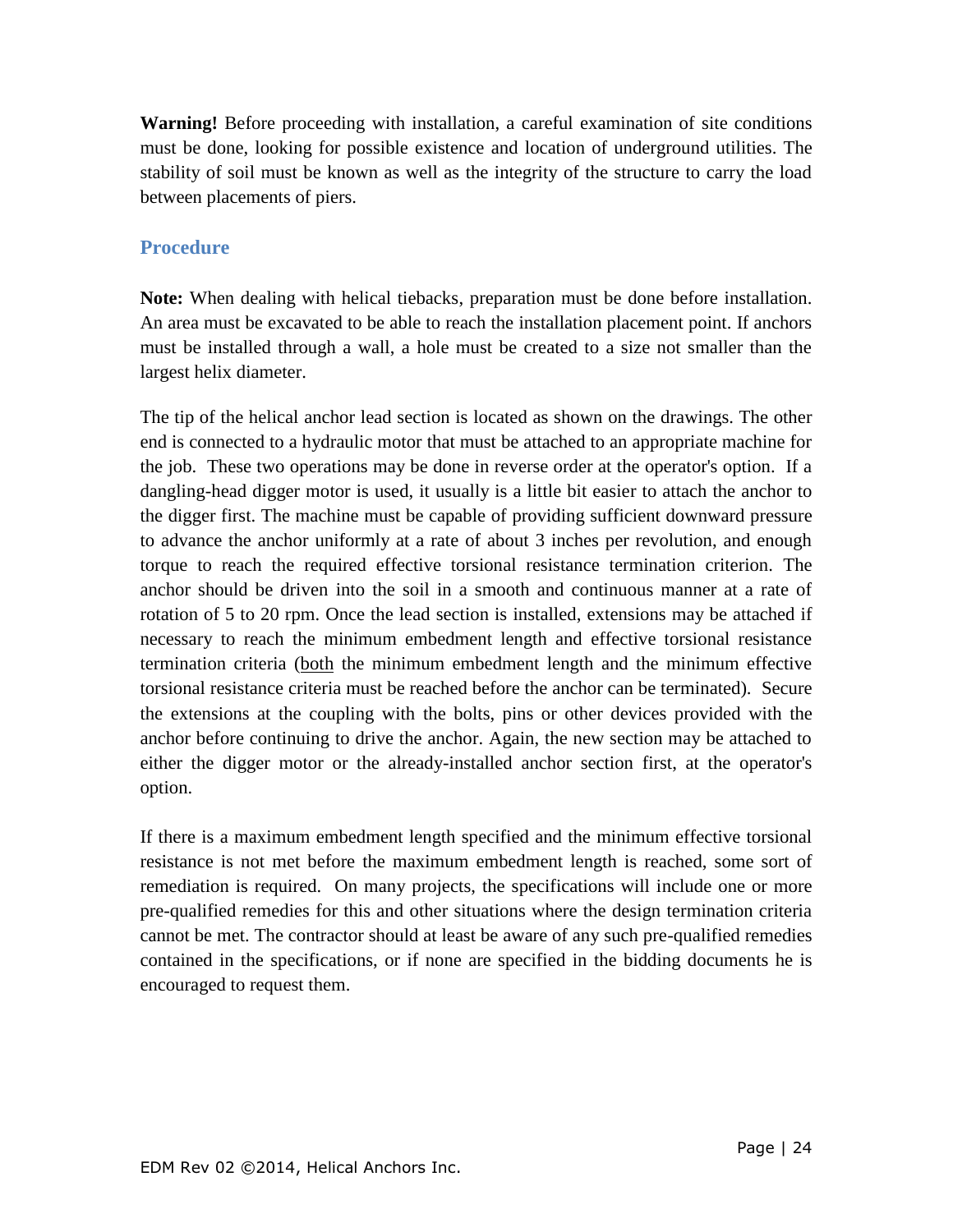**Warning!** Before proceeding with installation, a careful examination of site conditions must be done, looking for possible existence and location of underground utilities. The stability of soil must be known as well as the integrity of the structure to carry the load between placements of piers.

#### <span id="page-23-0"></span>**Procedure**

**Note:** When dealing with helical tiebacks, preparation must be done before installation. An area must be excavated to be able to reach the installation placement point. If anchors must be installed through a wall, a hole must be created to a size not smaller than the largest helix diameter.

The tip of the helical anchor lead section is located as shown on the drawings. The other end is connected to a hydraulic motor that must be attached to an appropriate machine for the job. These two operations may be done in reverse order at the operator's option. If a dangling-head digger motor is used, it usually is a little bit easier to attach the anchor to the digger first. The machine must be capable of providing sufficient downward pressure to advance the anchor uniformly at a rate of about 3 inches per revolution, and enough torque to reach the required effective torsional resistance termination criterion. The anchor should be driven into the soil in a smooth and continuous manner at a rate of rotation of 5 to 20 rpm. Once the lead section is installed, extensions may be attached if necessary to reach the minimum embedment length and effective torsional resistance termination criteria (both the minimum embedment length and the minimum effective torsional resistance criteria must be reached before the anchor can be terminated). Secure the extensions at the coupling with the bolts, pins or other devices provided with the anchor before continuing to drive the anchor. Again, the new section may be attached to either the digger motor or the already-installed anchor section first, at the operator's option.

If there is a maximum embedment length specified and the minimum effective torsional resistance is not met before the maximum embedment length is reached, some sort of remediation is required. On many projects, the specifications will include one or more pre-qualified remedies for this and other situations where the design termination criteria cannot be met. The contractor should at least be aware of any such pre-qualified remedies contained in the specifications, or if none are specified in the bidding documents he is encouraged to request them.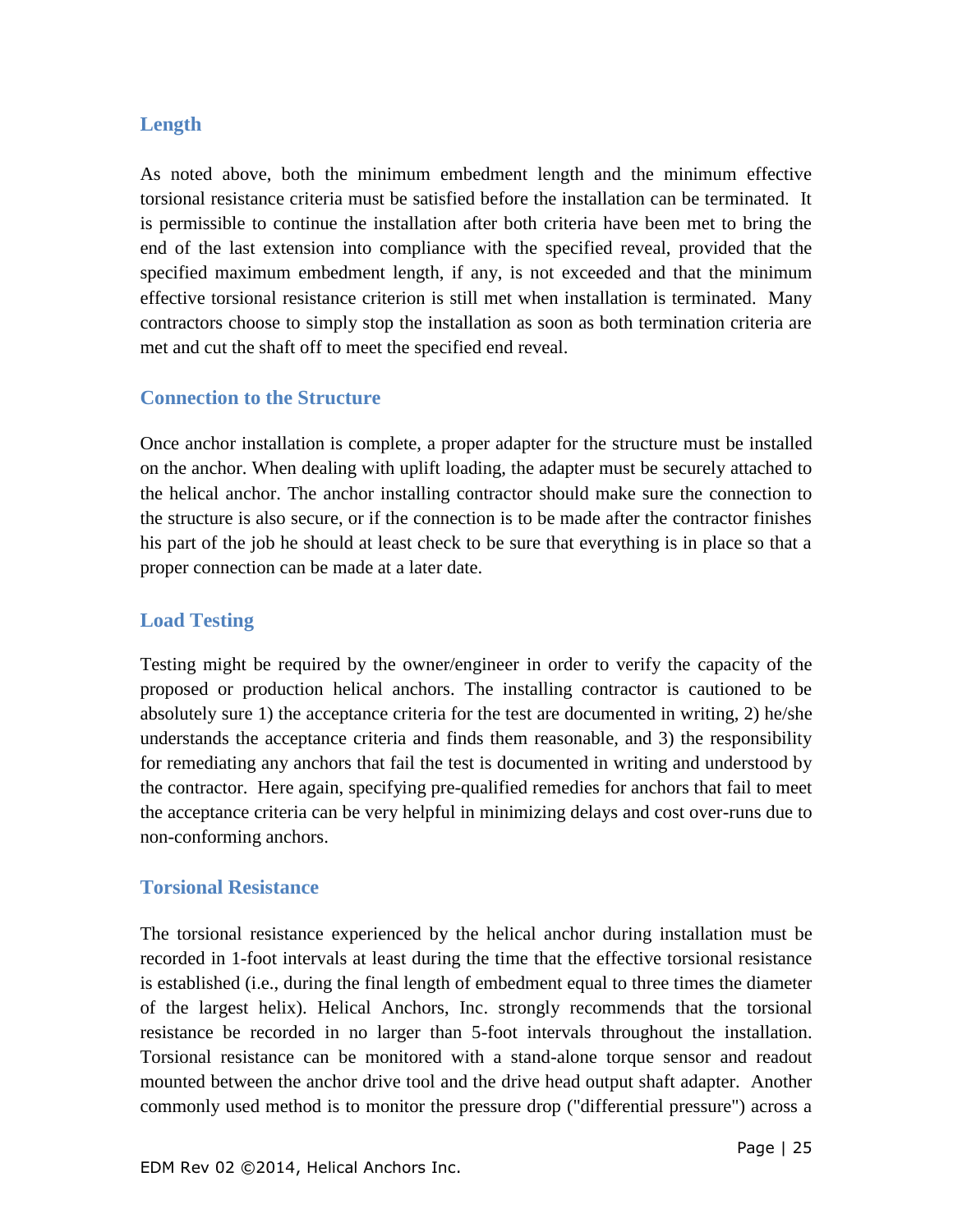#### <span id="page-24-0"></span>**Length**

As noted above, both the minimum embedment length and the minimum effective torsional resistance criteria must be satisfied before the installation can be terminated. It is permissible to continue the installation after both criteria have been met to bring the end of the last extension into compliance with the specified reveal, provided that the specified maximum embedment length, if any, is not exceeded and that the minimum effective torsional resistance criterion is still met when installation is terminated. Many contractors choose to simply stop the installation as soon as both termination criteria are met and cut the shaft off to meet the specified end reveal.

#### <span id="page-24-1"></span>**Connection to the Structure**

Once anchor installation is complete, a proper adapter for the structure must be installed on the anchor. When dealing with uplift loading, the adapter must be securely attached to the helical anchor. The anchor installing contractor should make sure the connection to the structure is also secure, or if the connection is to be made after the contractor finishes his part of the job he should at least check to be sure that everything is in place so that a proper connection can be made at a later date.

#### <span id="page-24-2"></span>**Load Testing**

Testing might be required by the owner/engineer in order to verify the capacity of the proposed or production helical anchors. The installing contractor is cautioned to be absolutely sure 1) the acceptance criteria for the test are documented in writing, 2) he/she understands the acceptance criteria and finds them reasonable, and 3) the responsibility for remediating any anchors that fail the test is documented in writing and understood by the contractor. Here again, specifying pre-qualified remedies for anchors that fail to meet the acceptance criteria can be very helpful in minimizing delays and cost over-runs due to non-conforming anchors.

#### <span id="page-24-3"></span>**Torsional Resistance**

The torsional resistance experienced by the helical anchor during installation must be recorded in 1-foot intervals at least during the time that the effective torsional resistance is established (i.e., during the final length of embedment equal to three times the diameter of the largest helix). Helical Anchors, Inc. strongly recommends that the torsional resistance be recorded in no larger than 5-foot intervals throughout the installation. Torsional resistance can be monitored with a stand-alone torque sensor and readout mounted between the anchor drive tool and the drive head output shaft adapter. Another commonly used method is to monitor the pressure drop ("differential pressure") across a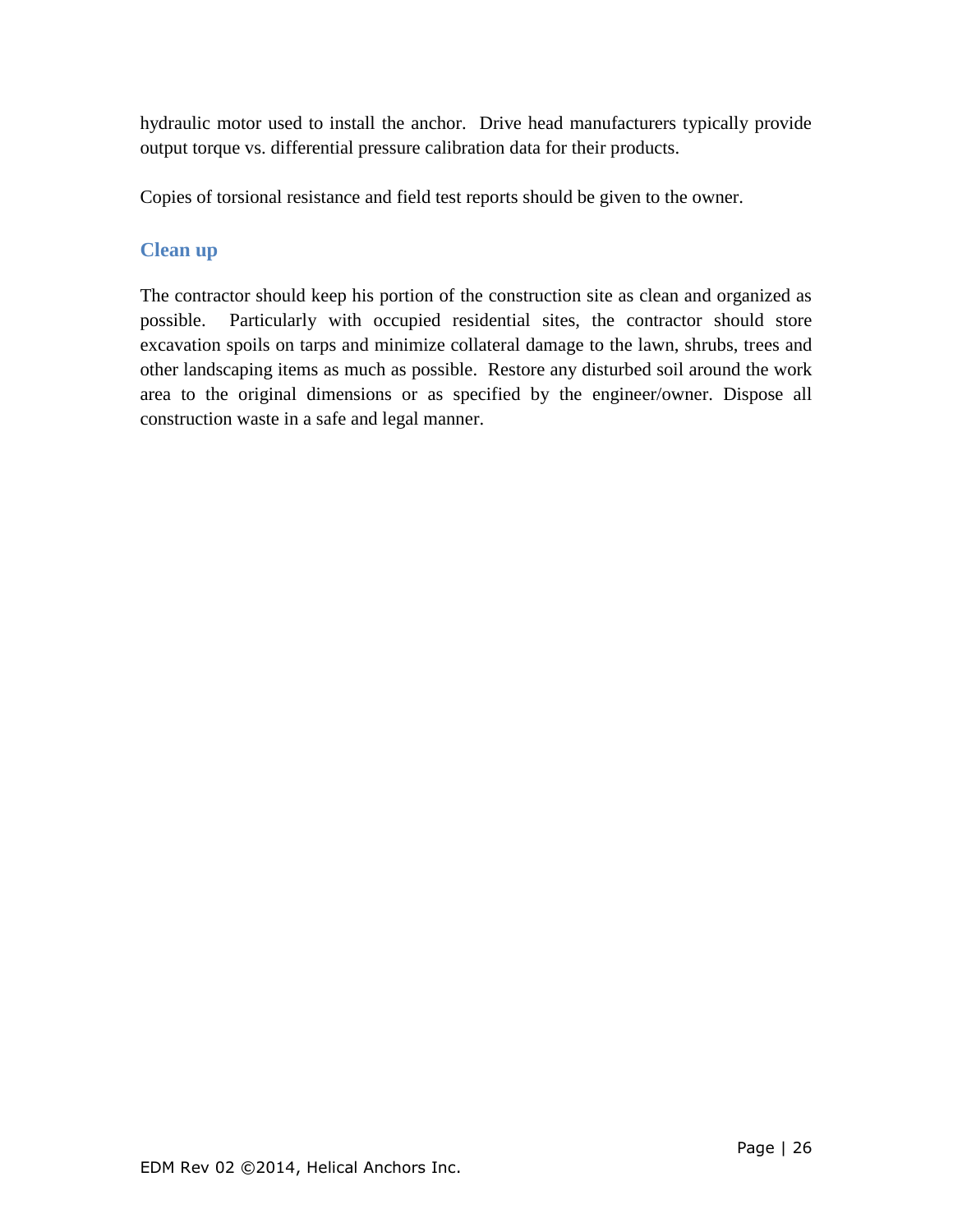hydraulic motor used to install the anchor. Drive head manufacturers typically provide output torque vs. differential pressure calibration data for their products.

Copies of torsional resistance and field test reports should be given to the owner.

#### <span id="page-25-0"></span>**Clean up**

The contractor should keep his portion of the construction site as clean and organized as possible. Particularly with occupied residential sites, the contractor should store excavation spoils on tarps and minimize collateral damage to the lawn, shrubs, trees and other landscaping items as much as possible. Restore any disturbed soil around the work area to the original dimensions or as specified by the engineer/owner. Dispose all construction waste in a safe and legal manner.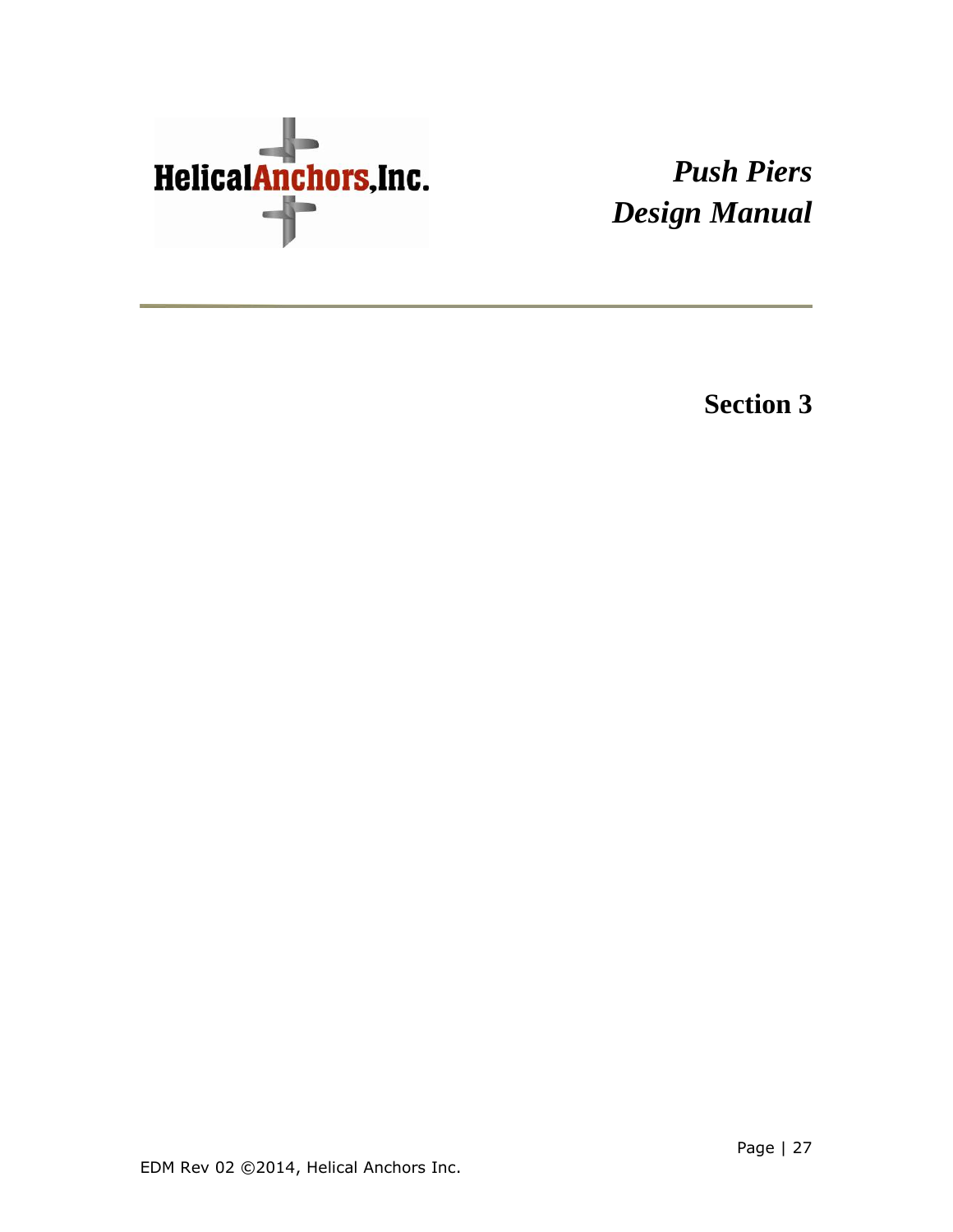

<span id="page-26-0"></span>*Push Piers Design Manual*

**Section 3**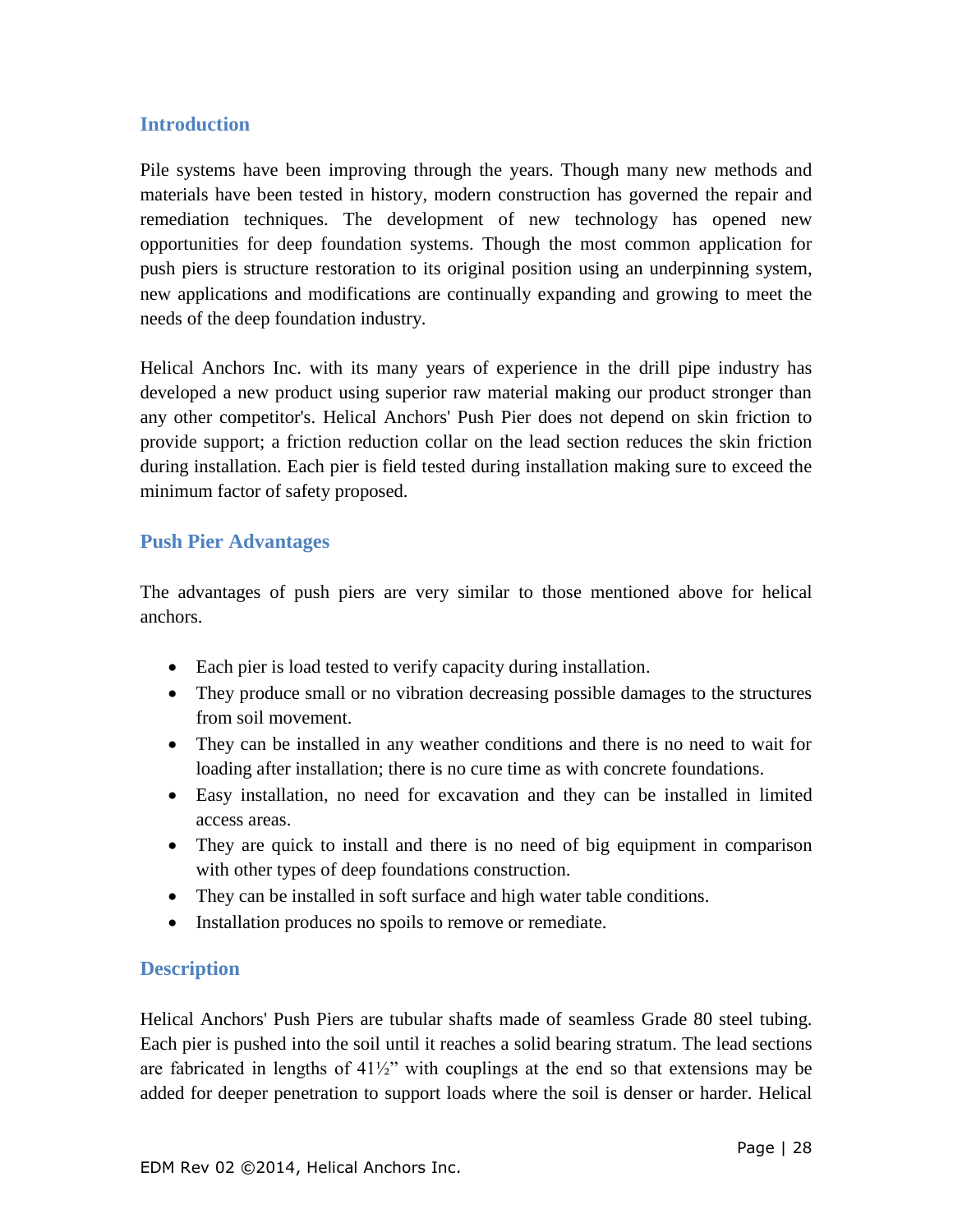#### <span id="page-27-0"></span>**Introduction**

Pile systems have been improving through the years. Though many new methods and materials have been tested in history, modern construction has governed the repair and remediation techniques. The development of new technology has opened new opportunities for deep foundation systems. Though the most common application for push piers is structure restoration to its original position using an underpinning system, new applications and modifications are continually expanding and growing to meet the needs of the deep foundation industry.

Helical Anchors Inc. with its many years of experience in the drill pipe industry has developed a new product using superior raw material making our product stronger than any other competitor's. Helical Anchors' Push Pier does not depend on skin friction to provide support; a friction reduction collar on the lead section reduces the skin friction during installation. Each pier is field tested during installation making sure to exceed the minimum factor of safety proposed.

#### <span id="page-27-1"></span>**Push Pier Advantages**

The advantages of push piers are very similar to those mentioned above for helical anchors.

- Each pier is load tested to verify capacity during installation.
- They produce small or no vibration decreasing possible damages to the structures from soil movement.
- They can be installed in any weather conditions and there is no need to wait for loading after installation; there is no cure time as with concrete foundations.
- Easy installation, no need for excavation and they can be installed in limited access areas.
- They are quick to install and there is no need of big equipment in comparison with other types of deep foundations construction.
- They can be installed in soft surface and high water table conditions.
- Installation produces no spoils to remove or remediate.

#### <span id="page-27-2"></span>**Description**

Helical Anchors' Push Piers are tubular shafts made of seamless Grade 80 steel tubing. Each pier is pushed into the soil until it reaches a solid bearing stratum. The lead sections are fabricated in lengths of 41½" with couplings at the end so that extensions may be added for deeper penetration to support loads where the soil is denser or harder. Helical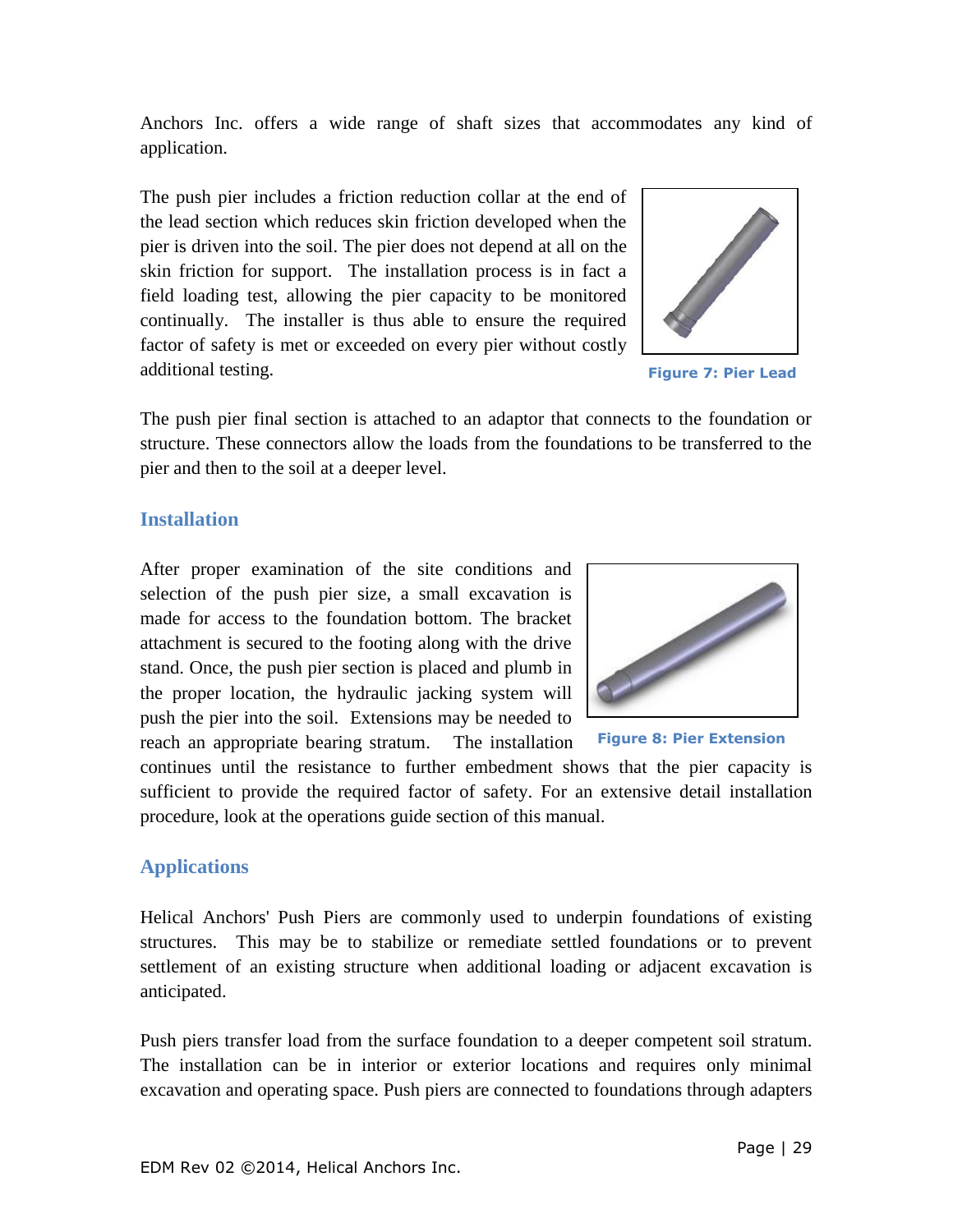Anchors Inc. offers a wide range of shaft sizes that accommodates any kind of application.

The push pier includes a friction reduction collar at the end of the lead section which reduces skin friction developed when the pier is driven into the soil. The pier does not depend at all on the skin friction for support. The installation process is in fact a field loading test, allowing the pier capacity to be monitored continually. The installer is thus able to ensure the required factor of safety is met or exceeded on every pier without costly additional testing.



**Figure 7: Pier Lead**

The push pier final section is attached to an adaptor that connects to the foundation or structure. These connectors allow the loads from the foundations to be transferred to the pier and then to the soil at a deeper level.

#### <span id="page-28-0"></span>**Installation**

After proper examination of the site conditions and selection of the push pier size, a small excavation is made for access to the foundation bottom. The bracket attachment is secured to the footing along with the drive stand. Once, the push pier section is placed and plumb in the proper location, the hydraulic jacking system will push the pier into the soil. Extensions may be needed to reach an appropriate bearing stratum. The installation



**Figure 8: Pier Extension**

continues until the resistance to further embedment shows that the pier capacity is sufficient to provide the required factor of safety. For an extensive detail installation procedure, look at the operations guide section of this manual.

#### <span id="page-28-1"></span>**Applications**

Helical Anchors' Push Piers are commonly used to underpin foundations of existing structures. This may be to stabilize or remediate settled foundations or to prevent settlement of an existing structure when additional loading or adjacent excavation is anticipated.

Push piers transfer load from the surface foundation to a deeper competent soil stratum. The installation can be in interior or exterior locations and requires only minimal excavation and operating space. Push piers are connected to foundations through adapters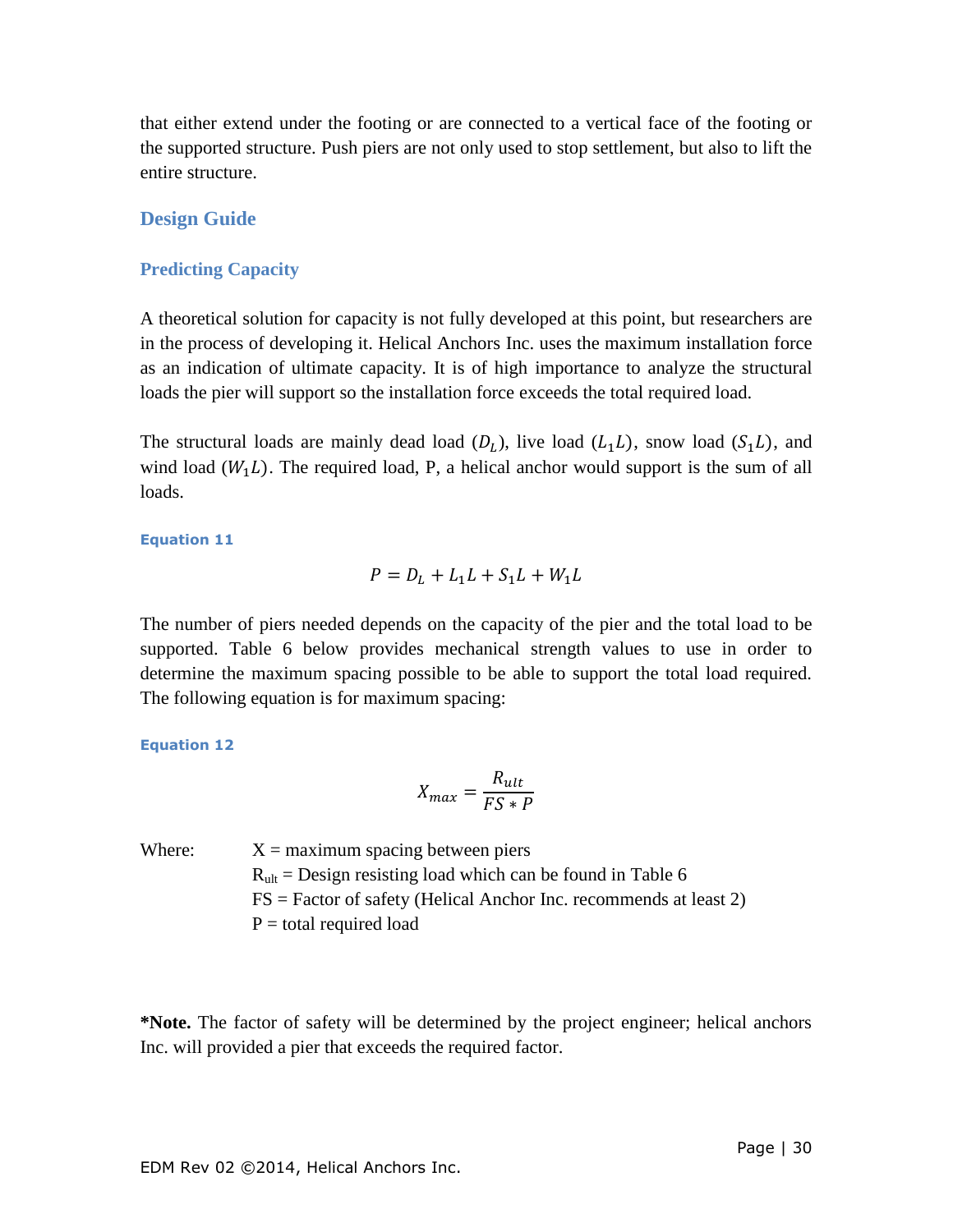that either extend under the footing or are connected to a vertical face of the footing or the supported structure. Push piers are not only used to stop settlement, but also to lift the entire structure.

#### <span id="page-29-0"></span>**Design Guide**

#### <span id="page-29-1"></span>**Predicting Capacity**

A theoretical solution for capacity is not fully developed at this point, but researchers are in the process of developing it. Helical Anchors Inc. uses the maximum installation force as an indication of ultimate capacity. It is of high importance to analyze the structural loads the pier will support so the installation force exceeds the total required load.

The structural loads are mainly dead load  $(D_L)$ , live load  $(L_1L)$ , snow load  $(S_1L)$ , and wind load  $(W<sub>1</sub> L)$ . The required load, P, a helical anchor would support is the sum of all loads.

**Equation 11**

$$
P = D_L + L_1 L + S_1 L + W_1 L
$$

The number of piers needed depends on the capacity of the pier and the total load to be supported. Table 6 below provides mechanical strength values to use in order to determine the maximum spacing possible to be able to support the total load required. The following equation is for maximum spacing:

**Equation 12**

$$
X_{max} = \frac{R_{ult}}{FS * P}
$$

Where:  $X =$  maximum spacing between piers  $R_{ult}$  = Design resisting load which can be found in Table 6 FS = Factor of safety (Helical Anchor Inc. recommends at least 2)  $P =$  total required load

**\*Note.** The factor of safety will be determined by the project engineer; helical anchors Inc. will provided a pier that exceeds the required factor.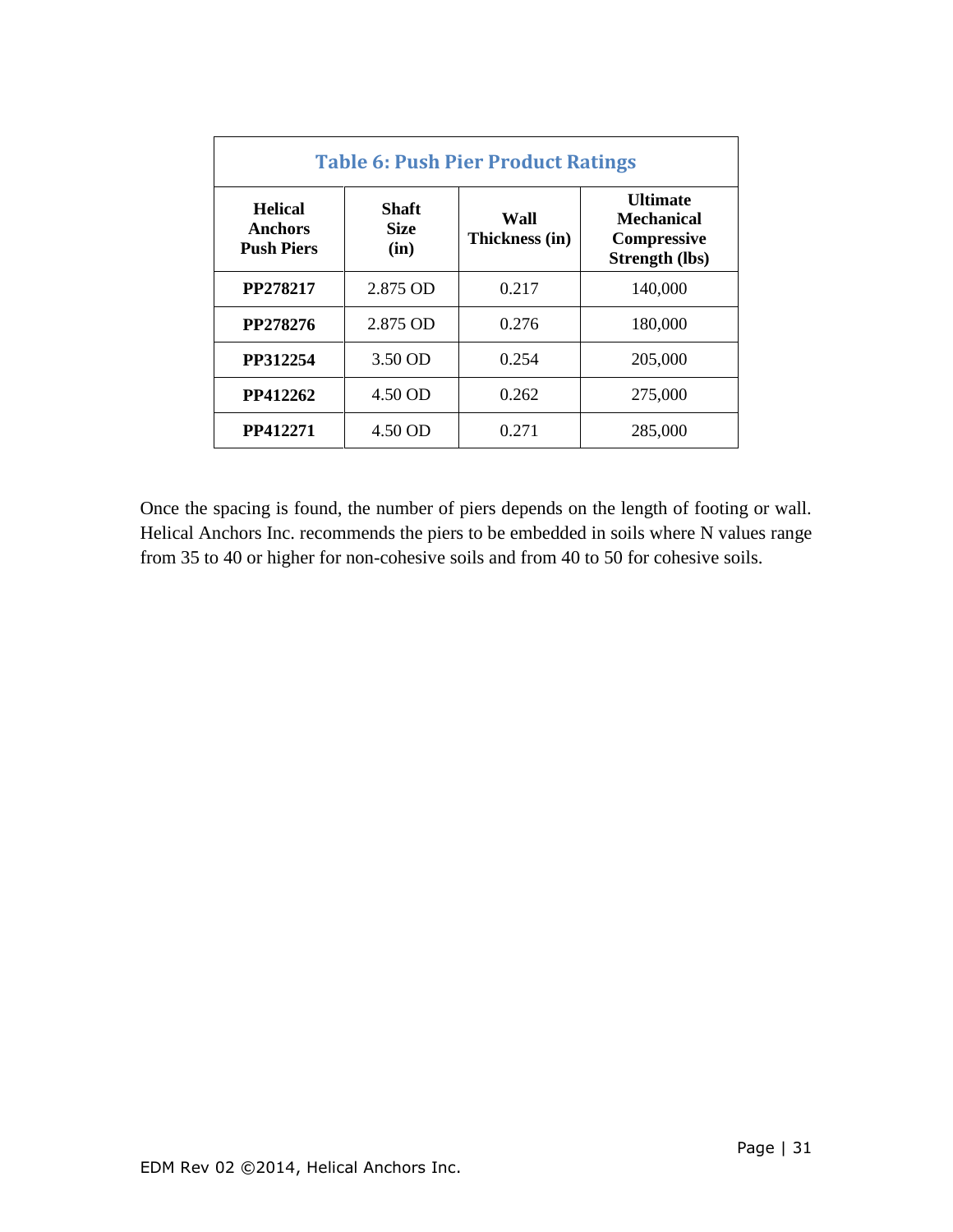| <b>Table 6: Push Pier Product Ratings</b>      |                              |                        |                                                                                     |  |  |  |  |  |
|------------------------------------------------|------------------------------|------------------------|-------------------------------------------------------------------------------------|--|--|--|--|--|
| <b>Helical</b><br>Anchors<br><b>Push Piers</b> | Shaft<br><b>Size</b><br>(in) | Wall<br>Thickness (in) | <b>Ultimate</b><br><b>Mechanical</b><br><b>Compressive</b><br><b>Strength (lbs)</b> |  |  |  |  |  |
| PP278217                                       | 2.875 OD                     | 0.217                  | 140,000                                                                             |  |  |  |  |  |
| PP278276                                       | 2.875 OD                     | 0.276                  | 180,000                                                                             |  |  |  |  |  |
| PP312254                                       | 3.50 OD                      | 0.254                  | 205,000                                                                             |  |  |  |  |  |
| PP412262                                       | 4.50 OD                      | 0.262                  | 275,000                                                                             |  |  |  |  |  |
| PP412271                                       | 4.50 OD                      | 0.271                  | 285,000                                                                             |  |  |  |  |  |

Once the spacing is found, the number of piers depends on the length of footing or wall. Helical Anchors Inc. recommends the piers to be embedded in soils where N values range from 35 to 40 or higher for non-cohesive soils and from 40 to 50 for cohesive soils.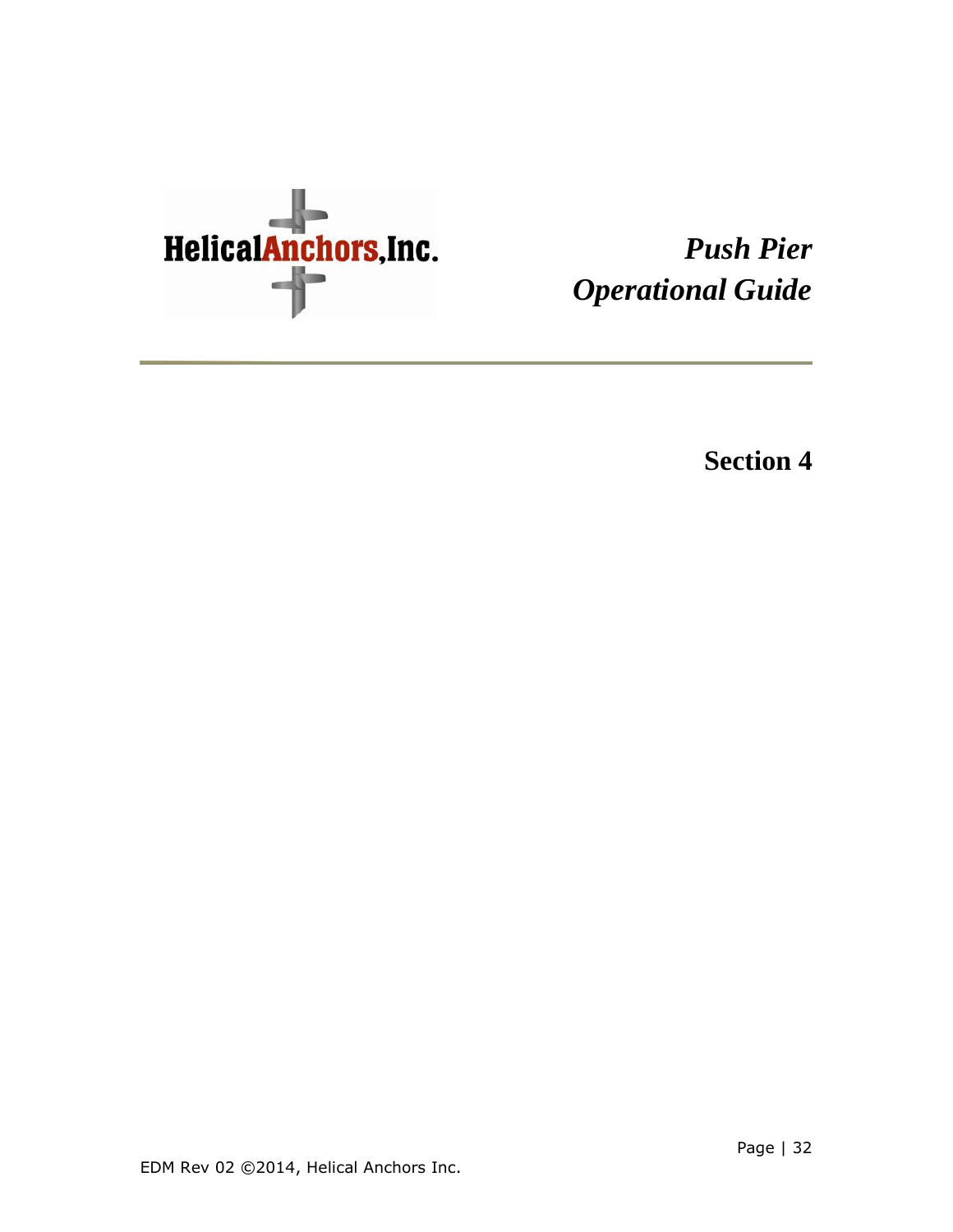

<span id="page-31-0"></span>*Push Pier Operational Guide* 

**Section 4**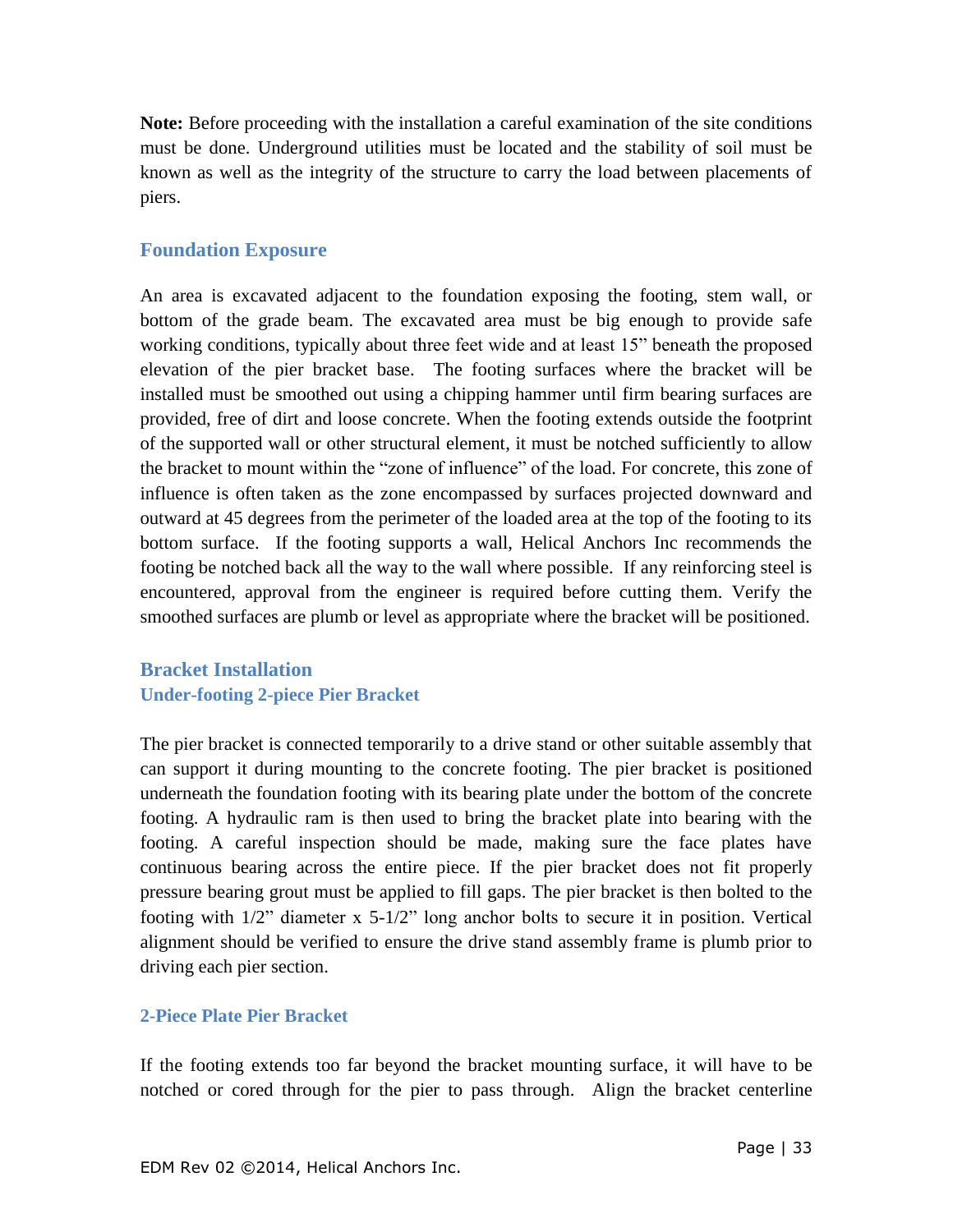**Note:** Before proceeding with the installation a careful examination of the site conditions must be done. Underground utilities must be located and the stability of soil must be known as well as the integrity of the structure to carry the load between placements of piers.

#### <span id="page-32-0"></span>**Foundation Exposure**

An area is excavated adjacent to the foundation exposing the footing, stem wall, or bottom of the grade beam. The excavated area must be big enough to provide safe working conditions, typically about three feet wide and at least 15" beneath the proposed elevation of the pier bracket base. The footing surfaces where the bracket will be installed must be smoothed out using a chipping hammer until firm bearing surfaces are provided, free of dirt and loose concrete. When the footing extends outside the footprint of the supported wall or other structural element, it must be notched sufficiently to allow the bracket to mount within the "zone of influence" of the load. For concrete, this zone of influence is often taken as the zone encompassed by surfaces projected downward and outward at 45 degrees from the perimeter of the loaded area at the top of the footing to its bottom surface. If the footing supports a wall, Helical Anchors Inc recommends the footing be notched back all the way to the wall where possible. If any reinforcing steel is encountered, approval from the engineer is required before cutting them. Verify the smoothed surfaces are plumb or level as appropriate where the bracket will be positioned.

#### <span id="page-32-2"></span><span id="page-32-1"></span>**Bracket Installation Under-footing 2-piece Pier Bracket**

The pier bracket is connected temporarily to a drive stand or other suitable assembly that can support it during mounting to the concrete footing. The pier bracket is positioned underneath the foundation footing with its bearing plate under the bottom of the concrete footing. A hydraulic ram is then used to bring the bracket plate into bearing with the footing. A careful inspection should be made, making sure the face plates have continuous bearing across the entire piece. If the pier bracket does not fit properly pressure bearing grout must be applied to fill gaps. The pier bracket is then bolted to the footing with  $1/2$ " diameter x 5-1/2" long anchor bolts to secure it in position. Vertical alignment should be verified to ensure the drive stand assembly frame is plumb prior to driving each pier section.

#### <span id="page-32-3"></span>**2-Piece Plate Pier Bracket**

If the footing extends too far beyond the bracket mounting surface, it will have to be notched or cored through for the pier to pass through. Align the bracket centerline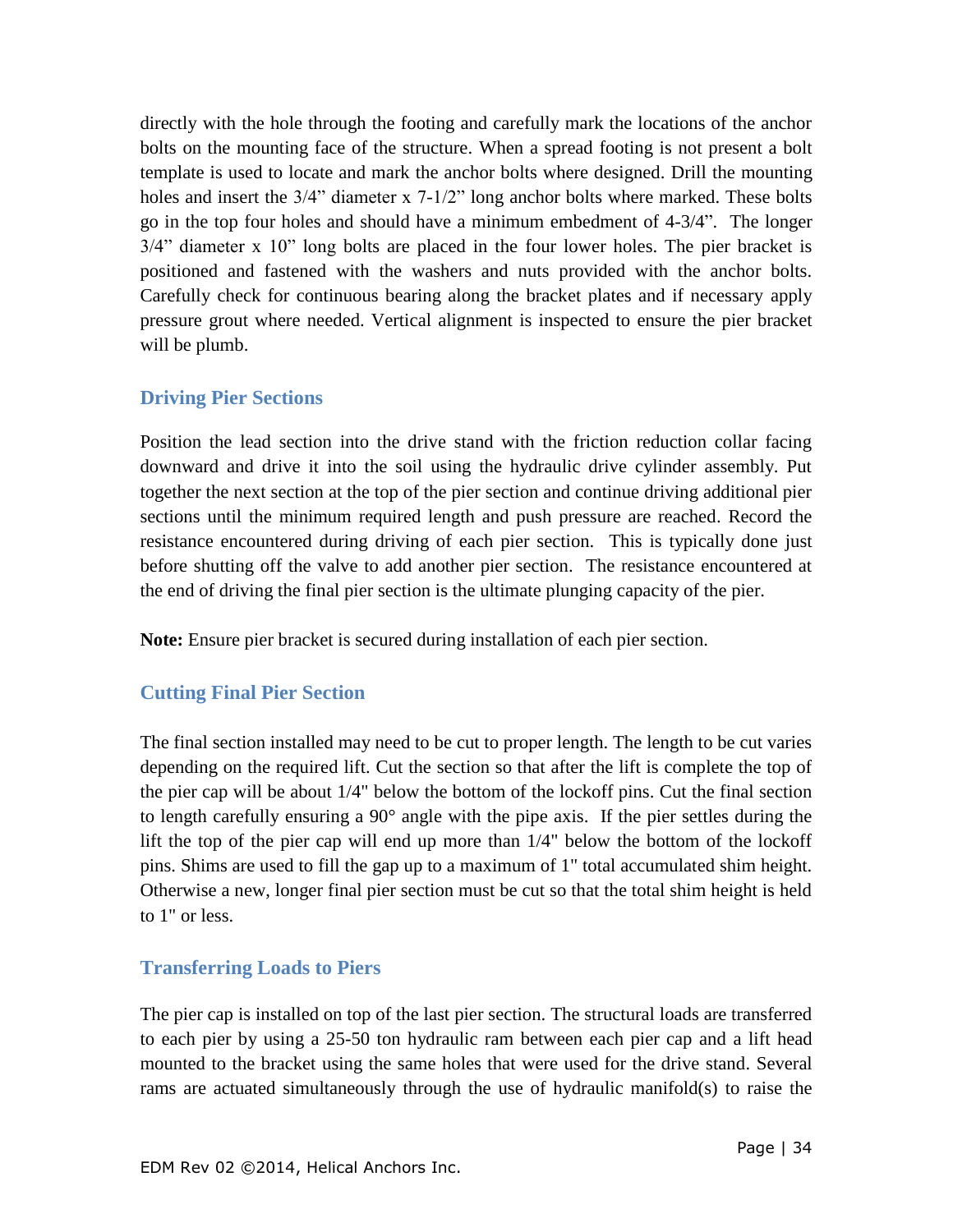directly with the hole through the footing and carefully mark the locations of the anchor bolts on the mounting face of the structure. When a spread footing is not present a bolt template is used to locate and mark the anchor bolts where designed. Drill the mounting holes and insert the 3/4" diameter x 7-1/2" long anchor bolts where marked. These bolts go in the top four holes and should have a minimum embedment of 4-3/4". The longer 3/4" diameter x 10" long bolts are placed in the four lower holes. The pier bracket is positioned and fastened with the washers and nuts provided with the anchor bolts. Carefully check for continuous bearing along the bracket plates and if necessary apply pressure grout where needed. Vertical alignment is inspected to ensure the pier bracket will be plumb.

#### <span id="page-33-0"></span>**Driving Pier Sections**

Position the lead section into the drive stand with the friction reduction collar facing downward and drive it into the soil using the hydraulic drive cylinder assembly. Put together the next section at the top of the pier section and continue driving additional pier sections until the minimum required length and push pressure are reached. Record the resistance encountered during driving of each pier section. This is typically done just before shutting off the valve to add another pier section. The resistance encountered at the end of driving the final pier section is the ultimate plunging capacity of the pier.

**Note:** Ensure pier bracket is secured during installation of each pier section.

#### <span id="page-33-1"></span>**Cutting Final Pier Section**

The final section installed may need to be cut to proper length. The length to be cut varies depending on the required lift. Cut the section so that after the lift is complete the top of the pier cap will be about 1/4" below the bottom of the lockoff pins. Cut the final section to length carefully ensuring a 90° angle with the pipe axis. If the pier settles during the lift the top of the pier cap will end up more than 1/4" below the bottom of the lockoff pins. Shims are used to fill the gap up to a maximum of 1" total accumulated shim height. Otherwise a new, longer final pier section must be cut so that the total shim height is held to 1" or less.

#### <span id="page-33-2"></span>**Transferring Loads to Piers**

The pier cap is installed on top of the last pier section. The structural loads are transferred to each pier by using a 25-50 ton hydraulic ram between each pier cap and a lift head mounted to the bracket using the same holes that were used for the drive stand. Several rams are actuated simultaneously through the use of hydraulic manifold(s) to raise the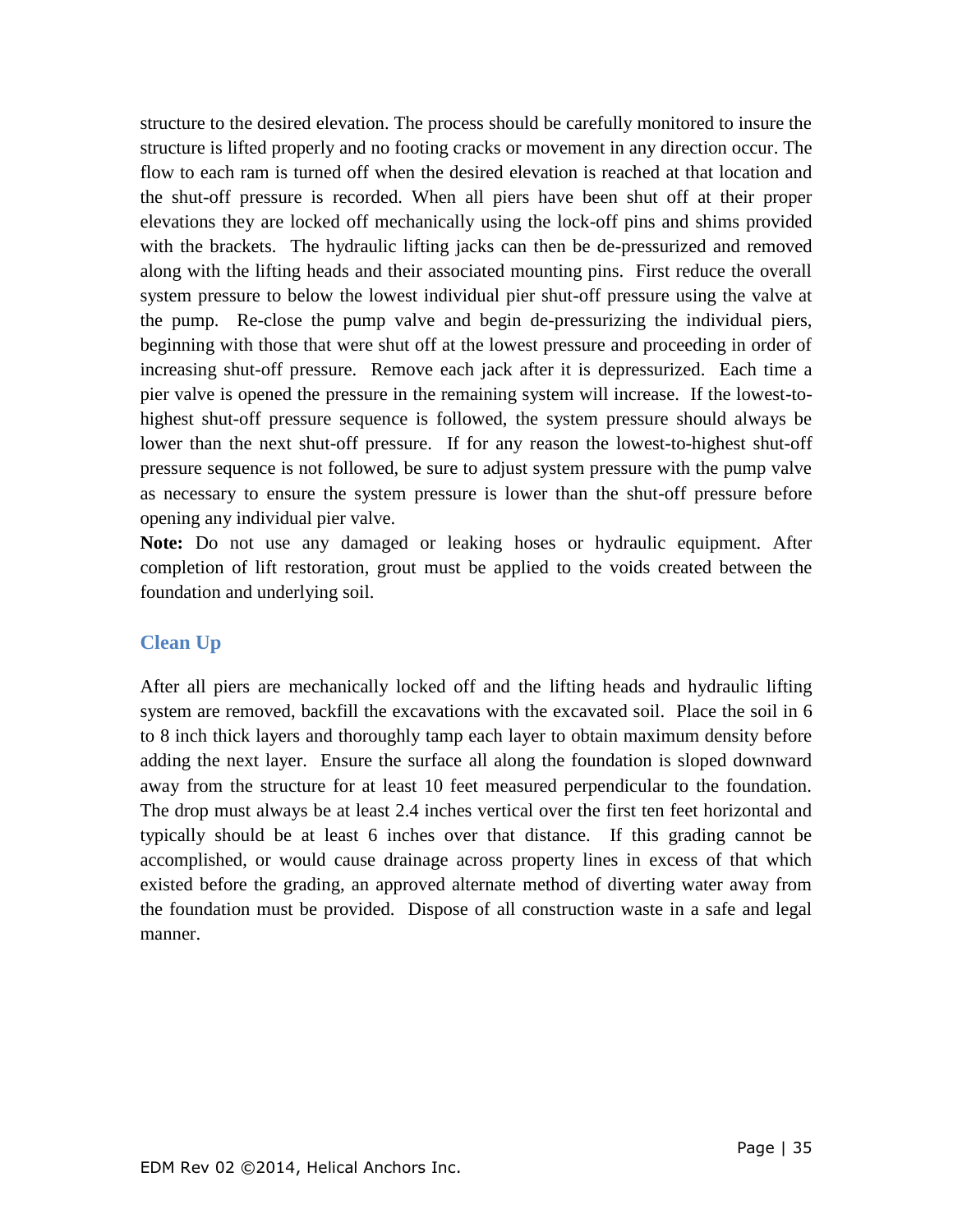structure to the desired elevation. The process should be carefully monitored to insure the structure is lifted properly and no footing cracks or movement in any direction occur. The flow to each ram is turned off when the desired elevation is reached at that location and the shut-off pressure is recorded. When all piers have been shut off at their proper elevations they are locked off mechanically using the lock-off pins and shims provided with the brackets. The hydraulic lifting jacks can then be de-pressurized and removed along with the lifting heads and their associated mounting pins. First reduce the overall system pressure to below the lowest individual pier shut-off pressure using the valve at the pump. Re-close the pump valve and begin de-pressurizing the individual piers, beginning with those that were shut off at the lowest pressure and proceeding in order of increasing shut-off pressure. Remove each jack after it is depressurized. Each time a pier valve is opened the pressure in the remaining system will increase. If the lowest-tohighest shut-off pressure sequence is followed, the system pressure should always be lower than the next shut-off pressure. If for any reason the lowest-to-highest shut-off pressure sequence is not followed, be sure to adjust system pressure with the pump valve as necessary to ensure the system pressure is lower than the shut-off pressure before opening any individual pier valve.

**Note:** Do not use any damaged or leaking hoses or hydraulic equipment. After completion of lift restoration, grout must be applied to the voids created between the foundation and underlying soil.

#### <span id="page-34-0"></span>**Clean Up**

After all piers are mechanically locked off and the lifting heads and hydraulic lifting system are removed, backfill the excavations with the excavated soil. Place the soil in 6 to 8 inch thick layers and thoroughly tamp each layer to obtain maximum density before adding the next layer. Ensure the surface all along the foundation is sloped downward away from the structure for at least 10 feet measured perpendicular to the foundation. The drop must always be at least 2.4 inches vertical over the first ten feet horizontal and typically should be at least 6 inches over that distance. If this grading cannot be accomplished, or would cause drainage across property lines in excess of that which existed before the grading, an approved alternate method of diverting water away from the foundation must be provided. Dispose of all construction waste in a safe and legal manner.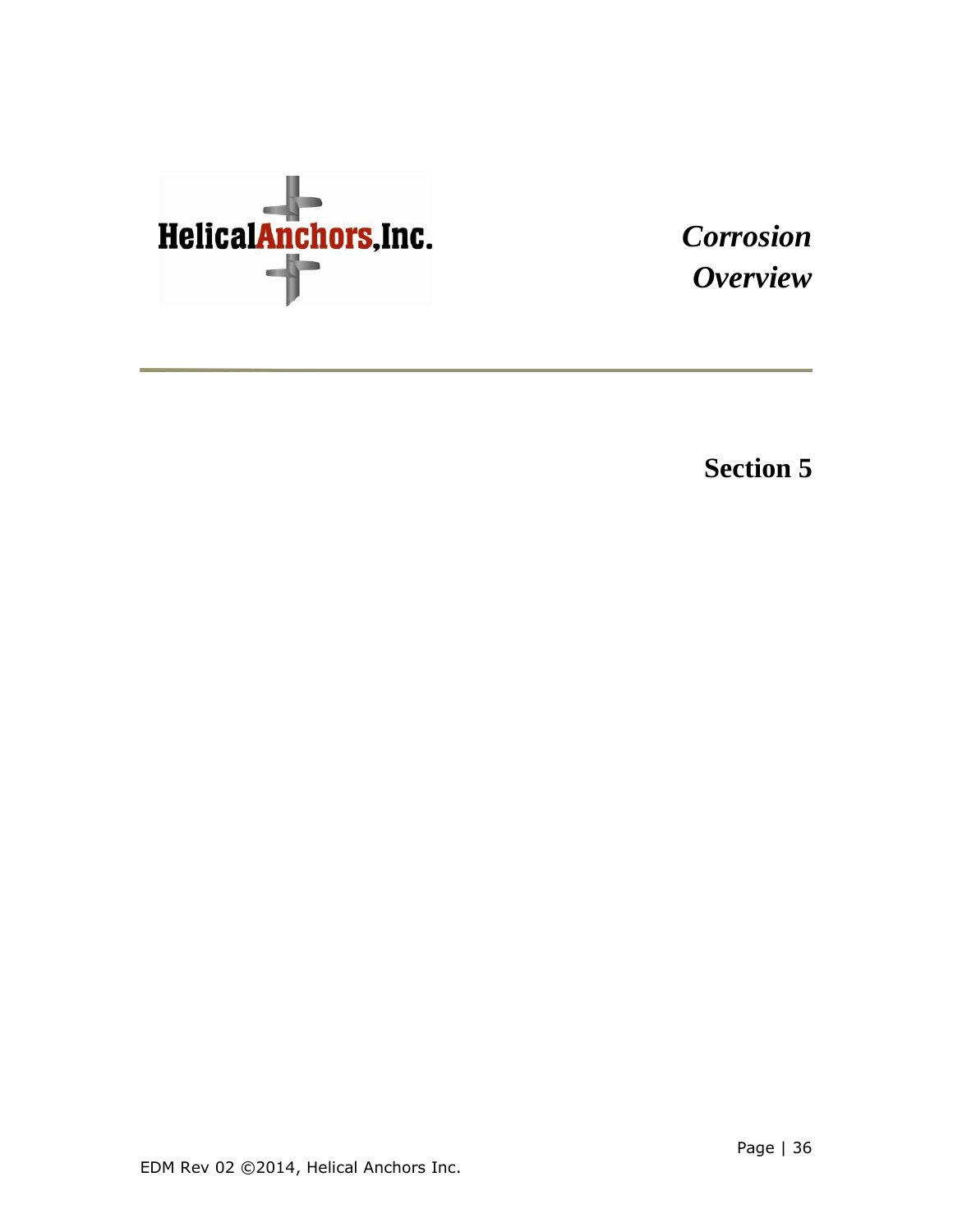

<span id="page-35-0"></span>*Corrosion Overview*

**Section 5**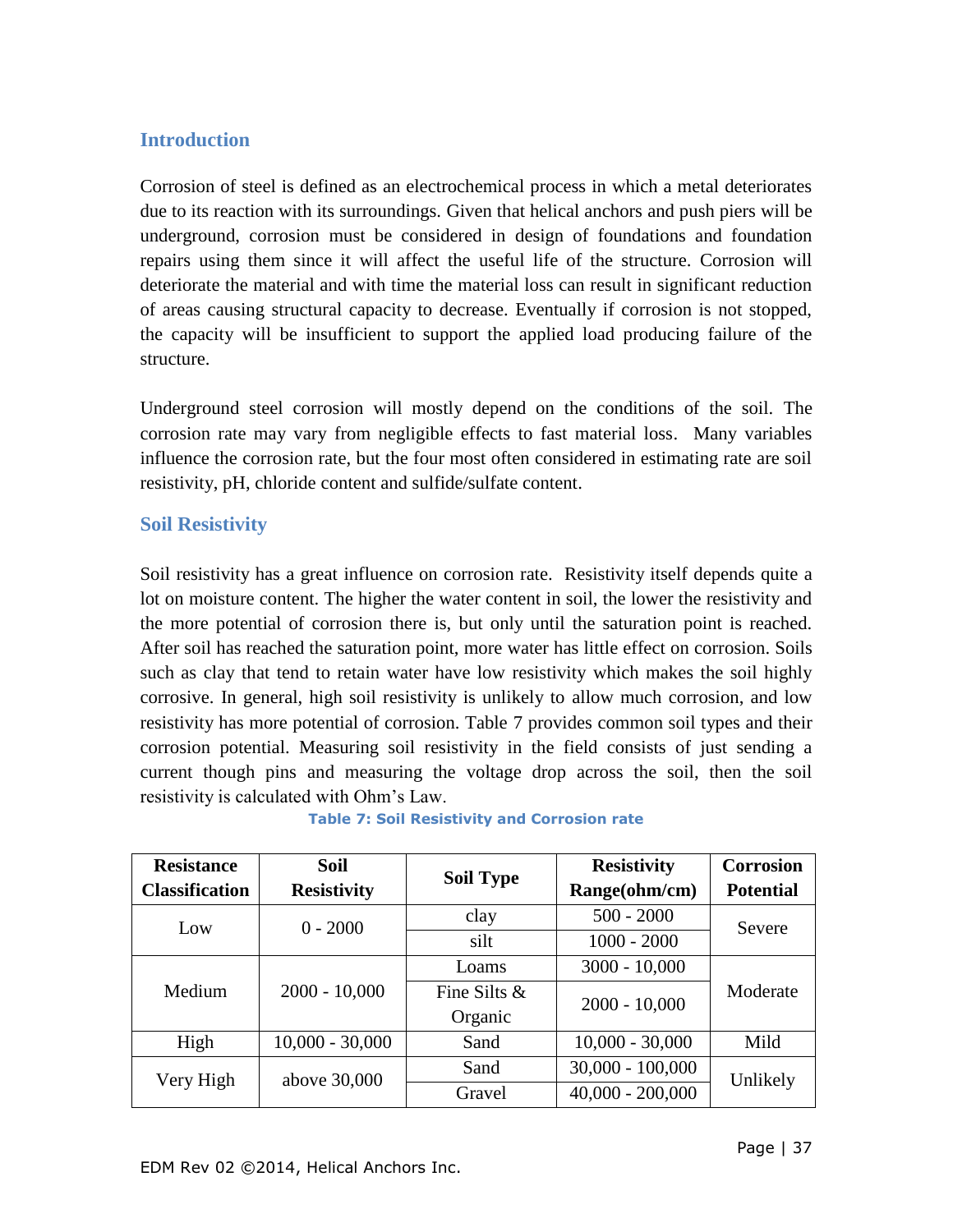#### <span id="page-36-0"></span>**Introduction**

Corrosion of steel is defined as an electrochemical process in which a metal deteriorates due to its reaction with its surroundings. Given that helical anchors and push piers will be underground, corrosion must be considered in design of foundations and foundation repairs using them since it will affect the useful life of the structure. Corrosion will deteriorate the material and with time the material loss can result in significant reduction of areas causing structural capacity to decrease. Eventually if corrosion is not stopped, the capacity will be insufficient to support the applied load producing failure of the structure.

Underground steel corrosion will mostly depend on the conditions of the soil. The corrosion rate may vary from negligible effects to fast material loss. Many variables influence the corrosion rate, but the four most often considered in estimating rate are soil resistivity, pH, chloride content and sulfide/sulfate content.

#### <span id="page-36-1"></span>**Soil Resistivity**

Soil resistivity has a great influence on corrosion rate. Resistivity itself depends quite a lot on moisture content. The higher the water content in soil, the lower the resistivity and the more potential of corrosion there is, but only until the saturation point is reached. After soil has reached the saturation point, more water has little effect on corrosion. Soils such as clay that tend to retain water have low resistivity which makes the soil highly corrosive. In general, high soil resistivity is unlikely to allow much corrosion, and low resistivity has more potential of corrosion. Table 7 provides common soil types and their corrosion potential. Measuring soil resistivity in the field consists of just sending a current though pins and measuring the voltage drop across the soil, then the soil resistivity is calculated with Ohm's Law.

| <b>Resistance</b>     | <b>Soil</b>        | <b>Soil Type</b> | <b>Resistivity</b> | <b>Corrosion</b> |
|-----------------------|--------------------|------------------|--------------------|------------------|
| <b>Classification</b> | <b>Resistivity</b> |                  | Range(ohm/cm)      | <b>Potential</b> |
| Low                   | $0 - 2000$         | clay             | $500 - 2000$       | Severe           |
|                       |                    | silt             | $1000 - 2000$      |                  |
|                       |                    | Loams            | $3000 - 10,000$    |                  |
| Medium                | $2000 - 10,000$    | Fine Silts &     | $2000 - 10,000$    | Moderate         |
|                       |                    | Organic          |                    |                  |
| High                  | $10,000 - 30,000$  | Sand             | $10,000 - 30,000$  | Mild             |
| Very High             | above 30,000       | Sand             | $30,000 - 100,000$ | Unlikely         |
|                       |                    | Gravel           | $40,000 - 200,000$ |                  |

**Table 7: Soil Resistivity and Corrosion rate**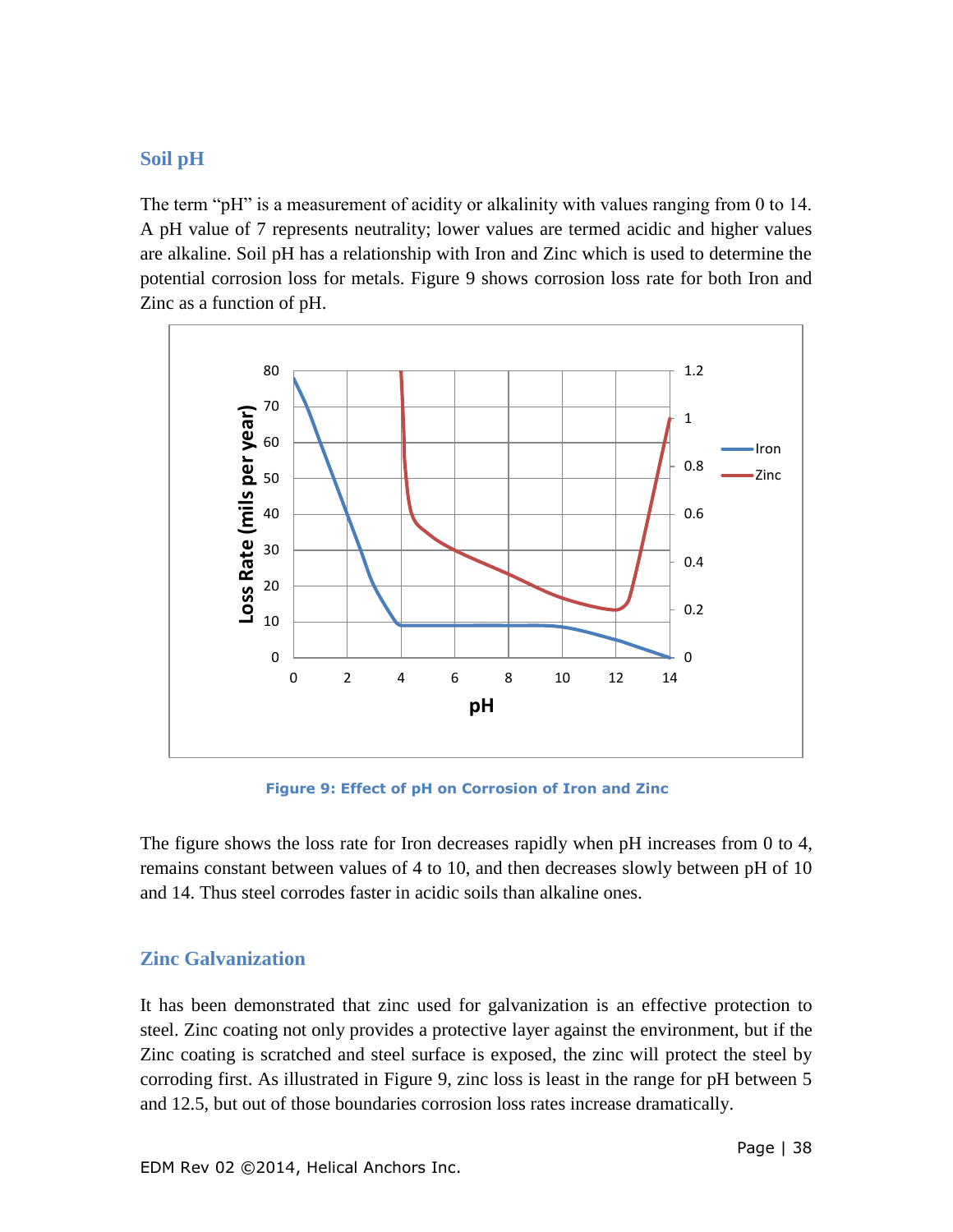#### <span id="page-37-0"></span>**Soil pH**

The term "pH" is a measurement of acidity or alkalinity with values ranging from 0 to 14. A pH value of 7 represents neutrality; lower values are termed acidic and higher values are alkaline. Soil pH has a relationship with Iron and Zinc which is used to determine the potential corrosion loss for metals. Figure 9 shows corrosion loss rate for both Iron and Zinc as a function of pH.



**Figure 9: Effect of pH on Corrosion of Iron and Zinc**

The figure shows the loss rate for Iron decreases rapidly when pH increases from 0 to 4, remains constant between values of 4 to 10, and then decreases slowly between pH of 10 and 14. Thus steel corrodes faster in acidic soils than alkaline ones.

#### <span id="page-37-1"></span>**Zinc Galvanization**

It has been demonstrated that zinc used for galvanization is an effective protection to steel. Zinc coating not only provides a protective layer against the environment, but if the Zinc coating is scratched and steel surface is exposed, the zinc will protect the steel by corroding first. As illustrated in Figure 9, zinc loss is least in the range for pH between 5 and 12.5, but out of those boundaries corrosion loss rates increase dramatically.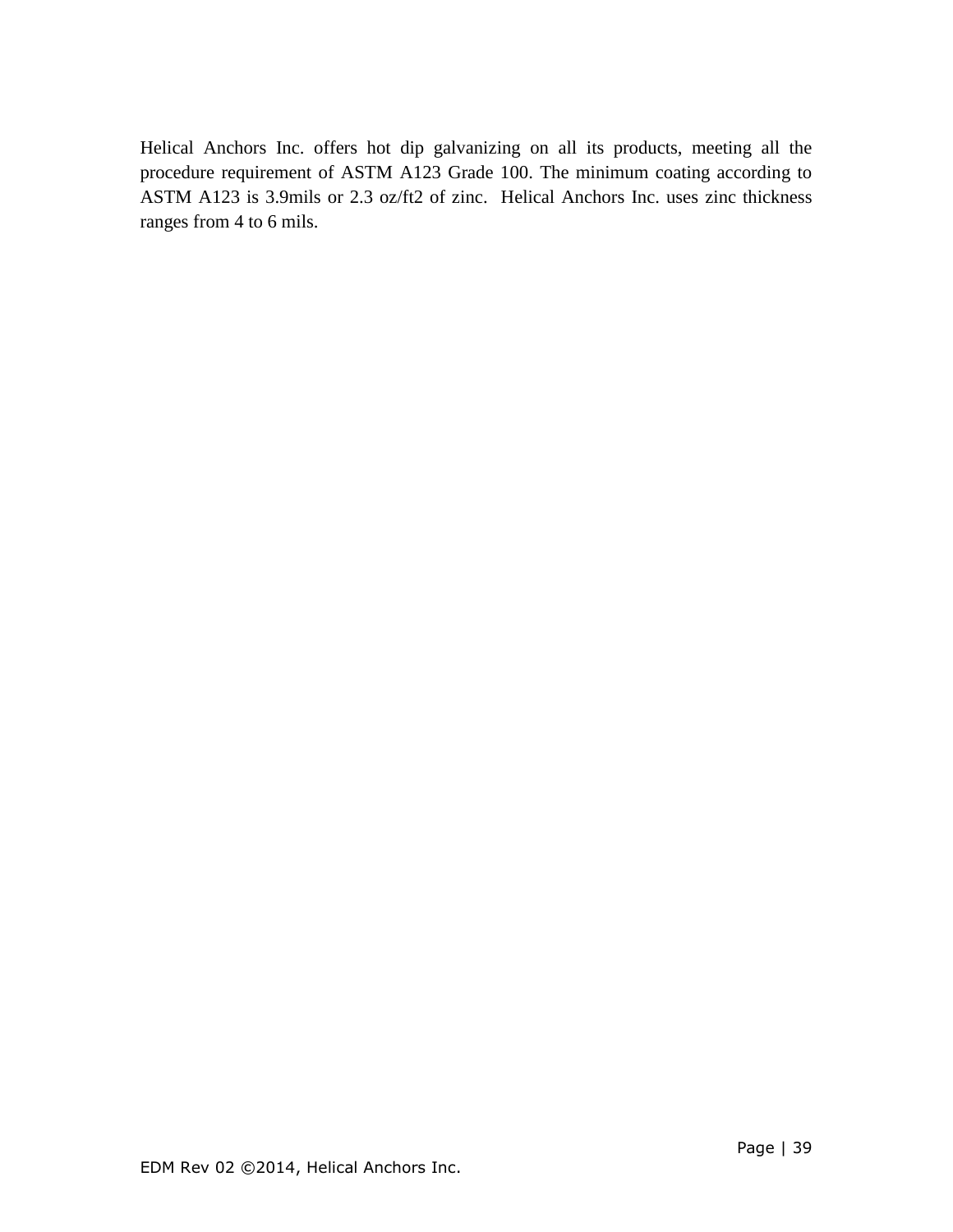Helical Anchors Inc. offers hot dip galvanizing on all its products, meeting all the procedure requirement of ASTM A123 Grade 100. The minimum coating according to ASTM A123 is 3.9mils or 2.3 oz/ft2 of zinc. Helical Anchors Inc. uses zinc thickness ranges from 4 to 6 mils.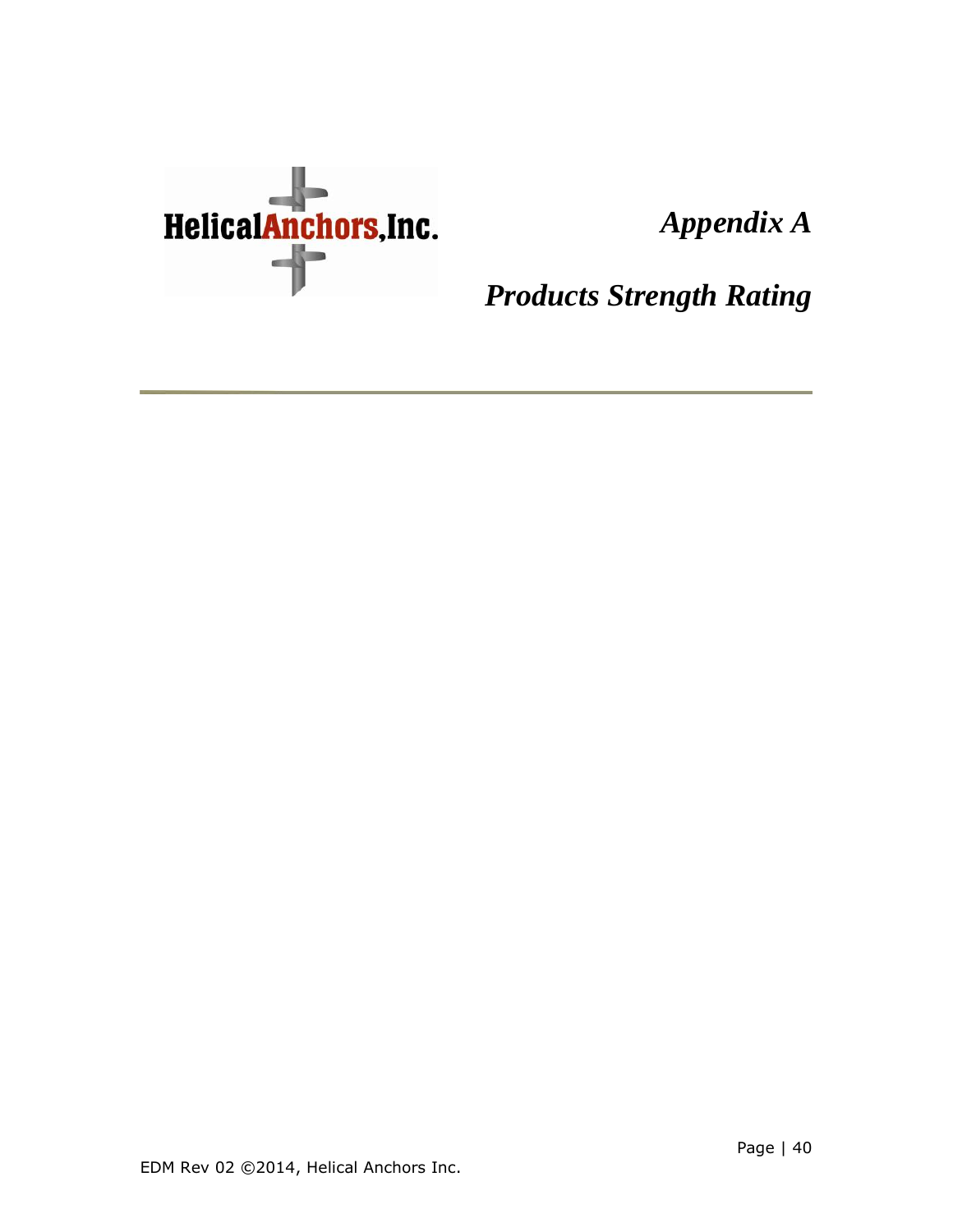

*Appendix A*

<span id="page-39-0"></span>*Products Strength Rating*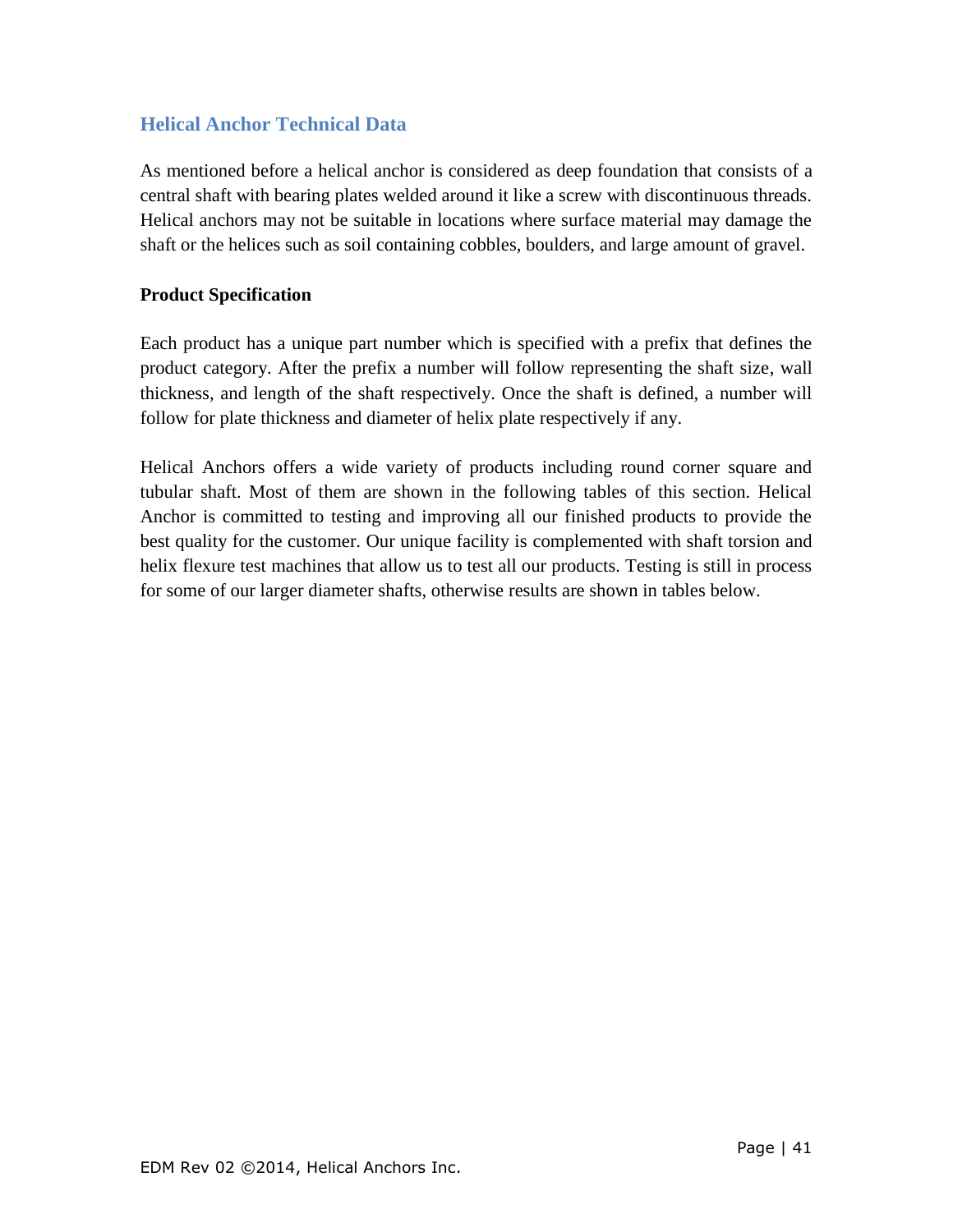#### <span id="page-40-0"></span>**Helical Anchor Technical Data**

As mentioned before a helical anchor is considered as deep foundation that consists of a central shaft with bearing plates welded around it like a screw with discontinuous threads. Helical anchors may not be suitable in locations where surface material may damage the shaft or the helices such as soil containing cobbles, boulders, and large amount of gravel.

#### **Product Specification**

Each product has a unique part number which is specified with a prefix that defines the product category. After the prefix a number will follow representing the shaft size, wall thickness, and length of the shaft respectively. Once the shaft is defined, a number will follow for plate thickness and diameter of helix plate respectively if any.

Helical Anchors offers a wide variety of products including round corner square and tubular shaft. Most of them are shown in the following tables of this section. Helical Anchor is committed to testing and improving all our finished products to provide the best quality for the customer. Our unique facility is complemented with shaft torsion and helix flexure test machines that allow us to test all our products. Testing is still in process for some of our larger diameter shafts, otherwise results are shown in tables below.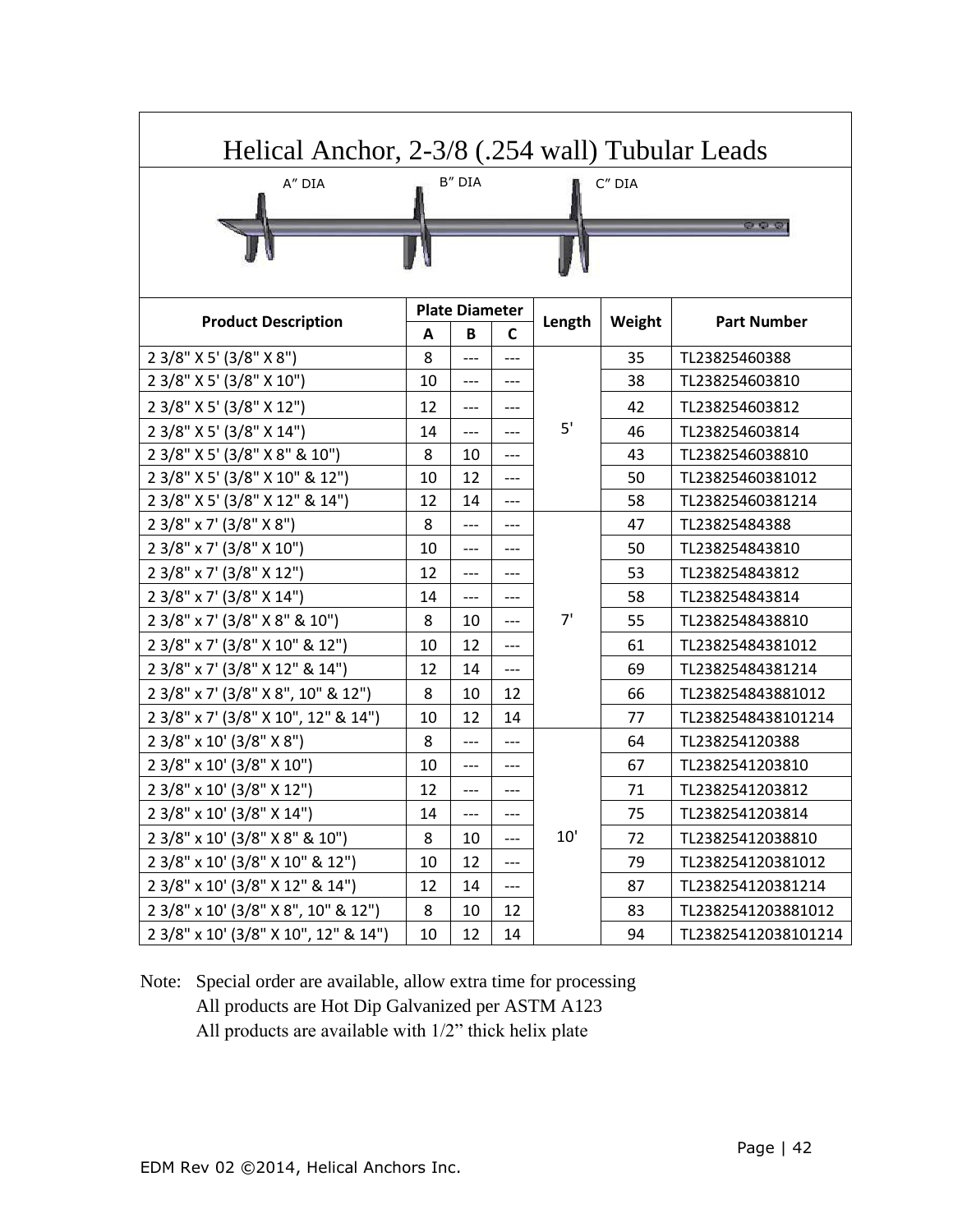| Helical Anchor, 2-3/8 (.254 wall) Tubular Leads |    |                       |       |        |        |                     |  |  |
|-------------------------------------------------|----|-----------------------|-------|--------|--------|---------------------|--|--|
| A" DIA                                          |    | B" DIA                |       |        | C" DIA |                     |  |  |
|                                                 |    |                       |       |        |        |                     |  |  |
|                                                 |    |                       |       |        |        | o o o               |  |  |
|                                                 |    |                       |       |        |        |                     |  |  |
|                                                 |    |                       |       |        |        |                     |  |  |
| <b>Product Description</b>                      |    | <b>Plate Diameter</b> |       | Length | Weight | <b>Part Number</b>  |  |  |
|                                                 | A  | B                     | C     |        |        |                     |  |  |
| 2 3/8" X 5' (3/8" X 8")                         | 8  | ---                   | ---   |        | 35     | TL23825460388       |  |  |
| 2 3/8" X 5' (3/8" X 10")                        | 10 | ---                   | ---   |        | 38     | TL238254603810      |  |  |
| 2 3/8" X 5' (3/8" X 12")                        | 12 |                       | ---   |        | 42     | TL238254603812      |  |  |
| 2 3/8" X 5' (3/8" X 14")                        | 14 | ---                   | ---   | 5'     | 46     | TL238254603814      |  |  |
| 2 3/8" X 5' (3/8" X 8" & 10")                   | 8  | 10                    | ---   |        | 43     | TL2382546038810     |  |  |
| 2 3/8" X 5' (3/8" X 10" & 12")                  | 10 | 12                    | $---$ |        | 50     | TL23825460381012    |  |  |
| 2 3/8" X 5' (3/8" X 12" & 14")                  | 12 | 14                    | ---   |        | 58     | TL23825460381214    |  |  |
| 2 3/8" x 7' (3/8" X 8")                         | 8  | ---                   | ---   |        | 47     | TL23825484388       |  |  |
| 2 3/8" x 7' (3/8" X 10")                        | 10 | ---                   | ---   |        | 50     | TL238254843810      |  |  |
| 2 3/8" x 7' (3/8" X 12")                        | 12 |                       | ---   |        | 53     | TL238254843812      |  |  |
| 2 3/8" x 7' (3/8" X 14")                        | 14 | ---                   | $---$ |        | 58     | TL238254843814      |  |  |
| 2 3/8" x 7' (3/8" X 8" & 10")                   | 8  | 10                    | $---$ | 7'     | 55     | TL2382548438810     |  |  |
| 2 3/8" x 7' (3/8" X 10" & 12")                  | 10 | 12                    | $---$ |        | 61     | TL23825484381012    |  |  |
| 2 3/8" x 7' (3/8" X 12" & 14")                  | 12 | 14                    | $---$ |        | 69     | TL23825484381214    |  |  |
| 2 3/8" x 7' (3/8" X 8", 10" & 12")              | 8  | 10                    | 12    |        | 66     | TL238254843881012   |  |  |
| 2 3/8" x 7' (3/8" X 10", 12" & 14")             | 10 | 12                    | 14    |        | 77     | TL2382548438101214  |  |  |
| 2 3/8" x 10' (3/8" X 8")                        | 8  | ---                   | ---   |        | 64     | TL238254120388      |  |  |
| 2 3/8" x 10' (3/8" X 10")                       | 10 | ---                   | ---   |        | 67     | TL2382541203810     |  |  |
| 2 3/8" x 10' (3/8" X 12")                       | 12 |                       | ---   |        | 71     | TL2382541203812     |  |  |
| 2 3/8" x 10' (3/8" X 14")                       | 14 | $---$                 | $---$ |        | 75     | TL2382541203814     |  |  |
| 2 3/8" x 10' (3/8" X 8" & 10")                  | 8  | 10                    | ---   | 10'    | 72     | TL23825412038810    |  |  |
| 2 3/8" x 10' (3/8" X 10" & 12")                 | 10 | 12                    | ---   |        | 79     | TL238254120381012   |  |  |
| 2 3/8" x 10' (3/8" X 12" & 14")                 | 12 | 14                    | ---   |        | 87     | TL238254120381214   |  |  |
| 2 3/8" x 10' (3/8" X 8", 10" & 12")             | 8  | 10                    | 12    |        | 83     | TL2382541203881012  |  |  |
| 2 3/8" x 10' (3/8" X 10", 12" & 14")            | 10 | 12                    | 14    |        | 94     | TL23825412038101214 |  |  |

Note: Special order are available, allow extra time for processing All products are Hot Dip Galvanized per ASTM A123 All products are available with 1/2" thick helix plate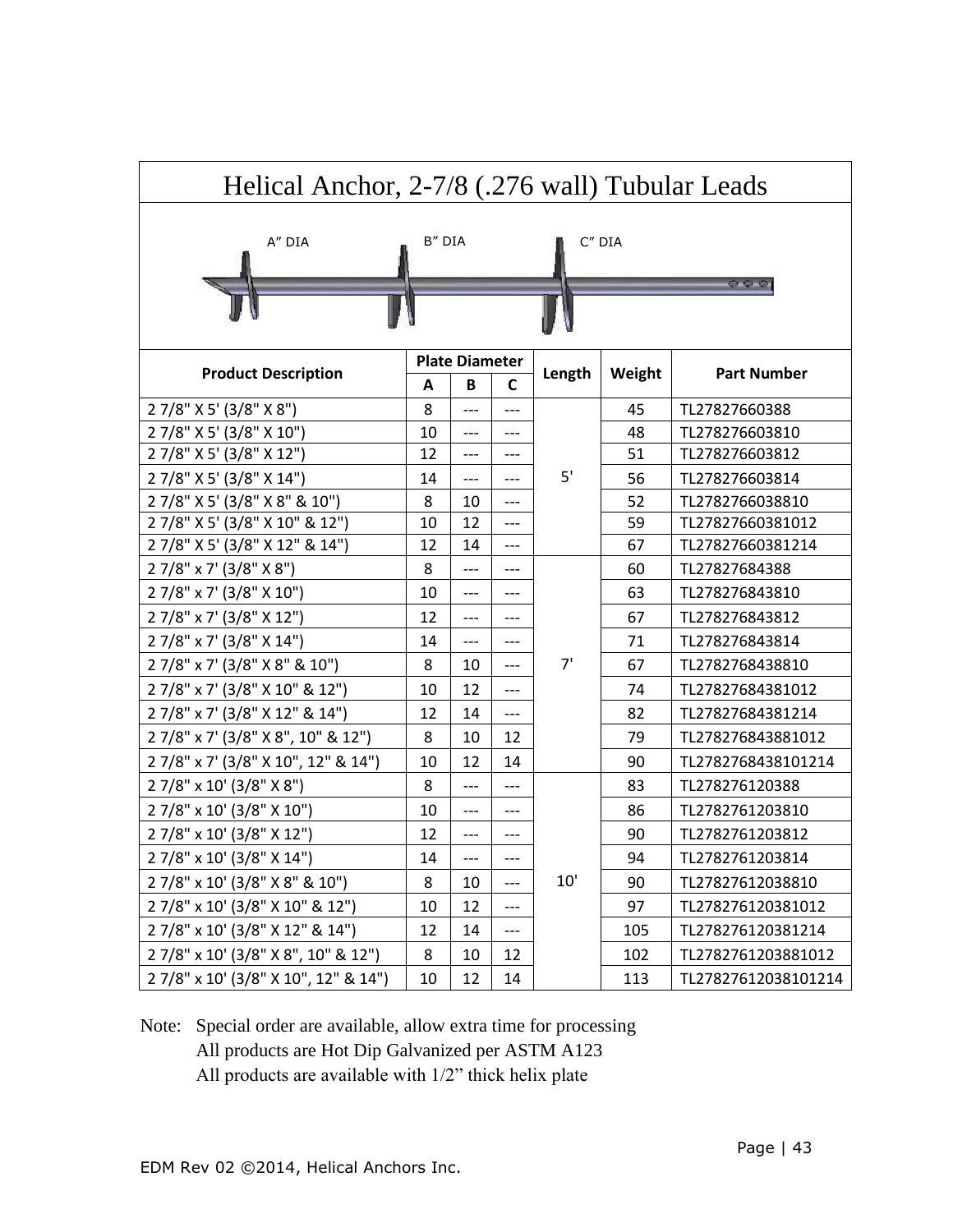| Helical Anchor, 2-7/8 (.276 wall) Tubular Leads |    |                       |       |        |        |                     |  |  |  |
|-------------------------------------------------|----|-----------------------|-------|--------|--------|---------------------|--|--|--|
| B" DIA<br>A" DIA<br>C" DIA<br><b>Quant</b>      |    |                       |       |        |        |                     |  |  |  |
|                                                 |    | <b>Plate Diameter</b> |       |        |        |                     |  |  |  |
| <b>Product Description</b>                      | A  | B                     | C     | Length | Weight | <b>Part Number</b>  |  |  |  |
| 27/8" X 5' (3/8" X 8")                          | 8  | ---                   | ---   |        | 45     | TL27827660388       |  |  |  |
| 27/8" X 5' (3/8" X 10")                         | 10 | $---$                 | ---   |        | 48     | TL278276603810      |  |  |  |
| 27/8" X 5' (3/8" X 12")                         | 12 | ---                   | ---   |        | 51     | TL278276603812      |  |  |  |
| 27/8" X 5' (3/8" X 14")                         | 14 |                       |       | 5'     | 56     | TL278276603814      |  |  |  |
| 27/8" X5' (3/8" X8" & 10")                      | 8  | 10                    | $---$ |        | 52     | TL2782766038810     |  |  |  |
| 27/8" X5' (3/8" X 10" & 12")                    | 10 | 12                    | $---$ |        | 59     | TL27827660381012    |  |  |  |
| 27/8" X 5' (3/8" X 12" & 14")                   | 12 | 14                    | ---   |        | 67     | TL27827660381214    |  |  |  |
| 2 7/8" x 7' (3/8" X 8")                         | 8  | $---$                 | $---$ |        | 60     | TL27827684388       |  |  |  |
| 27/8" x 7' (3/8" X 10")                         | 10 | ---                   | ---   |        | 63     | TL278276843810      |  |  |  |
| 27/8" x 7' (3/8" X 12")                         | 12 | $---$                 | ---   |        | 67     | TL278276843812      |  |  |  |
| 2 7/8" x 7' (3/8" X 14")                        | 14 | ---                   | ---   |        | 71     | TL278276843814      |  |  |  |
| 27/8" x 7' (3/8" X 8" & 10")                    | 8  | 10                    | $---$ | 7'     | 67     | TL2782768438810     |  |  |  |
| 27/8" x 7' (3/8" X 10" & 12")                   | 10 | 12                    | ---   |        | 74     | TL27827684381012    |  |  |  |
| 27/8" x 7' (3/8" X 12" & 14")                   | 12 | 14                    | ---   |        | 82     | TL27827684381214    |  |  |  |
| 27/8" x 7' (3/8" X 8", 10" & 12")               | 8  | 10                    | 12    |        | 79     | TL278276843881012   |  |  |  |
| 27/8" x 7' (3/8" X 10", 12" & 14")              | 10 | 12                    | 14    |        | 90     | TL2782768438101214  |  |  |  |
| 27/8" x 10' (3/8" X 8")                         | 8  | ---                   | ---   |        | 83     | TL278276120388      |  |  |  |
| 27/8" x 10' (3/8" X 10")                        | 10 | ---                   | ---   |        | 86     | TL2782761203810     |  |  |  |
| 27/8" x 10' (3/8" X 12")                        | 12 |                       | ---   |        | 90     | TL2782761203812     |  |  |  |
| 2 7/8" x 10' (3/8" X 14")                       | 14 | $---$                 | $---$ |        | 94     | TL2782761203814     |  |  |  |
| 27/8" x 10' (3/8" X 8" & 10")                   | 8  | 10                    | ---   | 10'    | 90     | TL27827612038810    |  |  |  |
| 27/8" x 10' (3/8" X 10" & 12")                  | 10 | 12                    | ---   |        | 97     | TL278276120381012   |  |  |  |
| 27/8" x 10' (3/8" X 12" & 14")                  | 12 | 14                    | ---   |        | 105    | TL278276120381214   |  |  |  |
| 27/8" x 10' (3/8" X 8", 10" & 12")              | 8  | 10                    | 12    |        | 102    | TL2782761203881012  |  |  |  |
| 27/8" x 10' (3/8" X 10", 12" & 14")             | 10 | 12                    | 14    |        | 113    | TL27827612038101214 |  |  |  |

Note: Special order are available, allow extra time for processing All products are Hot Dip Galvanized per ASTM A123 All products are available with 1/2" thick helix plate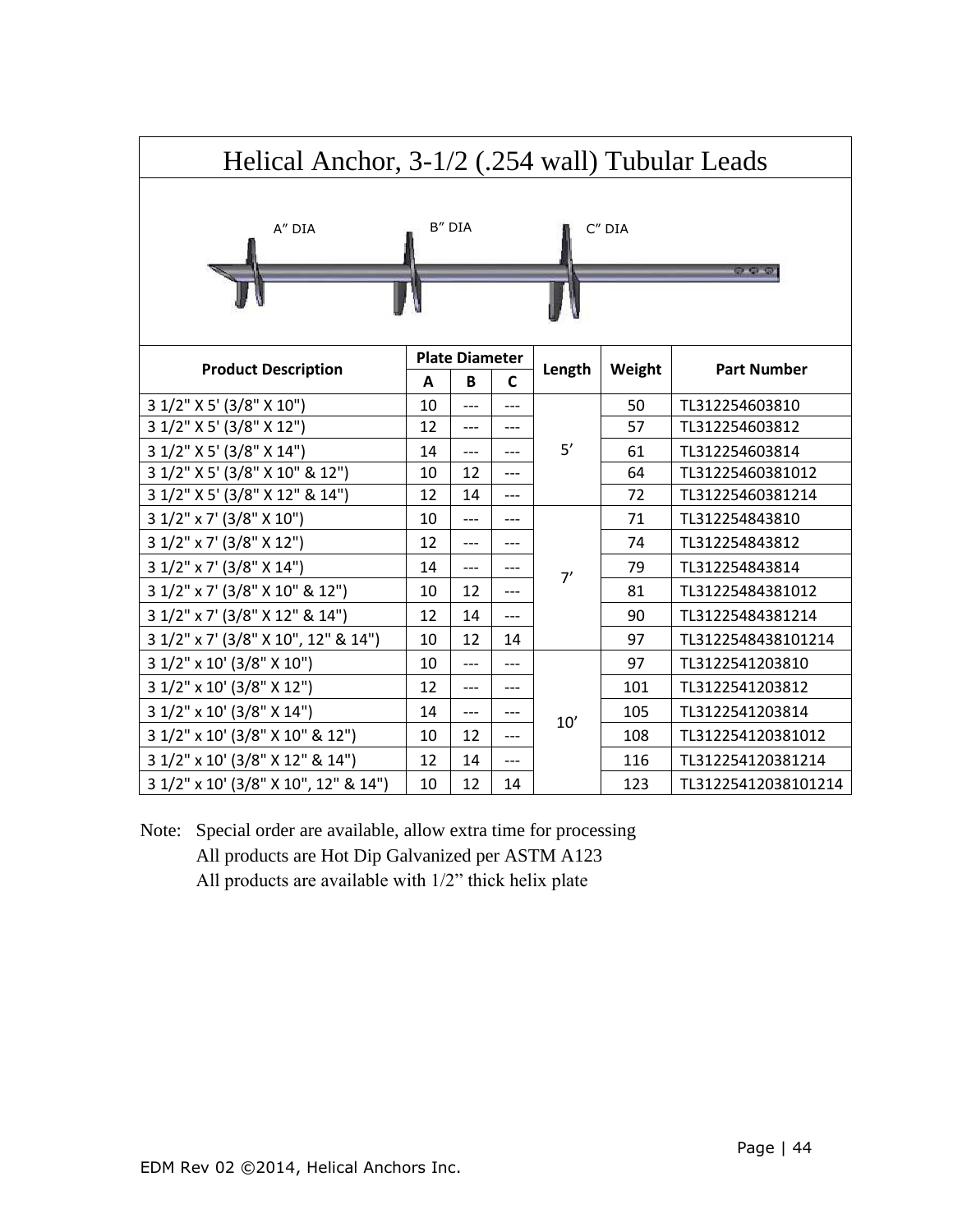| Helical Anchor, 3-1/2 (.254 wall) Tubular Leads |                                              |                                       |              |        |                |                    |  |  |
|-------------------------------------------------|----------------------------------------------|---------------------------------------|--------------|--------|----------------|--------------------|--|--|
| B" DIA<br>A" DIA<br>$C''$ DIA                   |                                              |                                       |              |        |                |                    |  |  |
| <b>Product Description</b>                      | A                                            | <b>Plate Diameter</b><br>$\, {\bf B}$ | $\mathsf{C}$ | Length | Weight         | <b>Part Number</b> |  |  |
| 3 1/2" X 5' (3/8" X 10")                        | 10                                           |                                       | $---$        |        | 50             | TL312254603810     |  |  |
| 3 1/2" X 5' (3/8" X 12")                        | 12                                           | $\qquad \qquad - -$                   | $---$        |        | 57             | TL312254603812     |  |  |
| 3 1/2" X 5' (3/8" X 14")                        | 5'<br>14<br>---<br>---                       |                                       |              | 61     | TL312254603814 |                    |  |  |
| 3 1/2" X 5' (3/8" X 10" & 12")                  | 10                                           | 12                                    | ---          |        | 64             | TL31225460381012   |  |  |
| 3 1/2" X 5' (3/8" X 12" & 14")                  | 12                                           | 14                                    | ---          |        | 72             | TL31225460381214   |  |  |
| 3 1/2" x 7' (3/8" X 10")                        | 10                                           | ---                                   | ---          |        | 71             | TL312254843810     |  |  |
| 3 1/2" x 7' (3/8" X 12")                        | 12                                           | ---                                   | ---          |        | 74             | TL312254843812     |  |  |
| 3 1/2" x 7' (3/8" X 14")                        | 14                                           | $---$                                 | ---          | 7'     | 79             | TL312254843814     |  |  |
| 3 1/2" x 7' (3/8" X 10" & 12")                  | 10                                           | 12                                    | $---$        |        | 81             | TL31225484381012   |  |  |
| 3 1/2" x 7' (3/8" X 12" & 14")                  | 12                                           | 14                                    | ---          |        | 90             | TL31225484381214   |  |  |
| 3 1/2" x 7' (3/8" X 10", 12" & 14")             | 10                                           | 12                                    | 14           |        | 97             | TL3122548438101214 |  |  |
| 3 1/2" x 10' (3/8" X 10")                       | 10                                           | ---                                   | ---          |        | 97             | TL3122541203810    |  |  |
| 3 1/2" x 10' (3/8" X 12")                       | 12                                           | $---$                                 | $---$        |        | 101            | TL3122541203812    |  |  |
| 3 1/2" x 10' (3/8" X 14")                       | 14                                           | ---                                   | $---$        |        | 105            | TL3122541203814    |  |  |
| 3 1/2" x 10' (3/8" X 10" & 12")                 | 10                                           | 12                                    | ---          | 10'    | 108            | TL312254120381012  |  |  |
| 3 1/2" x 10' (3/8" X 12" & 14")                 | 12                                           | 14                                    | $---$        |        | 116            | TL312254120381214  |  |  |
| 3 1/2" x 10' (3/8" X 10", 12" & 14")            | 12<br>10<br>14<br>123<br>TL31225412038101214 |                                       |              |        |                |                    |  |  |

Note: Special order are available, allow extra time for processing All products are Hot Dip Galvanized per ASTM A123 All products are available with 1/2" thick helix plate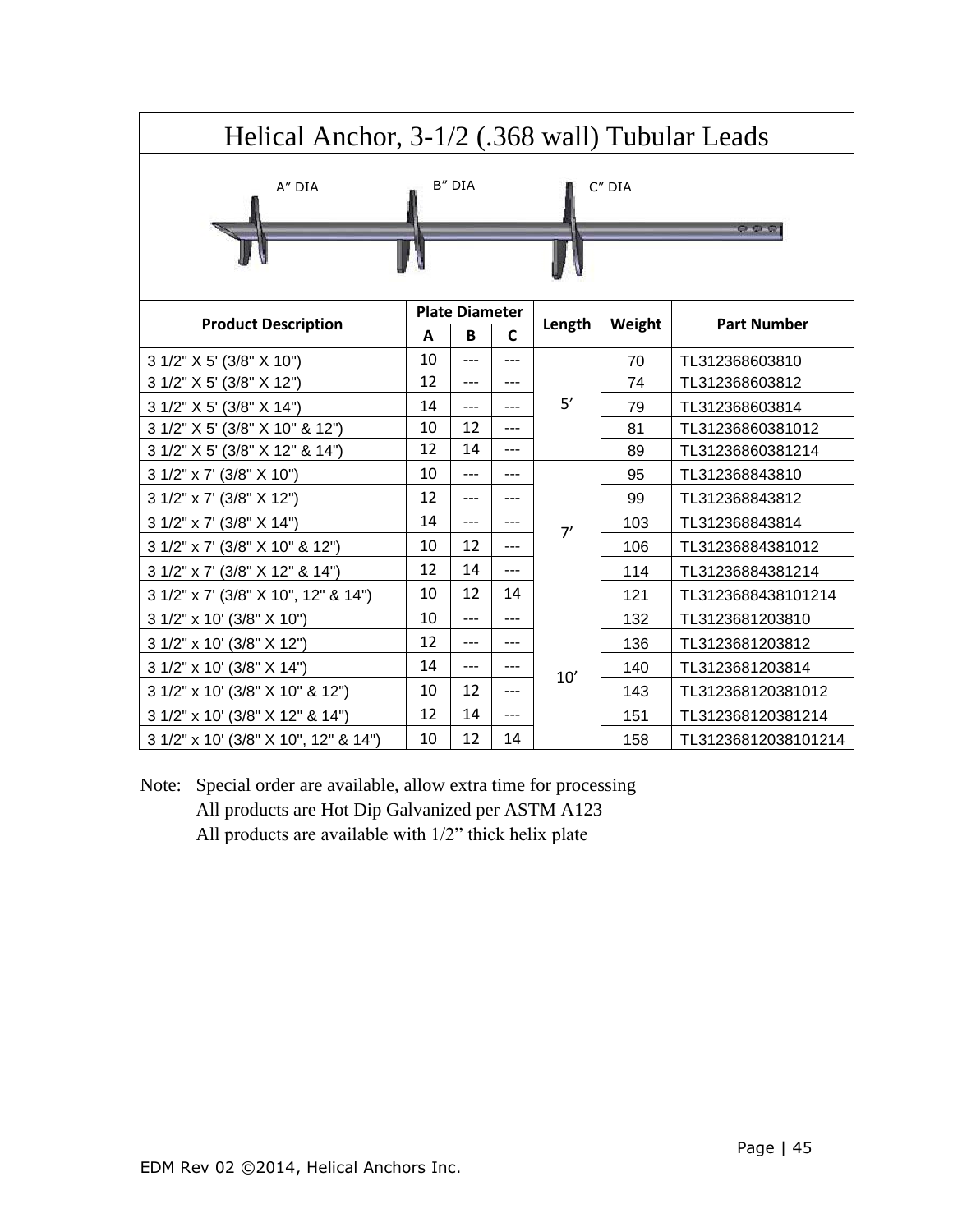| Helical Anchor, 3-1/2 (.368 wall) Tubular Leads                  |          |                       |                |        |          |                                    |  |  |
|------------------------------------------------------------------|----------|-----------------------|----------------|--------|----------|------------------------------------|--|--|
| B" DIA<br>A" DIA<br>C" DIA<br>0.0.0                              |          |                       |                |        |          |                                    |  |  |
| <b>Product Description</b>                                       |          | <b>Plate Diameter</b> |                | Length | Weight   | <b>Part Number</b>                 |  |  |
|                                                                  | A        | B                     | C              |        |          |                                    |  |  |
| 3 1/2" X 5' (3/8" X 10")                                         | 10<br>12 | ---<br>$---$          | $---$<br>$---$ |        | 70       | TL312368603810                     |  |  |
| 3 1/2" X 5' (3/8" X 12")                                         |          |                       |                | 5'     | 74       | TL312368603812                     |  |  |
| 3 1/2" X 5' (3/8" X 14")                                         | 14<br>10 | $---$<br>12           | $---$<br>$---$ |        | 79<br>81 | TL312368603814<br>TL31236860381012 |  |  |
| 3 1/2" X 5' (3/8" X 10" & 12")<br>3 1/2" X 5' (3/8" X 12" & 14") | 12       | 14                    | ---            |        | 89       | TL31236860381214                   |  |  |
| 3 1/2" x 7' (3/8" X 10")                                         | 10       | $---$                 | $---$          |        | 95       | TL312368843810                     |  |  |
| 3 1/2" x 7' (3/8" X 12")                                         | 12       | $---$                 | $---$          |        | 99       | TL312368843812                     |  |  |
| 3 1/2" x 7' (3/8" X 14")                                         | 14       | ---                   | $---$          |        | 103      | TL312368843814                     |  |  |
| 3 1/2" x 7' (3/8" X 10" & 12")                                   | 10       | 12                    | $---$          | 7'     | 106      | TL31236884381012                   |  |  |
| 3 1/2" x 7' (3/8" X 12" & 14")                                   | 12       | 14                    | $---$          |        | 114      | TL31236884381214                   |  |  |
|                                                                  | 10       | 12                    | 14             |        | 121      | TL3123688438101214                 |  |  |
| 3 1/2" x 7' (3/8" X 10", 12" & 14")                              | 10       | ---                   | ---            |        |          |                                    |  |  |
| 3 1/2" x 10' (3/8" X 10")                                        | 12       | $---$                 | $---$          |        | 132      | TL3123681203810                    |  |  |
| 3 1/2" x 10' (3/8" X 12")                                        |          |                       |                |        | 136      | TL3123681203812                    |  |  |
| 3 1/2" x 10' (3/8" X 14")                                        | 14       | $---$                 | $---$          | 10'    | 140      | TL3123681203814                    |  |  |
| 3 1/2" x 10' (3/8" X 10" & 12")                                  | 10       | 12                    | $---$          |        | 143      | TL312368120381012                  |  |  |
| 3 1/2" x 10' (3/8" X 12" & 14")                                  | 12       | 14                    | $---$          |        | 151      | TL312368120381214                  |  |  |
| 3 1/2" x 10' (3/8" X 10", 12" & 14")                             | 10       | 12                    | 14             |        | 158      | TL31236812038101214                |  |  |

Note: Special order are available, allow extra time for processing All products are Hot Dip Galvanized per ASTM A123 All products are available with 1/2" thick helix plate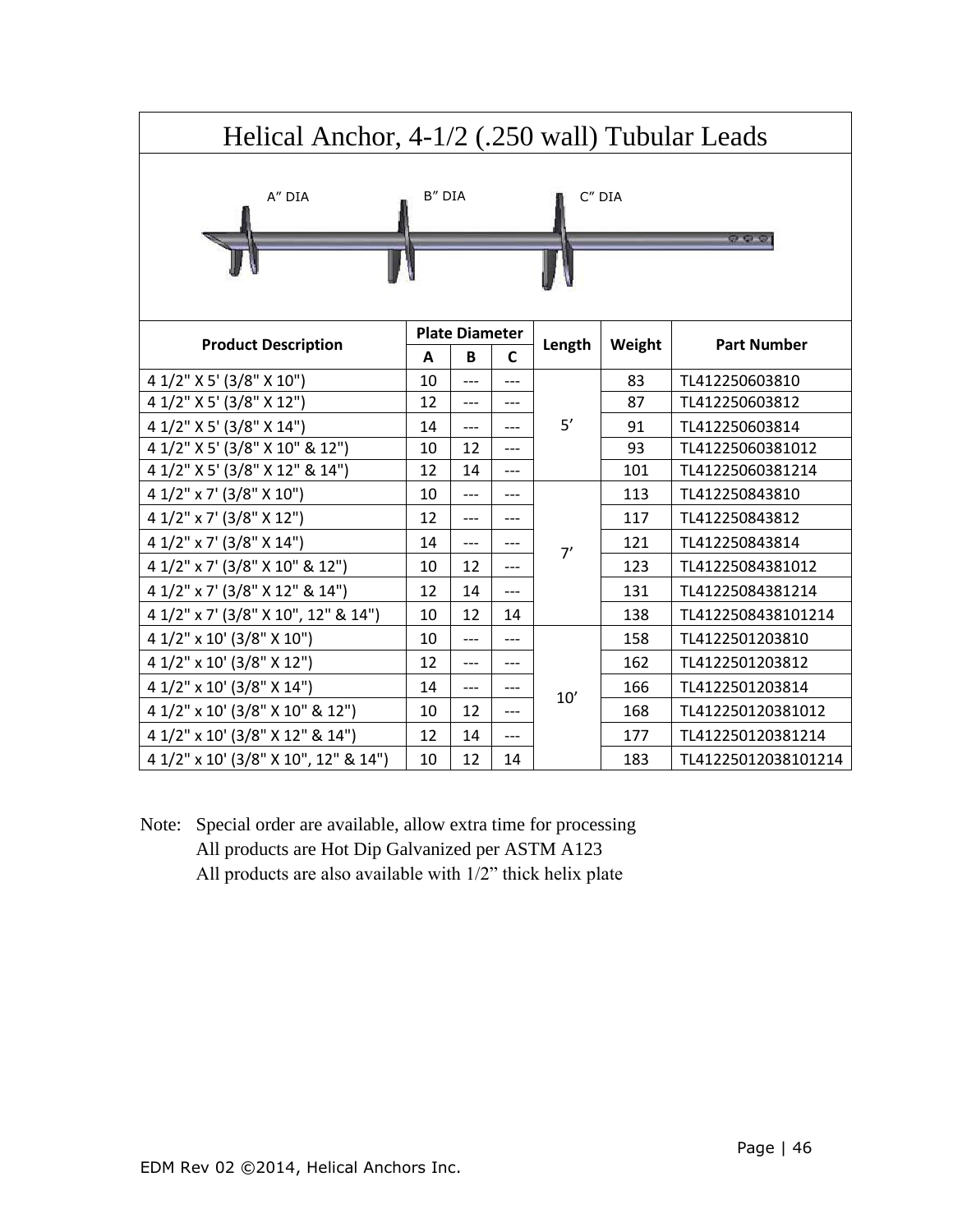| Helical Anchor, 4-1/2 (.250 wall) Tubular Leads |    |                            |              |        |        |                     |  |
|-------------------------------------------------|----|----------------------------|--------------|--------|--------|---------------------|--|
| B" DIA<br>A" DIA<br>C" DIA<br>$Q$ $Q$           |    |                            |              |        |        |                     |  |
| <b>Product Description</b>                      | A  | <b>Plate Diameter</b><br>B | $\mathsf{C}$ | Length | Weight | <b>Part Number</b>  |  |
| 4 1/2" X 5' (3/8" X 10")                        | 10 | ---                        | ---          |        | 83     | TL412250603810      |  |
| 4 1/2" X 5' (3/8" X 12")                        | 12 | ---                        | ---          |        | 87     | TL412250603812      |  |
| 4 1/2" X 5' (3/8" X 14")                        | 14 | ---                        | $---$        | 5'     | 91     | TL412250603814      |  |
| 4 1/2" X 5' (3/8" X 10" & 12")                  | 10 | 12                         | $---$        |        | 93     | TL41225060381012    |  |
| 4 1/2" X 5' (3/8" X 12" & 14")                  | 12 | 14                         | $---$        |        | 101    | TL41225060381214    |  |
| 4 1/2" x 7' (3/8" X 10")                        | 10 | ---                        | ---          |        | 113    | TL412250843810      |  |
| 4 1/2" x 7' (3/8" X 12")                        | 12 | ---                        | $---$        |        | 117    | TL412250843812      |  |
| 4 1/2" x 7' (3/8" X 14")                        | 14 | ---                        | ---          | 7'     | 121    | TL412250843814      |  |
| 4 1/2" x 7' (3/8" X 10" & 12")                  | 10 | 12                         | ---          |        | 123    | TL41225084381012    |  |
| 4 1/2" x 7' (3/8" X 12" & 14")                  | 12 | 14                         | ---          |        | 131    | TL41225084381214    |  |
| 4 1/2" x 7' (3/8" X 10", 12" & 14")             | 10 | 12                         | 14           |        | 138    | TL4122508438101214  |  |
| 4 1/2" x 10' (3/8" X 10")                       | 10 | ---                        | ---          |        | 158    | TL4122501203810     |  |
| 4 1/2" x 10' (3/8" X 12")                       | 12 | ---                        | $---$        |        | 162    | TL4122501203812     |  |
| 4 1/2" x 10' (3/8" X 14")                       | 14 | ---                        | $---$        |        | 166    | TL4122501203814     |  |
| 4 1/2" x 10' (3/8" X 10" & 12")                 | 10 | 12                         | ---          | 10'    | 168    | TL412250120381012   |  |
| 4 1/2" x 10' (3/8" X 12" & 14")                 | 12 | 14                         | $---$        |        | 177    | TL412250120381214   |  |
| 4 1/2" x 10' (3/8" X 10", 12" & 14")            | 10 | 12                         | 14           |        | 183    | TL41225012038101214 |  |

Note: Special order are available, allow extra time for processing All products are Hot Dip Galvanized per ASTM A123 All products are also available with 1/2" thick helix plate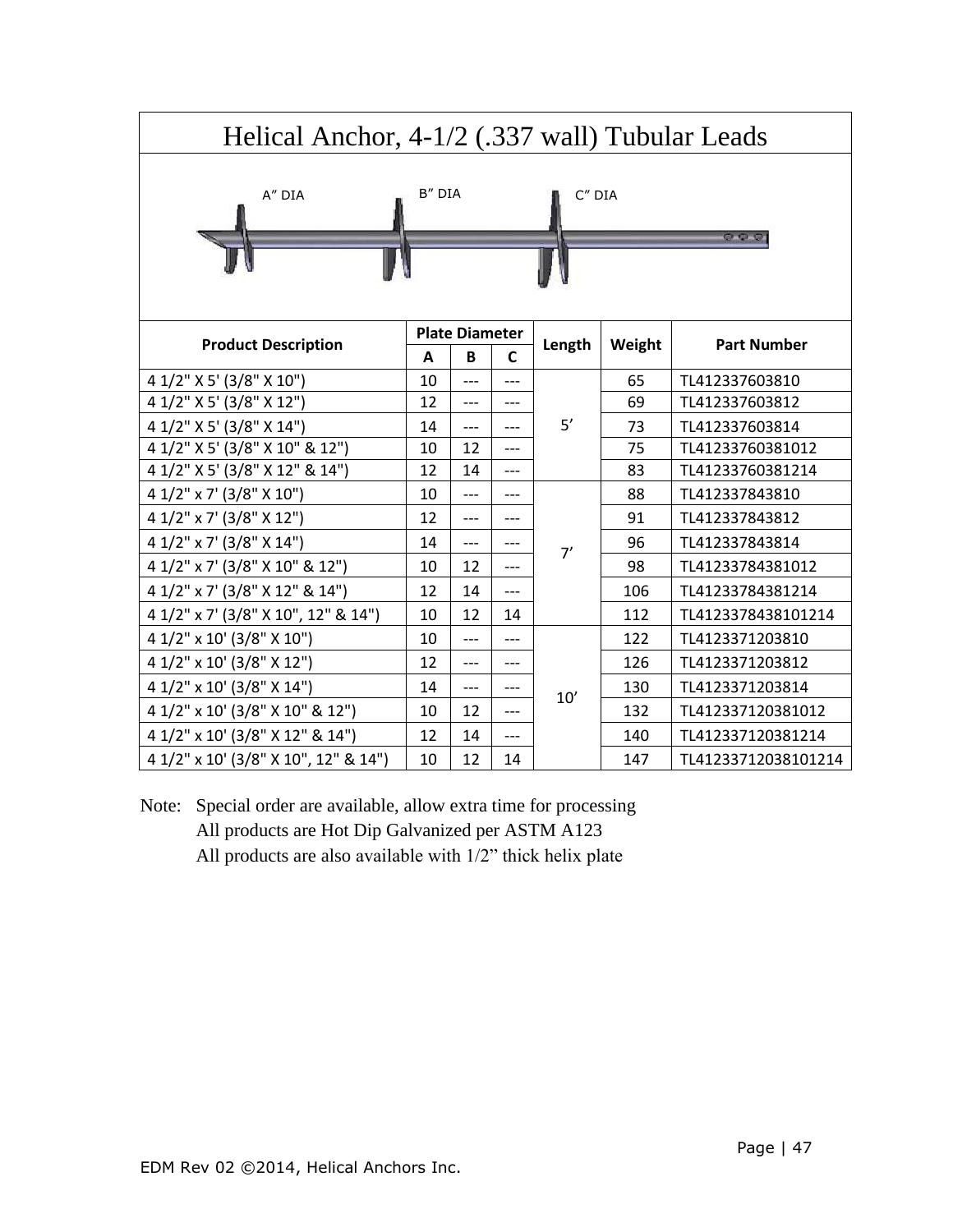| Helical Anchor, 4-1/2 (.337 wall) Tubular Leads |    |                            |       |        |        |                     |  |  |
|-------------------------------------------------|----|----------------------------|-------|--------|--------|---------------------|--|--|
| A" DIA<br>B" DIA<br>$C''$ DIA<br>$Q = Q - Q$    |    |                            |       |        |        |                     |  |  |
| <b>Product Description</b>                      | A  | <b>Plate Diameter</b><br>B | C     | Length | Weight | <b>Part Number</b>  |  |  |
| 4 1/2" X 5' (3/8" X 10")                        | 10 | ---                        | ---   |        | 65     | TL412337603810      |  |  |
| 4 1/2" X 5' (3/8" X 12")                        | 12 | ---                        | ---   |        | 69     | TL412337603812      |  |  |
| 4 1/2" X 5' (3/8" X 14")                        | 14 |                            | ---   | 5'     | 73     | TL412337603814      |  |  |
| 4 1/2" X 5' (3/8" X 10" & 12")                  | 10 | 12                         | $---$ |        | 75     | TL41233760381012    |  |  |
| 4 1/2" X 5' (3/8" X 12" & 14")                  | 12 | 14                         | ---   |        | 83     | TL41233760381214    |  |  |
| 4 1/2" x 7' (3/8" X 10")                        | 10 | ---                        | ---   |        | 88     | TL412337843810      |  |  |
| 4 1/2" x 7' (3/8" X 12")                        | 12 | ---                        | ---   |        | 91     | TL412337843812      |  |  |
| 4 1/2" x 7' (3/8" X 14")                        | 14 | ---                        | ---   | 7'     | 96     | TL412337843814      |  |  |
| 4 1/2" x 7' (3/8" X 10" & 12")                  | 10 | 12                         | ---   |        | 98     | TL41233784381012    |  |  |
| 4 1/2" x 7' (3/8" X 12" & 14")                  | 12 | 14                         | ---   |        | 106    | TL41233784381214    |  |  |
| 4 1/2" x 7' (3/8" X 10", 12" & 14")             | 10 | 12                         | 14    |        | 112    | TL4123378438101214  |  |  |
| 4 1/2" x 10' (3/8" X 10")                       | 10 | ---                        | ---   |        | 122    | TL4123371203810     |  |  |
| 4 1/2" x 10' (3/8" X 12")                       | 12 | ---                        | $---$ |        | 126    | TL4123371203812     |  |  |
| 4 1/2" x 10' (3/8" X 14")                       | 14 | $---$                      | $---$ |        | 130    | TL4123371203814     |  |  |
| 4 1/2" x 10' (3/8" X 10" & 12")                 | 10 | 12                         | ---   | 10'    | 132    | TL412337120381012   |  |  |
| 4 1/2" x 10' (3/8" X 12" & 14")                 | 12 | 14                         | $---$ |        | 140    | TL412337120381214   |  |  |
| 4 1/2" x 10' (3/8" X 10", 12" & 14")            | 10 | 12                         | 14    |        | 147    | TL41233712038101214 |  |  |

Note: Special order are available, allow extra time for processing All products are Hot Dip Galvanized per ASTM A123 All products are also available with 1/2" thick helix plate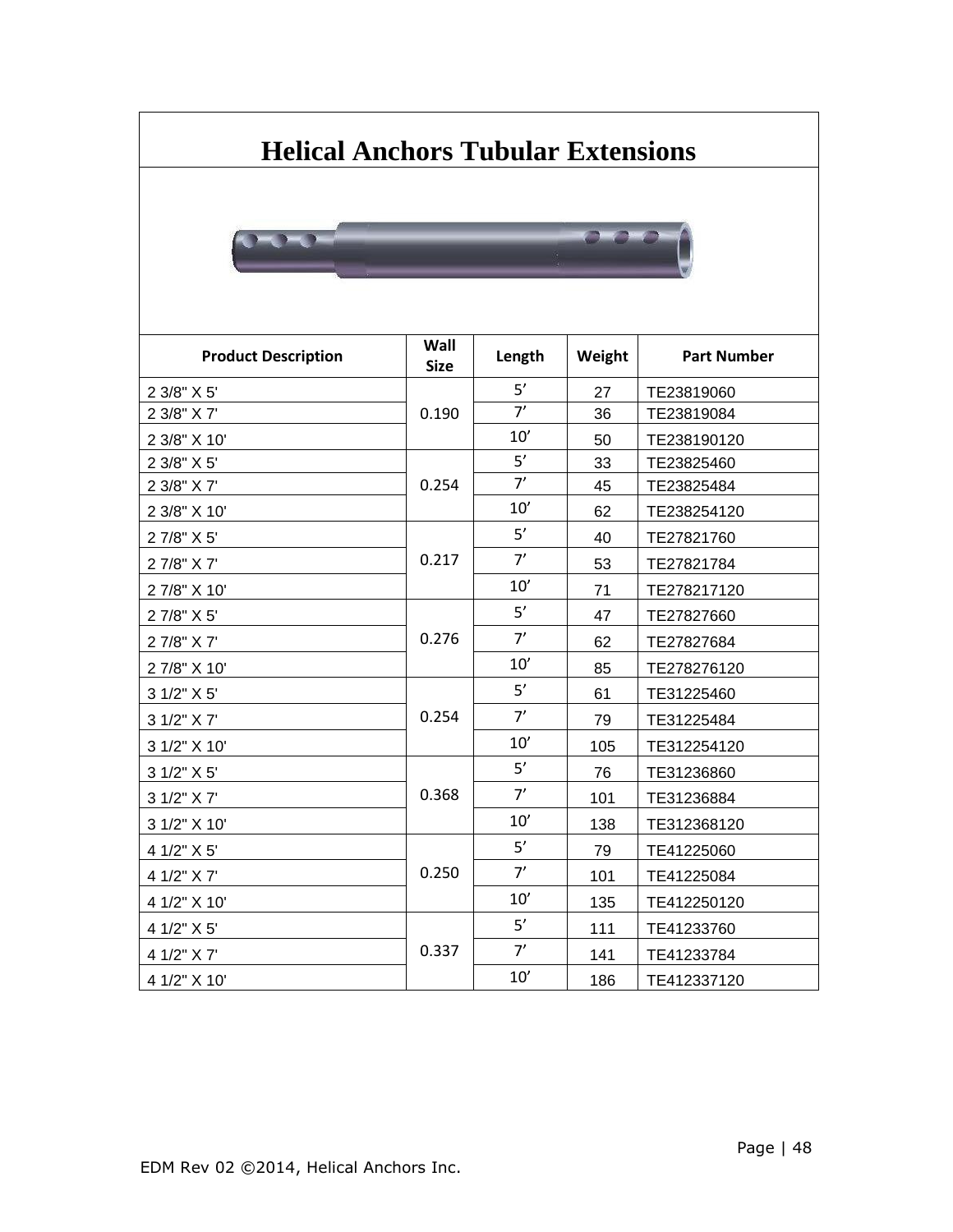## **Helical Anchors Tubular Extensions**



| <b>Product Description</b> | Wall<br><b>Size</b> | Length | Weight | <b>Part Number</b> |
|----------------------------|---------------------|--------|--------|--------------------|
| 2 3/8" X 5"                |                     | 5'     | 27     | TE23819060         |
| 2 3/8" X 7'                | 0.190               | 7'     | 36     | TE23819084         |
| 2 3/8" X 10'               |                     | 10'    | 50     | TE238190120        |
| 2 3/8" X 5'                |                     | 5'     | 33     | TE23825460         |
| 2 3/8" X 7"                | 0.254               | 7'     | 45     | TE23825484         |
| 2 3/8" X 10'               |                     | 10'    | 62     | TE238254120        |
| 27/8" X5'                  |                     | 5'     | 40     | TE27821760         |
| 27/8" X7'                  | 0.217               | 7'     | 53     | TE27821784         |
| 27/8" X 10'                |                     | 10'    | 71     | TE278217120        |
| 27/8" X5'                  |                     | 5'     | 47     | TE27827660         |
| 2 7/8" X 7"                | 0.276               | 7'     | 62     | TE27827684         |
| 27/8" X 10'                |                     | 10'    | 85     | TE278276120        |
| 3 1/2" X 5'                |                     | 5'     | 61     | TE31225460         |
| 3 1/2" X 7"                | 0.254               | 7'     | 79     | TE31225484         |
| 3 1/2" X 10'               |                     | 10'    | 105    | TE312254120        |
| 3 1/2" X 5"                |                     | 5'     | 76     | TE31236860         |
| 3 1/2" X 7"                | 0.368               | 7'     | 101    | TE31236884         |
| 3 1/2" X 10'               |                     | 10'    | 138    | TE312368120        |
| 4 1/2" X 5'                |                     | 5'     | 79     | TE41225060         |
| 4 1/2" X 7"                | 0.250               | 7'     | 101    | TE41225084         |
| 4 1/2" X 10'               |                     | 10'    | 135    | TE412250120        |
| 4 1/2" X 5"                |                     | 5'     | 111    | TE41233760         |
| 4 1/2" X 7"                | 0.337               | 7'     | 141    | TE41233784         |
| 4 1/2" X 10'               |                     | 10'    | 186    | TE412337120        |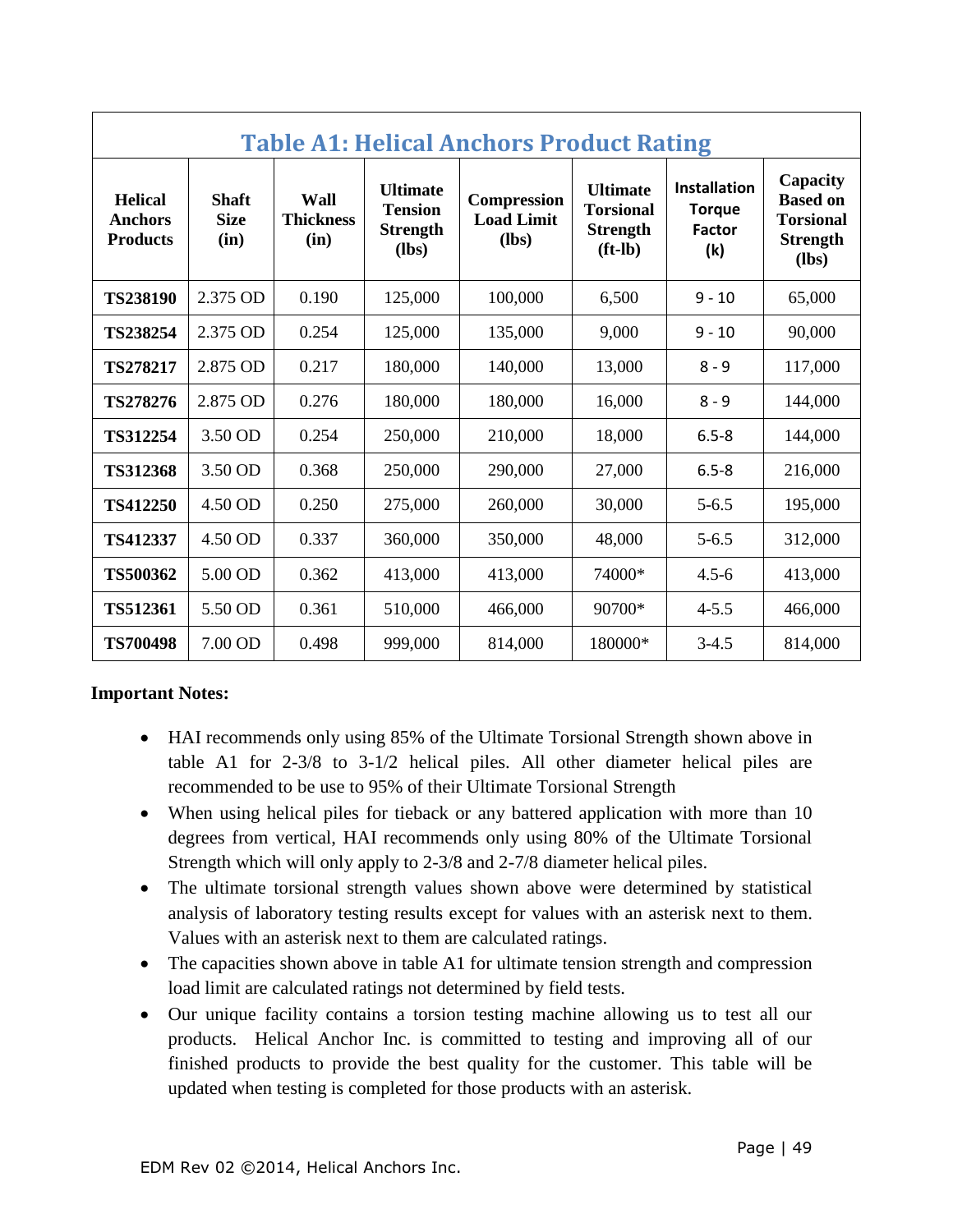<span id="page-48-0"></span>

|                                              | <b>Table A1: Helical Anchors Product Rating</b> |                                         |                                                                 |                                                    |                                                                     |                                                              |                                                                               |  |  |  |
|----------------------------------------------|-------------------------------------------------|-----------------------------------------|-----------------------------------------------------------------|----------------------------------------------------|---------------------------------------------------------------------|--------------------------------------------------------------|-------------------------------------------------------------------------------|--|--|--|
| <b>Helical</b><br>Anchors<br><b>Products</b> | <b>Shaft</b><br><b>Size</b><br>(in)             | <b>Wall</b><br><b>Thickness</b><br>(in) | <b>Ultimate</b><br><b>Tension</b><br><b>Strength</b><br>$(lbs)$ | <b>Compression</b><br><b>Load Limit</b><br>$(lbs)$ | <b>Ultimate</b><br><b>Torsional</b><br><b>Strength</b><br>$(ft-lb)$ | <b>Installation</b><br><b>Torque</b><br><b>Factor</b><br>(k) | Capacity<br><b>Based on</b><br><b>Torsional</b><br><b>Strength</b><br>$(lbs)$ |  |  |  |
| <b>TS238190</b>                              | 2.375 OD                                        | 0.190                                   | 125,000                                                         | 100,000                                            | 6,500                                                               | $9 - 10$                                                     | 65,000                                                                        |  |  |  |
| TS238254                                     | 2.375 OD                                        | 0.254                                   | 125,000                                                         | 135,000                                            | 9,000                                                               | $9 - 10$                                                     | 90,000                                                                        |  |  |  |
| TS278217                                     | 2.875 OD                                        | 0.217                                   | 180,000                                                         | 140,000                                            | 13,000                                                              | $8 - 9$                                                      | 117,000                                                                       |  |  |  |
| TS278276                                     | 2.875 OD                                        | 0.276                                   | 180,000                                                         | 180,000                                            | 16,000                                                              | $8 - 9$                                                      | 144,000                                                                       |  |  |  |
| TS312254                                     | 3.50 OD                                         | 0.254                                   | 250,000                                                         | 210,000                                            | 18,000                                                              | $6.5 - 8$                                                    | 144,000                                                                       |  |  |  |
| <b>TS312368</b>                              | 3.50 OD                                         | 0.368                                   | 250,000                                                         | 290,000                                            | 27,000                                                              | $6.5 - 8$                                                    | 216,000                                                                       |  |  |  |
| TS412250                                     | 4.50 OD                                         | 0.250                                   | 275,000                                                         | 260,000                                            | 30,000                                                              | $5 - 6.5$                                                    | 195,000                                                                       |  |  |  |
| TS412337                                     | 4.50 OD                                         | 0.337                                   | 360,000                                                         | 350,000                                            | 48,000                                                              | $5 - 6.5$                                                    | 312,000                                                                       |  |  |  |
| <b>TS500362</b>                              | 5.00 OD                                         | 0.362                                   | 413,000                                                         | 413,000                                            | 74000*                                                              | $4.5 - 6$                                                    | 413,000                                                                       |  |  |  |
| <b>TS512361</b>                              | 5.50 OD                                         | 0.361                                   | 510,000                                                         | 466,000                                            | 90700*                                                              | $4 - 5.5$                                                    | 466,000                                                                       |  |  |  |
| <b>TS700498</b>                              | 7.00 OD                                         | 0.498                                   | 999,000                                                         | 814,000                                            | 180000*                                                             | $3-4.5$                                                      | 814,000                                                                       |  |  |  |

#### **Important Notes:**

- HAI recommends only using 85% of the Ultimate Torsional Strength shown above in table A1 for 2-3/8 to 3-1/2 helical piles. All other diameter helical piles are recommended to be use to 95% of their Ultimate Torsional Strength
- When using helical piles for tieback or any battered application with more than 10 degrees from vertical, HAI recommends only using 80% of the Ultimate Torsional Strength which will only apply to 2-3/8 and 2-7/8 diameter helical piles.
- The ultimate torsional strength values shown above were determined by statistical analysis of laboratory testing results except for values with an asterisk next to them. Values with an asterisk next to them are calculated ratings.
- The capacities shown above in table A1 for ultimate tension strength and compression load limit are calculated ratings not determined by field tests.
- Our unique facility contains a torsion testing machine allowing us to test all our products. Helical Anchor Inc. is committed to testing and improving all of our finished products to provide the best quality for the customer. This table will be updated when testing is completed for those products with an asterisk.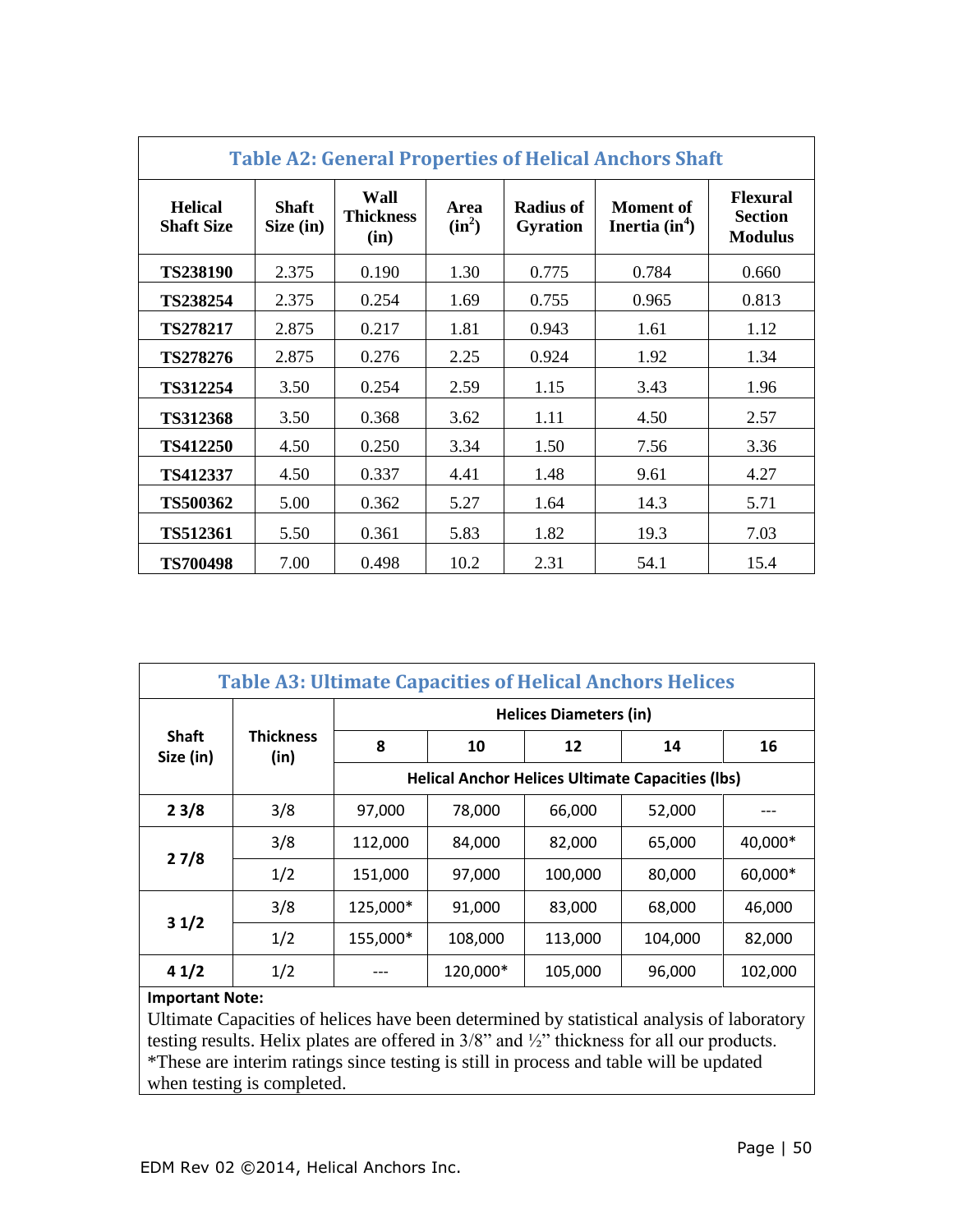<span id="page-49-0"></span>

| <b>Table A2: General Properties of Helical Anchors Shaft</b> |                           |                                  |                  |                              |                               |                                                     |  |
|--------------------------------------------------------------|---------------------------|----------------------------------|------------------|------------------------------|-------------------------------|-----------------------------------------------------|--|
| <b>Helical</b><br><b>Shaft Size</b>                          | <b>Shaft</b><br>Size (in) | Wall<br><b>Thickness</b><br>(in) | Area<br>$(in^2)$ | Radius of<br><b>Gyration</b> | Moment of<br>Inertia $(in^4)$ | <b>Flexural</b><br><b>Section</b><br><b>Modulus</b> |  |
| <b>TS238190</b>                                              | 2.375                     | 0.190                            | 1.30             | 0.775                        | 0.784                         | 0.660                                               |  |
| TS238254                                                     | 2.375                     | 0.254                            | 1.69             | 0.755                        | 0.965                         | 0.813                                               |  |
| TS278217                                                     | 2.875                     | 0.217                            | 1.81             | 0.943                        | 1.61                          | 1.12                                                |  |
| TS278276                                                     | 2.875                     | 0.276                            | 2.25             | 0.924                        | 1.92                          | 1.34                                                |  |
| TS312254                                                     | 3.50                      | 0.254                            | 2.59             | 1.15                         | 3.43                          | 1.96                                                |  |
| <b>TS312368</b>                                              | 3.50                      | 0.368                            | 3.62             | 1.11                         | 4.50                          | 2.57                                                |  |
| TS412250                                                     | 4.50                      | 0.250                            | 3.34             | 1.50                         | 7.56                          | 3.36                                                |  |
| TS412337                                                     | 4.50                      | 0.337                            | 4.41             | 1.48                         | 9.61                          | 4.27                                                |  |
| <b>TS500362</b>                                              | 5.00                      | 0.362                            | 5.27             | 1.64                         | 14.3                          | 5.71                                                |  |
| TS512361                                                     | 5.50                      | 0.361                            | 5.83             | 1.82                         | 19.3                          | 7.03                                                |  |
| <b>TS700498</b>                                              | 7.00                      | 0.498                            | 10.2             | 2.31                         | 54.1                          | 15.4                                                |  |

<span id="page-49-1"></span>

| <b>Table A3: Ultimate Capacities of Helical Anchors Helices</b> |                          |                                                         |          |         |         |         |  |  |  |  |
|-----------------------------------------------------------------|--------------------------|---------------------------------------------------------|----------|---------|---------|---------|--|--|--|--|
|                                                                 |                          | <b>Helices Diameters (in)</b>                           |          |         |         |         |  |  |  |  |
| <b>Shaft</b><br>Size (in)                                       | <b>Thickness</b><br>(in) | 8                                                       | 10       | 12      | 14      | 16      |  |  |  |  |
|                                                                 |                          | <b>Helical Anchor Helices Ultimate Capacities (Ibs)</b> |          |         |         |         |  |  |  |  |
| 23/8                                                            | 3/8                      | 97,000                                                  | 78,000   | 66,000  | 52,000  |         |  |  |  |  |
| 27/8                                                            | 3/8                      | 112,000                                                 | 84,000   | 82,000  | 65,000  | 40,000* |  |  |  |  |
|                                                                 | 1/2                      | 151,000                                                 | 97,000   | 100,000 | 80,000  | 60,000* |  |  |  |  |
|                                                                 | 3/8                      | 125,000*                                                | 91,000   | 83,000  | 68,000  | 46,000  |  |  |  |  |
| 31/2                                                            | 1/2                      | 155,000*                                                | 108,000  | 113,000 | 104,000 | 82,000  |  |  |  |  |
| 41/2                                                            | 1/2                      |                                                         | 120,000* | 105,000 | 96,000  | 102,000 |  |  |  |  |

#### **Important Note:**

Ultimate Capacities of helices have been determined by statistical analysis of laboratory testing results. Helix plates are offered in 3/8" and ½" thickness for all our products. \*These are interim ratings since testing is still in process and table will be updated when testing is completed.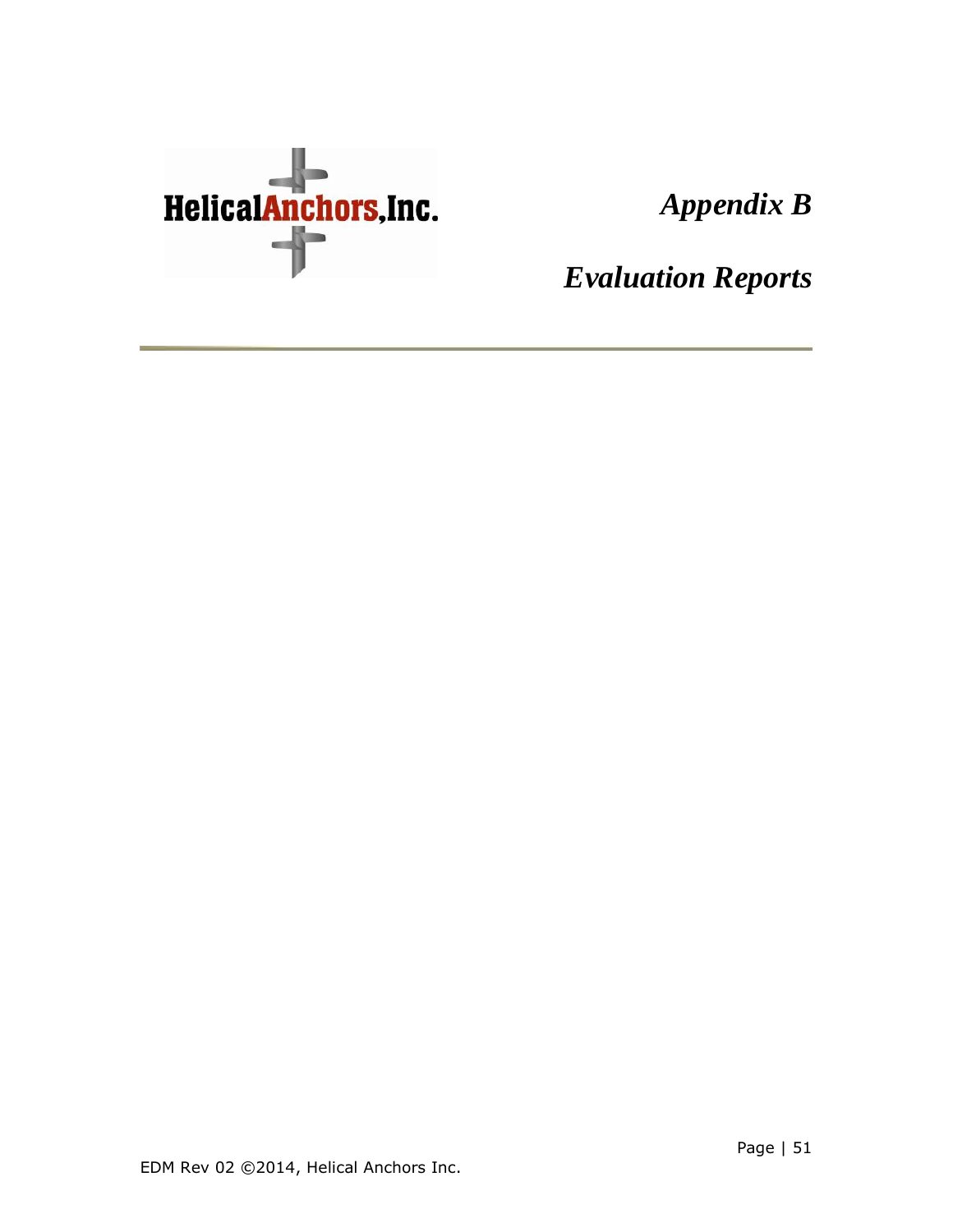

*Appendix B*

<span id="page-50-0"></span>*Evaluation Reports*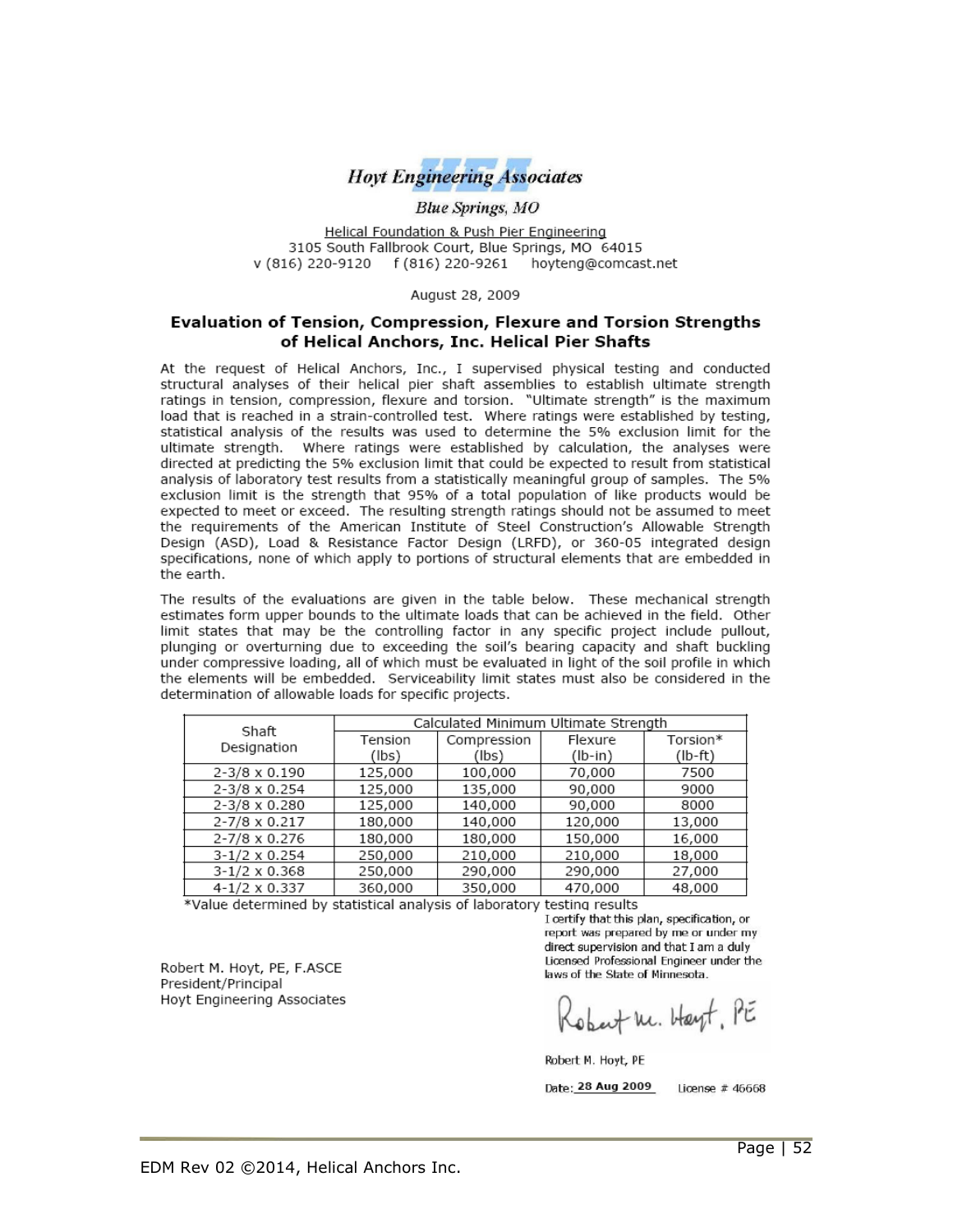

**Blue Springs**, MO

Helical Foundation & Push Pier Engineering 3105 South Fallbrook Court, Blue Springs, MO 64015 v (816) 220-9120 f (816) 220-9261 hoyteng@comcast.net

August 28, 2009

#### Evaluation of Tension, Compression, Flexure and Torsion Strengths of Helical Anchors, Inc. Helical Pier Shafts

At the request of Helical Anchors, Inc., I supervised physical testing and conducted structural analyses of their helical pier shaft assemblies to establish ultimate strength ratings in tension, compression, flexure and torsion. "Ultimate strength" is the maximum load that is reached in a strain-controlled test. Where ratings were established by testing. statistical analysis of the results was used to determine the 5% exclusion limit for the ultimate strength. Where ratings were established by calculation, the analyses were directed at predicting the 5% exclusion limit that could be expected to result from statistical analysis of laboratory test results from a statistically meaningful group of samples. The 5% exclusion limit is the strength that 95% of a total population of like products would be expected to meet or exceed. The resulting strength ratings should not be assumed to meet the requirements of the American Institute of Steel Construction's Allowable Strength Design (ASD), Load & Resistance Factor Design (LRFD), or 360-05 integrated design specifications, none of which apply to portions of structural elements that are embedded in the earth.

The results of the evaluations are given in the table below. These mechanical strength estimates form upper bounds to the ultimate loads that can be achieved in the field. Other limit states that may be the controlling factor in any specific project include pullout, plunging or overturning due to exceeding the soil's bearing capacity and shaft buckling under compressive loading, all of which must be evaluated in light of the soil profile in which the elements will be embedded. Serviceability limit states must also be considered in the determination of allowable loads for specific projects.

| Shaft                  | Calculated Minimum Ultimate Strength |             |           |                     |  |  |  |
|------------------------|--------------------------------------|-------------|-----------|---------------------|--|--|--|
| Designation            | Tension                              | Compression | Flexure   | Torsion*<br>(lb-ft) |  |  |  |
|                        | (lbs)                                | (lbs)       | $(lb-in)$ |                     |  |  |  |
| 2-3/8 x 0.190          | 125,000                              | 100,000     | 70,000    | 7500                |  |  |  |
| 2-3/8 x 0.254          | 125,000                              | 135,000     | 90,000    | 9000                |  |  |  |
| 2-3/8 x 0.280          | 125,000                              | 140,000     | 90,000    | 8000                |  |  |  |
| 2-7/8 x 0.217          | 180,000                              | 140,000     | 120,000   | 13,000              |  |  |  |
| 2-7/8 x 0.276          | 180,000                              | 180,000     | 150,000   | 16,000              |  |  |  |
| $3 - 1/2 \times 0.254$ | 250,000                              | 210,000     | 210,000   | 18,000              |  |  |  |
| $3 - 1/2 \times 0.368$ | 250,000                              | 290,000     | 290,000   | 27,000              |  |  |  |
| $4 - 1/2 \times 0.337$ | 360,000                              | 350,000     | 470,000   | 48,000              |  |  |  |

\*Value determined by statistical analysis of laboratory testing results I certify that this plan, specification, or

Robert M. Hoyt, PE, F.ASCE President/Principal Hoyt Engineering Associates

report was prepared by me or under my direct supervision and that I am a duly Licensed Professional Engineer under the laws of the State of Minnesota.

Robert m. Hayt, PE

Robert M. Hoyt, PE

Date: 28 Aug 2009 License  $\#$  46668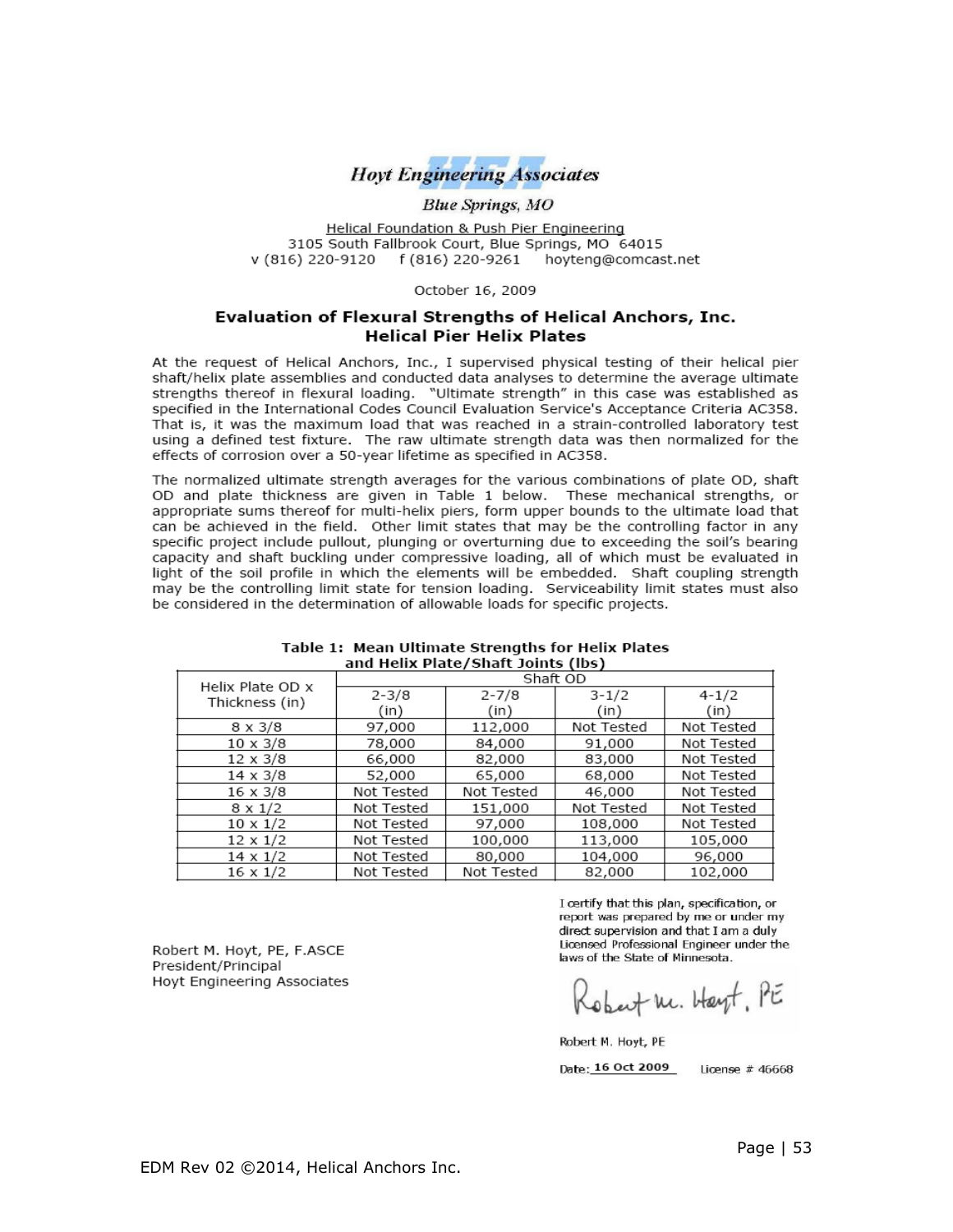

**Blue Springs**, MO

Helical Foundation & Push Pier Engineering 3105 South Fallbrook Court, Blue Springs, MO 64015 f (816) 220-9261 v (816) 220-9120 hoyteng@comcast.net

October 16, 2009

#### Evaluation of Flexural Strengths of Helical Anchors, Inc. **Helical Pier Helix Plates**

At the request of Helical Anchors, Inc., I supervised physical testing of their helical pier shaft/helix plate assemblies and conducted data analyses to determine the average ultimate strengths thereof in flexural loading. "Ultimate strength" in this case was established as specified in the International Codes Council Evaluation Service's Acceptance Criteria AC358. That is, it was the maximum load that was reached in a strain-controlled laboratory test using a defined test fixture. The raw ultimate strength data was then normalized for the effects of corrosion over a 50-year lifetime as specified in AC358.

The normalized ultimate strength averages for the various combinations of plate OD, shaft OD and plate thickness are given in Table 1 below. These mechanical strengths, or appropriate sums thereof for multi-helix piers, form upper bounds to the ultimate load that can be achieved in the field. Other limit states that may be the controlling factor in any specific project include pullout, plunging or overturning due to exceeding the soil's bearing capacity and shaft buckling under compressive loading, all of which must be evaluated in light of the soil profile in which the elements will be embedded. Shaft coupling strength may be the controlling limit state for tension loading. Serviceability limit states must also be considered in the determination of allowable loads for specific projects.

| and near right, share somes (1897 |            |            |            |            |  |  |  |  |
|-----------------------------------|------------|------------|------------|------------|--|--|--|--|
| Helix Plate OD x                  | Shaft OD   |            |            |            |  |  |  |  |
|                                   | $2 - 3/8$  | $2 - 7/8$  | $3 - 1/2$  | $4 - 1/2$  |  |  |  |  |
| Thickness (in)                    | (in)       | (in)       | (in)       | (in)       |  |  |  |  |
| 8 x 3/8                           | 97,000     | 112,000    | Not Tested | Not Tested |  |  |  |  |
| 10 x 3/8                          | 78,000     | 84,000     | 91,000     | Not Tested |  |  |  |  |
| 12 x 3/8                          | 66,000     | 82,000     | 83,000     | Not Tested |  |  |  |  |
| 14 x 3/8                          | 52,000     | 65,000     | 68,000     | Not Tested |  |  |  |  |
| $16 \times 3/8$                   | Not Tested | Not Tested | 46,000     | Not Tested |  |  |  |  |
| $8 \times 1/2$                    | Not Tested | 151,000    | Not Tested | Not Tested |  |  |  |  |
| $10 \times 1/2$                   | Not Tested | 97,000     | 108,000    | Not Tested |  |  |  |  |
| $12 \times 1/2$                   | Not Tested | 100,000    | 113,000    | 105,000    |  |  |  |  |
| $14 \times 1/2$                   | Not Tested | 80,000     | 104,000    | 96,000     |  |  |  |  |
| 16 x 1/2                          | Not Tested | Not Tested | 82,000     | 102,000    |  |  |  |  |

#### Table 1: Mean Ultimate Strengths for Helix Plates and Helix Plate/Shaft Ioints (lbs)

Robert M. Hoyt, PE, F.ASCE President/Principal Hoyt Engineering Associates I certify that this plan, specification, or report was prepared by me or under my direct supervision and that I am a duly Licensed Professional Engineer under the laws of the State of Minnesota.

Robert m. Hayt, PE

Robert M. Hoyt, PE

Date: 16 Oct 2009

License  $\#$  46668